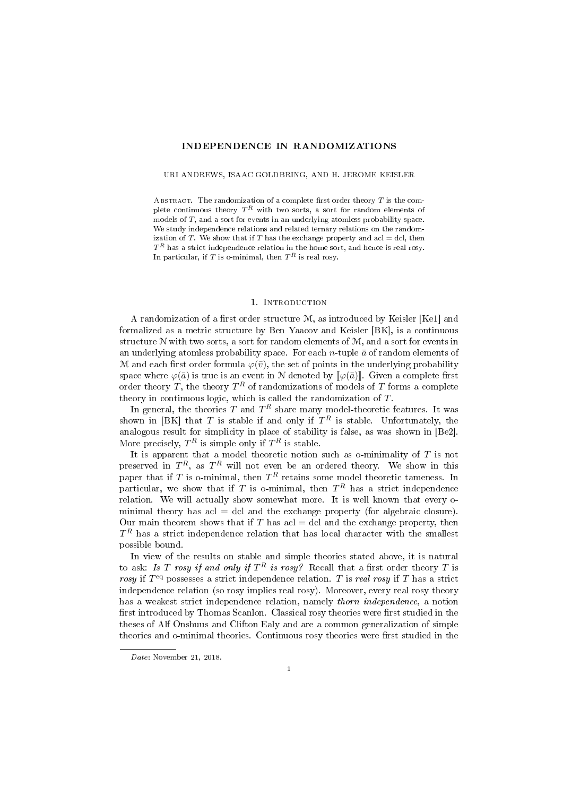## INDEPENDENCE IN RANDOMIZATIONS

#### URI ANDREWS, ISAAC GOLDBRING, AND H. JEROME KEISLER

ABSTRACT. The randomization of a complete first order theory  $T$  is the complete continuous theory  $T^R$  with two sorts, a sort for random elements of models of T, and a sort for events in an underlying atomless probability space. We study independence relations and related ternary relations on the randomization of T. We show that if T has the exchange property and acl = dcl, then  $T^R$  has a strict independence relation in the home sort, and hence is real rosy. In particular, if  $T$  is o-minimal, then  $T^R$  is real rosy.

#### 1. Introduction

A randomization of a first order structure  $M$ , as introduced by Keisler [Ke1] and formalized as a metric structure by Ben Yaacov and Keisler [BK], is a continuous structure  $N$  with two sorts, a sort for random elements of  $M$ , and a sort for events in an underlying atomless probability space. For each *n*-tuple  $\bar{a}$  of random elements of M and each first order formula  $\varphi(\bar{v})$ , the set of points in the underlying probability space where  $\varphi(\bar{a})$  is true is an event in N denoted by  $\lbrack \varphi(\bar{a}) \rbrack$ . Given a complete first order theory T, the theory  $T^R$  of randomizations of models of T forms a complete theory in continuous logic, which is called the randomization of  $T$ .

In general, the theories  $T$  and  $T^R$  share many model-theoretic features. It was shown in [BK] that T is stable if and only if  $T^R$  is stable. Unfortunately, the analogous result for simplicity in place of stability is false, as was shown in [Be2]. More precisely,  $T^R$  is simple only if  $T^R$  is stable.

It is apparent that a model theoretic notion such as o-minimality of  $T$  is not preserved in  $T^R$ , as  $T^R$  will not even be an ordered theory. We show in this paper that if T is o-minimal, then  $T^R$  retains some model theoretic tameness. In particular, we show that if T is o-minimal, then  $T^R$  has a strict independence relation. We will actually show somewhat more. It is well known that every ominimal theory has acl = dcl and the exchange property (for algebraic closure). Our main theorem shows that if T has acl  $=$  dcl and the exchange property, then  $T^R$  has a strict independence relation that has local character with the smallest possible bound.

In view of the results on stable and simple theories stated above, it is natural to ask: *Is T rosy if and only if*  $T^R$  *is rosy?* Recall that a first order theory  $T$  is rosy if  $T<sup>eq</sup>$  possesses a strict independence relation. T is real rosy if T has a strict independence relation (so rosy implies real rosy). Moreover, every real rosy theory has a weakest strict independence relation, namely thorn independence, a notion first introduced by Thomas Scanlon. Classical rosy theories were first studied in the theses of Alf Onshuus and Clifton Ealy and are a common generalization of simple theories and o-minimal theories. Continuous rosy theories were first studied in the

Date: November 21, 2018.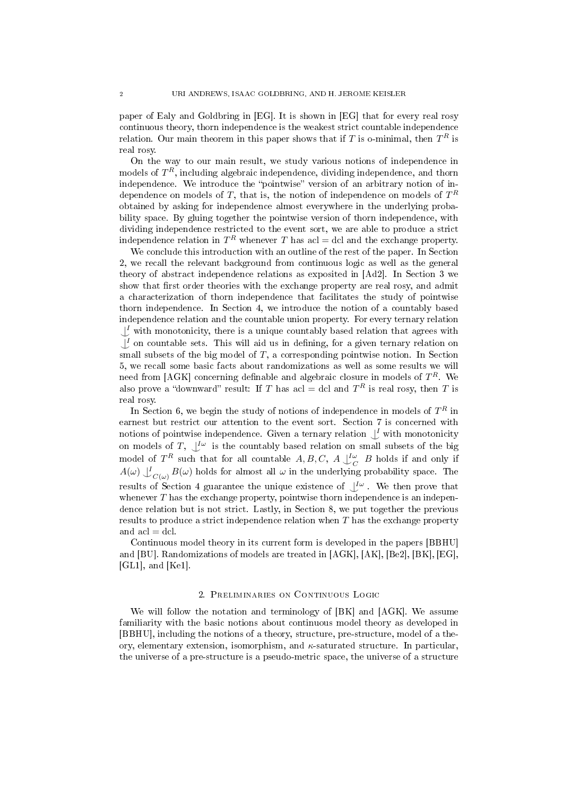paper of Ealy and Goldbring in [EG]. It is shown in [EG] that for every real rosy continuous theory, thorn independence is the weakest strict countable independence relation. Our main theorem in this paper shows that if T is o-minimal, then  $T^R$  is real rosy.

On the way to our main result, we study various notions of independence in models of  $T^R$ , including algebraic independence, dividing independence, and thorn independence. We introduce the "pointwise" version of an arbitrary notion of independence on models of  $T,$  that is, the notion of independence on models of  $T^R$ obtained by asking for independence almost everywhere in the underlying probability space. By gluing together the pointwise version of thorn independence, with dividing independence restricted to the event sort, we are able to produce a strict independence relation in  $T^R$  whenever  $T$  has acl = dcl and the exchange property.

We conclude this introduction with an outline of the rest of the paper. In Section 2, we recall the relevant background from continuous logic as well as the general theory of abstract independence relations as exposited in [Ad2]. In Section 3 we show that first order theories with the exchange property are real rosy, and admit a characterization of thorn independence that facilitates the study of pointwise thorn independence. In Section 4, we introduce the notion of a countably based independence relation and the countable union property. For every ternary relation  $\bigcup_{i=1}^{I}$  with monotonicity, there is a unique countably based relation that agrees with  $\downarrow$ <sup>*I*</sup> on countable sets. This will aid us in defining, for a given ternary relation on small subsets of the big model of  $T$ , a corresponding pointwise notion. In Section 5, we recall some basic facts about randomizations as well as some results we will need from [AGK] concerning definable and algebraic closure in models of  $T^R$ . We also prove a "downward" result: If T has acl = dcl and  $T<sup>R</sup>$  is real rosy, then T is real rosy.

In Section 6, we begin the study of notions of independence in models of  $T^R$  in earnest but restrict our attention to the event sort. Section 7 is concerned with notions of pointwise independence. Given a ternary relation  $\bigcup_{\alpha}$  with monotonicity on models of T,  $\bigcup^{\infty}$  is the countably based relation on small subsets of the big model of  $T^R$  such that for all countable  $A, B, C, A \perp_C^{\mathcal{I}\omega}$  B holds if and only if  $A(\omega) \downarrow^I_{C(\omega)} B(\omega)$  holds for almost all  $\omega$  in the underlying probability space. The results of Section 4 guarantee the unique existence of  $\bigcup^{\mathcal{I}\omega}$ . We then prove that whenever  $T$  has the exchange property, pointwise thorn independence is an independence relation but is not strict. Lastly, in Section 8, we put together the previous results to produce a strict independence relation when T has the exchange property and  $acl = dcl$ .

Continuous model theory in its current form is developed in the papers [BBHU] and [BU]. Randomizations of models are treated in [AGK], [AK], [Be2], [BK], [EG],  $[GL1]$ , and  $[Kel]$ .

# 2. Preliminaries on Continuous Logic

We will follow the notation and terminology of [BK] and [AGK]. We assume familiarity with the basic notions about continuous model theory as developed in [BBHU], including the notions of a theory, structure, pre-structure, model of a theory, elementary extension, isomorphism, and  $\kappa$ -saturated structure. In particular, the universe of a pre-structure is a pseudo-metric space, the universe of a structure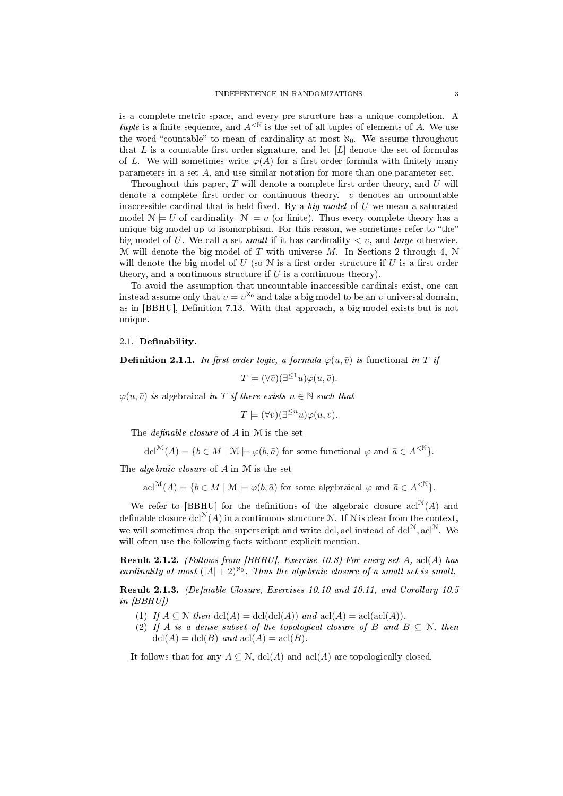is a complete metric space, and every pre-structure has a unique completion. A tuple is a finite sequence, and  $A^{\leq N}$  is the set of all tuples of elements of A. We use the word "countable" to mean of cardinality at most  $\aleph_0$ . We assume throughout that  $L$  is a countable first order signature, and let  $[L]$  denote the set of formulas of L. We will sometimes write  $\varphi(A)$  for a first order formula with finitely many parameters in a set A, and use similar notation for more than one parameter set.

Throughout this paper,  $T$  will denote a complete first order theory, and  $U$  will denote a complete first order or continuous theory.  $v$  denotes an uncountable inaccessible cardinal that is held fixed. By a big model of U we mean a saturated model  $\mathcal{N} \models U$  of cardinality  $|\mathcal{N}| = v$  (or finite). Thus every complete theory has a unique big model up to isomorphism. For this reason, we sometimes refer to "the" big model of U. We call a set small if it has cardinality  $\langle v \rangle$ , and large otherwise. M will denote the big model of T with universe M. In Sections 2 through 4, N will denote the big model of U (so N is a first order structure if U is a first order theory, and a continuous structure if  $U$  is a continuous theory).

To avoid the assumption that uncountable inaccessible cardinals exist, one can instead assume only that  $v = v^{\aleph_0}$  and take a big model to be an  $v$ -universal domain, as in [BBHU], Definition 7.13. With that approach, a big model exists but is not unique.

## 2.1. Definability.

**Definition 2.1.1.** In first order logic, a formula  $\varphi(u, \bar{v})$  is functional in T if

$$
T \models (\forall \bar{v})(\exists^{\leq 1} u)\varphi(u, \bar{v}).
$$

 $\varphi(u, \bar{v})$  is algebraical in T if there exists  $n \in \mathbb{N}$  such that

$$
T \models (\forall \bar{v})(\exists^{\leq n} u)\varphi(u, \bar{v}).
$$

The *definable closure* of  $A$  in  $M$  is the set

$$
\operatorname{dcl}^{\mathcal{M}}(A) = \{ b \in M \mid \mathcal{M} \models \varphi(b, \bar{a}) \text{ for some functional } \varphi \text{ and } \bar{a} \in A^{<\mathbb{N}} \}.
$$

The algebraic closure of A in M is the set

 $\text{acl}^{\mathcal{M}}(A) = \{b \in M \mid \mathcal{M} \models \varphi(b, \bar{a}) \text{ for some algebraical } \varphi \text{ and } \bar{a} \in A^{\leq \mathbb{N}}\}.$ 

We refer to [BBHU] for the definitions of the algebraic closure  $\text{acl}^{\mathcal{N}}(A)$  and definable closure dcl<sup>N</sup>(A) in a continuous structure N. If N is clear from the context, we will sometimes drop the superscript and write dcl, acl instead of dcl<sup>N</sup>, acl<sup>N</sup>. We will often use the following facts without explicit mention.

**Result 2.1.2.** (Follows from [BBHU], Exercise 10.8) For every set A, acl(A) has cardinality at most  $(|A|+2)^{\aleph_0}$ . Thus the algebraic closure of a small set is small.

Result 2.1.3. (Definable Closure, Exercises 10.10 and 10.11, and Corollary 10.5 in [BBHU])

- (1) If  $A \subseteq \mathcal{N}$  then  $dcl(A) = dcl(dcl(A))$  and  $acl(A) = acl(acl(A)).$
- (2) If A is a dense subset of the topological closure of B and  $B \subseteq N$ , then  $dcl(A) = dcl(B)$  and  $acl(A) = acl(B)$ .

It follows that for any  $A \subseteq \mathcal{N}$ , dcl(A) and acl(A) are topologically closed.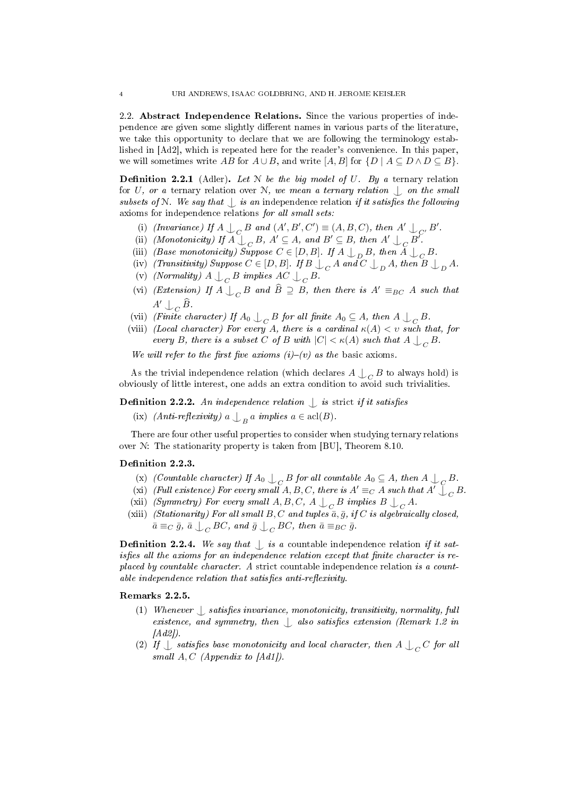2.2. Abstract Independence Relations. Since the various properties of independence are given some slightly different names in various parts of the literature, we take this opportunity to declare that we are following the terminology established in [Ad2], which is repeated here for the reader's convenience. In this paper, we will sometimes write AB for  $A \cup B$ , and write [A, B] for  $\{D \mid A \subseteq D \land D \subseteq B\}$ .

**Definition 2.2.1** (Adler). Let  $N$  be the big model of  $U$ . By a ternary relation for U, or a ternary relation over N, we mean a ternary relation  $\bigcup$  on the small subsets of N. We say that  $\int$  is an independence relation if it satisfies the following axioms for independence relations for all small sets:

- (i) (Invariance) If  $A \perp_C B$  and  $(A', B', C') \equiv (A, B, C)$ , then  $A' \perp_{C'} B'$ .
- (ii) (Monotonicity) If  $A \cup_C B$ ,  $A' \subseteq A$ , and  $B' \subseteq B$ , then  $A' \cup_C B'$ .
- (iii) (Base monotonicity) Suppose  $C \in [D, B]$ . If  $A \bigcup_{D} B$ , then  $A \bigcup_{C} B$ .
- (iv) (Transitivity) Suppose  $C \in [D, B]$ . If  $B \bigcup_C A$  and  $C \bigcup_D A$ , then  $B \bigcup_D A$ .
- (v) (Normality)  $A \bigcup_C B$  implies  $AC \bigcup_C B$ .
- (vi) (Extension) If  $A \bigcup_C B$  and  $\widehat{B} \supseteq B$ , then there is  $A' \equiv_{BC} A$  such that  $A' \cup_C \widehat{B}$
- (vii) (Finite character) If  $A_0 \perp_C B$  for all finite  $A_0 \subseteq A$ , then  $A \perp_C B$ .
- (viii) (Local character) For every A, there is a cardinal  $\kappa(A) < v$  such that, for every B, there is a subset C of B with  $|C| < \kappa(A)$  such that  $A \bigcup_C B$ .

We will refer to the first five axioms  $(i)-(v)$  as the basic axioms.

As the trivial independence relation (which declares  $A \bigcup_C B$  to always hold) is obviously of little interest, one adds an extra condition to avoid such trivialities.

**Definition 2.2.2.** An independence relation  $\int$  is strict if it satisfies

(ix) (*Anti-reflexivity*)  $a \bigcup_B a$  implies  $a \in \text{acl}(B)$ .

There are four other useful properties to consider when studying ternary relations over N: The stationarity property is taken from [BU], Theorem 8.10.

## Definition 2.2.3.

- (x) (Countable character) If  $A_0 \perp_C B$  for all countable  $A_0 \subseteq A$ , then  $A \perp_C B$ .
- (xi) (Full existence) For every small  $A, B, C$ , there is  $A' \equiv_C A$  such that  $A' \bigcup_C B$ .
- (xii) *(Symmetry)* For every small  $A, B, C, A \bigcup_C B$  implies  $B \bigcup_C A$ .
- (xiii) (Stationarity) For all small B, C and tuples  $\bar{a}, \bar{g}$ , if C is algebraically closed,  $\bar{a}\equiv_C\bar{g},\ \bar{a}\,\mathop{\downarrow}\nolimits_C BC,\ and\ \bar{g}\,\mathop{\downarrow}\nolimits_C BC,\ then\ \bar{a}\equiv_{BC}\bar{g}.$

**Definition 2.2.4.** We say that  $\int$  is a countable independence relation if it satisfies all the axioms for an independence relation except that finite character is replaced by countable character. A strict countable independence relation is a count $able\ independence\ relation\ that\ satisfies\ anti-reflexivity.$ 

# Remarks 2.2.5.

- (1) Whenever  $\bigcup$  satisfies invariance, monotonicity, transitivity, normality, full existence, and symmetry, then  $\bigcup$  also satisfies extension (Remark 1.2 in  $[Ad2]$ .
- (2) If  $\perp$  satisfies base monotonicity and local character, then A  $\perp_C C$  for all small  $A, C$  (Appendix to  $[Ad1]$ ).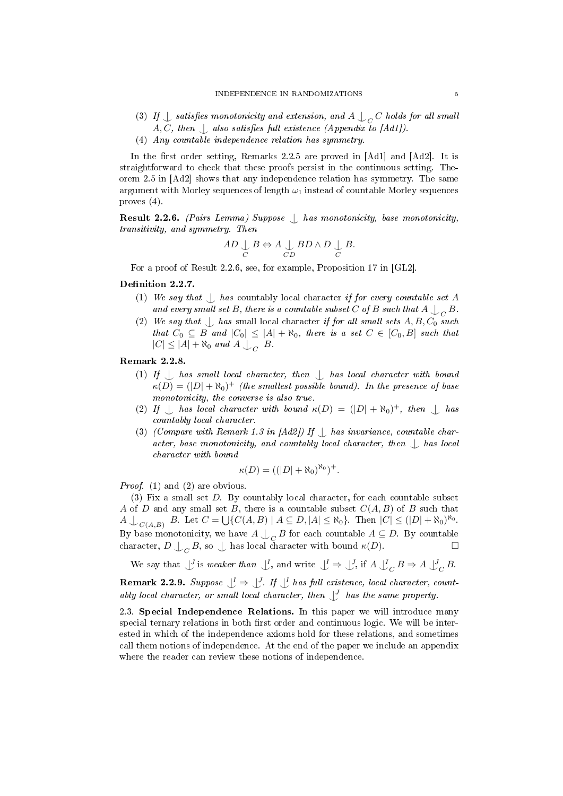- (3) If  $\perp$  satisfies monotonicity and extension, and  $A \perp_C C$  holds for all small  $A, C, then \nvert$  also satisfies full existence (Appendix to [Ad1]).
- (4) Any countable independence relation has symmetry.

In the first order setting, Remarks 2.2.5 are proved in  $[Ad1]$  and  $[Ad2]$ . It is straightforward to check that these proofs persist in the continuous setting. Theorem 2.5 in [Ad2] shows that any independence relation has symmetry. The same argument with Morley sequences of length  $\omega_1$  instead of countable Morley sequences proves (4).

Result 2.2.6. (Pairs Lemma) Suppose  $\bigcup$  has monotonicity, base monotonicity, transitivity, and symmetry. Then

$$
AD \underset{C}{\cup} B \Leftrightarrow A \underset{CD}{\cup} BD \wedge D \underset{C}{\cup} B.
$$

For a proof of Result 2.2.6, see, for example, Proposition 17 in [GL2].

# Definition 2.2.7.

- (1) We say that  $\bigcup$  has countably local character if for every countable set A and every small set B, there is a countable subset C of B such that A  $\bigcup_C B$ .
- (2) We say that  $\bigcup$  has small local character if for all small sets A, B,  $C_0$  such that  $C_0 \subseteq B$  and  $|C_0| \leq |A| + \aleph_0$ , there is a set  $C \in [C_0, B]$  such that  $|C| \leq |A| + \aleph_0$  and  $A \bigcup_C B$ .

### Remark 2.2.8.

- (1) If  $\Box$  has small local character, then  $\Box$  has local character with bound  $\kappa(D) = (|D| + \aleph_0)^+$  (the smallest possible bound). In the presence of base monotonicity, the converse is also true.
- (2) If  $\perp$  has local character with bound  $\kappa(D) = (|D| + \aleph_0)^+$ , then  $\perp$  has countably local character.
- (3) (Compare with Remark 1.3 in  $[Ad2]$ ) If  $\Box$  has invariance, countable character, base monotonicity, and countably local character, then  $\Box$  has local character with bound

$$
\kappa(D) = ((|D| + \aleph_0)^{\aleph_0})^+.
$$

Proof. (1) and (2) are obvious.

(3) Fix a small set D. By countably local character, for each countable subset A of D and any small set B, there is a countable subset  $C(A, B)$  of B such that  $A\bigcup_{C(A,B)} B$ . Let  $C = \bigcup \{C(A,B) | A \subseteq D, |A| \leq \aleph_0\}$ . Then  $|C| \leq (|D| + \aleph_0)^{\aleph_0}$ . By base monotonicity, we have  $A \bigcup_C B$  for each countable  $A \subseteq D$ . By countable character,  $D \bigcup_C B$ , so  $\bigcup$  has local character with bound  $\kappa(D)$ .

We say that  $\bigcup^J$  is weaker than  $\bigcup^I$ , and write  $\bigcup^I \Rightarrow \bigcup^J$ , if  $A \bigcup^I_C B \Rightarrow A \bigcup^J_C B$ .

**Remark 2.2.9.** Suppose  $\bigcup^{I} \Rightarrow \bigcup^{J}$ . If  $\bigcup^{I}$  has full existence, local character, countably local character, or small local character, then  $\bigcup^J$  has the same property.

2.3. Special Independence Relations. In this paper we will introduce many special ternary relations in both first order and continuous logic. We will be interested in which of the independence axioms hold for these relations, and sometimes call them notions of independence. At the end of the paper we include an appendix where the reader can review these notions of independence.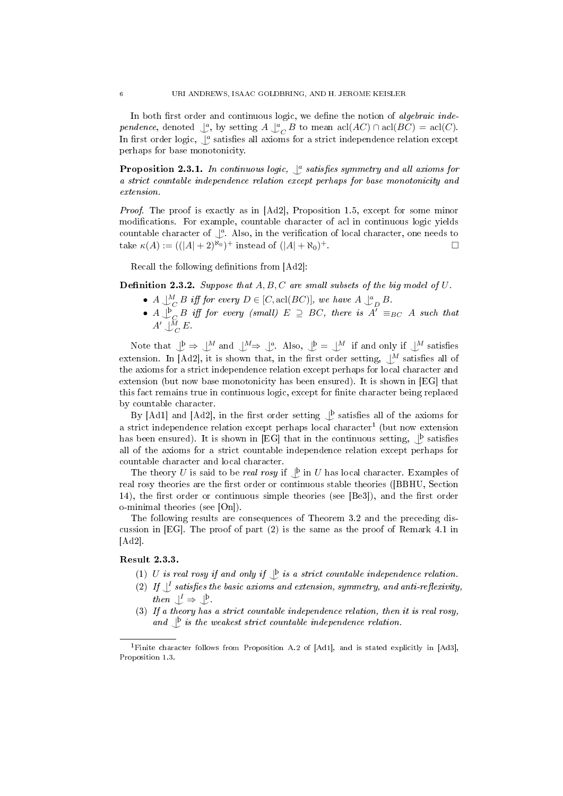In both first order and continuous logic, we define the notion of *algebraic inde*pendence, denoted  $\bigcup_{c}^{a}$ , by setting  $A \bigcup_{c}^{a} B$  to mean  $\text{acl}(AC) \cap \text{acl}(BC) = \text{acl}(C)$ . In first order logic,  $\int_a^a$  satisfies all axioms for a strict independence relation except perhaps for base monotonicity.

**Proposition 2.3.1.** In continuous logic,  $\int_a^a$  satisfies symmetry and all axioms for a strict countable independence relation except perhaps for base monotonicity and extension.

Proof. The proof is exactly as in [Ad2], Proposition 1.5, except for some minor modifications. For example, countable character of acl in continuous logic yields countable character of  $\bigcup_{\alpha}^{\alpha}$ . Also, in the verification of local character, one needs to take  $\kappa(A) := ((|A| + 2)^{\aleph_0})^+$  instead of  $(|A| + \aleph_0)$ <sup>+</sup>.

Recall the following definitions from [Ad2]:

**Definition 2.3.2.** Suppose that  $A, B, C$  are small subsets of the big model of  $U$ .

- A  $\bigcup_{C}^{M} B$  iff for every  $D \in [C, \text{acl}(BC)]$ , we have  $A \bigcup_{D}^{a} B$ .
- $\bullet$  A  $\bigcup^{\text{b}}_{C} B$  iff for every (small)  $E \supseteq BC$ , there is  $A' \equiv_{BC} A$  such that  $A' \downarrow_C^{\tilde{M}} E$ .

Note that  $\bigcup^{\mathfrak{b}} \Rightarrow \bigcup^M$  and  $\bigcup^M \Rightarrow \bigcup^a$ . Also,  $\bigcup^{\mathfrak{b}} = \bigcup^M$  if and only if  $\bigcup^M$  satisfies extension. In [Ad2], it is shown that, in the first order setting,  $\bigcup_{M} M$  satisfies all of the axioms for a strict independence relation except perhaps for local character and extension (but now base monotonicity has been ensured). It is shown in [EG] that this fact remains true in continuous logic, except for finite character being replaced by countable character.

By [Ad1] and [Ad2], in the first order setting  $\bigcup_{\alpha}^{\beta}$  satisfies all of the axioms for a strict independence relation except perhaps local character<sup>1</sup> (but now extension has been ensured). It is shown in [EG] that in the continuous setting,  $\bigcup_{\alpha=1}^{\infty}$  satisfies all of the axioms for a strict countable independence relation except perhaps for countable character and local character.

The theory U is said to be real rosy if  $\bigcup^{\mathsf{b}}$  in U has local character. Examples of real rosy theories are the first order or continuous stable theories ([BBHU, Section 14), the first order or continuous simple theories (see  $[Be3]$ ), and the first order o-minimal theories (see [On]).

The following results are consequences of Theorem 3.2 and the preceding discussion in [EG]. The proof of part (2) is the same as the proof of Remark 4.1 in [Ad2].

## Result 2.3.3.

- (1) U is real rosy if and only if  $\bigcup^b$  is a strict countable independence relation.
- (2) If  $\bigcup$  satisfies the basic axioms and extension, symmetry, and anti-reflexivity, then  $\bigcup^{I} \Rightarrow \bigcup^{b}$ .
- (3) If a theory has a strict countable independence relation, then it is real rosy, and  $\bigcup_{i=1}^{\infty}$  is the weakest strict countable independence relation.

<sup>1</sup>Finite character follows from Proposition A.2 of [Ad1], and is stated explicitly in [Ad3], Proposition 1.3.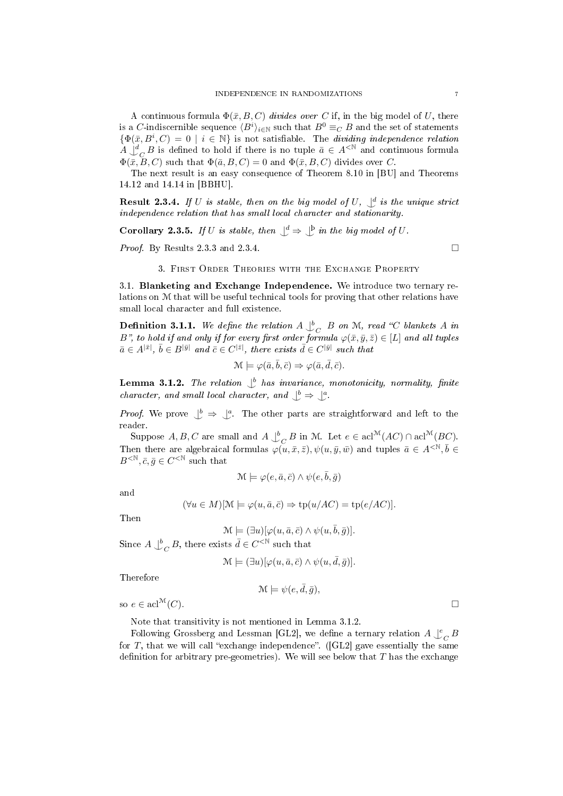A continuous formula  $\Phi(\bar{x}, B, C)$  divides over C if, in the big model of U, there is a C-indiscernible sequence  $\langle B^i\rangle_{i\in\mathbb{N}}$  such that  $B^0\equiv_C B$  and the set of statements  $\{\Phi(\bar{x}, B^i, C) = 0 \mid i \in \mathbb{N}\}\$ is not satisfiable. The dividing independence relation  $A \downarrow_{C}^{d} B$  is defined to hold if there is no tuple  $\bar{a} \in A^{\lt N}$  and continuous formula  $\Phi(\bar{x}, B, C)$  such that  $\Phi(\bar{a}, B, C) = 0$  and  $\Phi(\bar{x}, B, C)$  divides over C.

The next result is an easy consequence of Theorem 8.10 in [BU] and Theorems 14.12 and 14.14 in [BBHU].

**Result 2.3.4.** If U is stable, then on the big model of U,  $\bigcup_{i=1}^{d}$  is the unique strict independence relation that has small local character and stationarity.

**Corollary 2.3.5.** If U is stable, then  $\bigcup^d \Rightarrow \bigcup^b$  in the big model of U.

*Proof.* By Results 2.3.3 and 2.3.4.

## 3. First Order Theories with the Exchange Property

3.1. Blanketing and Exchange Independence. We introduce two ternary relations on M that will be useful technical tools for proving that other relations have small local character and full existence.

**Definition 3.1.1.** We define the relation  $A \bigcup_{C}^{b} B$  on M, read "C blankets A in B", to hold if and only if for every first order formula  $\varphi(\bar{x}, \bar{y}, \bar{z}) \in [L]$  and all tuples  $\bar{a} \in A^{|\bar{x}|}, \ \bar{b} \in B^{|\bar{y}|}$  and  $\bar{c} \in C^{|\bar{z}|},$  there exists  $\bar{d} \in C^{|\bar{y}|}$  such that

$$
\mathcal{M} \models \varphi(\bar{a}, \bar{b}, \bar{c}) \Rightarrow \varphi(\bar{a}, \bar{d}, \bar{c}).
$$

**Lemma 3.1.2.** The relation  $\bigcup_{b}^{b}$  has invariance, monotonicity, normality, finite character, and small local character, and  $\bigcup^b \Rightarrow \bigcup^a$ .

*Proof.* We prove  $\bigcup^b \Rightarrow \bigcup^a$ . The other parts are straightforward and left to the reader.

Suppose  $A, B, C$  are small and  $A \bigcup_{C}^{b} B$  in M. Let  $e \in \text{acl}^{\mathcal{M}}(AC) \cap \text{acl}^{\mathcal{M}}(BC)$ . Then there are algebraical formulas  $\varphi(u,\bar{x},\bar{z}), \psi(u,\bar{y},\bar{w})$  and tuples  $\bar{a} \in A^{<\mathbb{N}}, \bar{b} \in$  $B <sup>$\mathbb{N}$</sup> ,  $\bar{c}, \bar{g} \in C <sup>$\mathbb{N}$</sup>  such that$$ 

$$
\mathcal{M} \models \varphi(e, \bar{a}, \bar{c}) \land \psi(e, \bar{b}, \bar{g})
$$

and

$$
(\forall u \in M)[\mathcal{M} \models \varphi(u, \bar{a}, \bar{c}) \Rightarrow \text{tp}(u/AC) = \text{tp}(e/AC)].
$$

Then

$$
\mathcal{M} \models (\exists u)[\varphi(u,\bar{a},\bar{c}) \wedge \psi(u,\bar{b},\bar{g})].
$$
 Since  $A \downarrow^b_C B$ , there exists  $\bar{d} \in C^{<\mathbb{N}}$  such that

$$
\mathcal{M} \models (\exists u)[\varphi(u,\bar{a},\bar{c}) \land \psi(u,\bar{d},\bar{g})].
$$

Therefore

 $\mathcal{M} \models \psi(e, \bar{d}, \bar{g}),$ so  $e \in \text{acl}^{\mathcal{M}}(C)$ .

Note that transitivity is not mentioned in Lemma 3.1.2.

Following Grossberg and Lessman [GL2], we define a ternary relation  $A \int_{-C}^e B$ for T, that we will call "exchange independence". ([GL2] gave essentially the same definition for arbitrary pre-geometries). We will see below that  $T$  has the exchange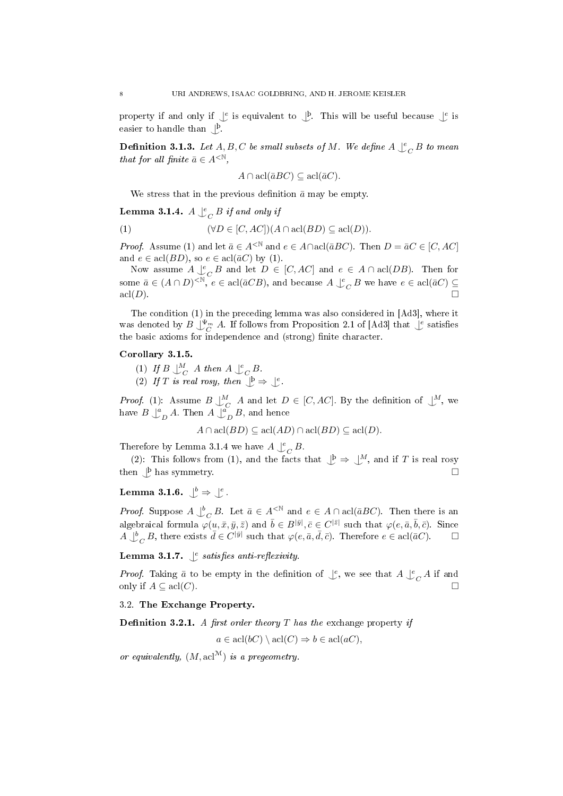property if and only if  $\bigcup e$  is equivalent to  $\bigcup$ . This will be useful because  $\bigcup e$  is easier to handle than  $\bigcup_{\alpha}^{\beta}$ .

**Definition 3.1.3.** Let  $A, B, C$  be small subsets of M. We define  $A \bigcup_{C}^{e} B$  to mean that for all finite  $\bar{a} \in A^{\langle \mathbb{N} \rangle}$ ,

$$
A \cap \operatorname{acl}(\bar{a}BC) \subseteq \operatorname{acl}(\bar{a}C).
$$

We stress that in the previous definition  $\bar{a}$  may be empty.

**Lemma 3.1.4.**  $A \bigcup_{C}^{e} B$  if and only if

(1) 
$$
(\forall D \in [C, AC])(A \cap \text{acl}(BD) \subseteq \text{acl}(D)).
$$

*Proof.* Assume (1) and let  $\bar{a} \in A^{\leq \mathbb{N}}$  and  $e \in A \cap \text{acl}(\bar{a}BC)$ . Then  $D = \bar{a}C \in [C, AC]$ and  $e \in \operatorname{acl}(BD)$ , so  $e \in \operatorname{acl}(\bar{a}C)$  by (1).

Now assume  $A \underset{\sim}{\downarrow}{}_{C}^{e} B$  and let  $D \in [C, AC]$  and  $e \in A \cap \text{acl}(DB)$ . Then for some  $\bar{a} \in (A \cap D)^{<\mathbb{N}}, e \in \text{acl}(\bar{a}CB)$ , and because  $A \downarrow^e_C B$  we have  $e \in \text{acl}(\bar{a}C) \subseteq$  $\operatorname{acl}(D).$ 

The condition (1) in the preceding lemma was also considered in [Ad3], where it was denoted by  $B \bigcup_{C}^{\Psi_m} A$ . If follows from Proposition 2.1 of [Ad3] that  $\bigcup_{C}^e$  satisfies the basic axioms for independence and (strong) finite character.

## Corollary 3.1.5.

- (1) If  $B \downarrow^M_C A$  then  $A \downarrow^e_C B$ .
- (2) If T is real rosy, then  $\bigcup^{\mathsf{b}} \Rightarrow \bigcup^{\mathsf{e}}$ .

*Proof.* (1): Assume  $B \downarrow^M_C A$  and let  $D \in [C, AC]$ . By the definition of  $\downarrow^M$ , we have  $B\bigcup_{D}^{a} A$ . Then  $A\bigcup_{D}^{\alpha} B$ , and hence

 $A \cap \text{acl}(BD) \subseteq \text{acl}(AD) \cap \text{acl}(BD) \subseteq \text{acl}(D).$ 

Therefore by Lemma 3.1.4 we have  $A\bigcup^e_C B$ .

(2): This follows from (1), and the facts that  $\bigcup^{\mathfrak{b}} \Rightarrow \bigcup^M$ , and if T is real rosy then  $\bigcup$ <sup>b</sup> has symmetry.

Lemma 3.1.6.  $\bigcup^b \Rightarrow \bigcup^e$ .

*Proof.* Suppose  $A \bigcup_{C}^{b} B$ . Let  $\bar{a} \in A^{\leq \mathbb{N}}$  and  $e \in A \cap \text{acl}(\bar{a}BC)$ . Then there is an algebraical formula  $\varphi(u,\bar{x},\bar{y},\bar{z})$  and  $\bar{b}\in B^{|\bar{y}|},\bar{c}\in C^{|\bar{z}|}$  such that  $\varphi(e,\bar{a},\bar{b},\bar{c})$ . Since  $A \bigcup_{C}^{b} B$ , there exists  $\bar{d} \in C^{|\bar{y}|}$  such that  $\varphi(e, \bar{a}, \bar{d}, \bar{c})$ . Therefore  $e \in \text{acl}(\bar{a}C)$ .

**Lemma 3.1.7.**  $\int_{c}^{e}$  satisfies anti-reflexivity.

*Proof.* Taking  $\bar{a}$  to be empty in the definition of  $\int_{c}^{\infty}$ , we see that  $A \int_{c}^{\infty} A$  if and only if  $A \subseteq \text{acl}(C)$ .

3.2. The Exchange Property.

**Definition 3.2.1.** A first order theory T has the exchange property if

 $a \in \text{acl}(bC) \setminus \text{acl}(C) \Rightarrow b \in \text{acl}(aC).$ 

or equivalently,  $(M, \text{acl}^{\mathcal{M}})$  is a pregeometry.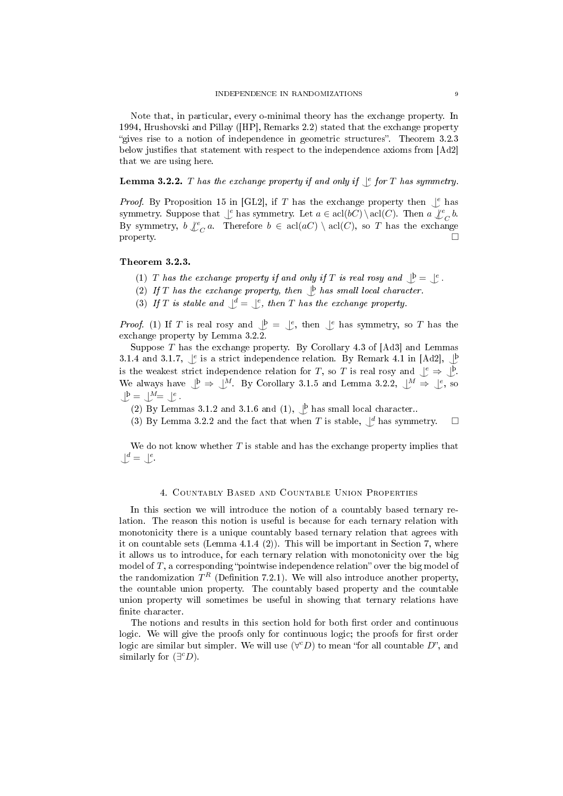Note that, in particular, every o-minimal theory has the exchange property. In 1994, Hrushovski and Pillay ([HP], Remarks 2.2) stated that the exchange property "gives rise to a notion of independence in geometric structures". Theorem 3.2.3 below justifies that statement with respect to the independence axioms from [Ad2] that we are using here.

**Lemma 3.2.2.**  $T$  has the exchange property if and only if  $\int_c^c$  for  $T$  has symmetry.

*Proof.* By Proposition 15 in [GL2], if T has the exchange property then  $\bigcup_{i=1}^e$  has symmetry. Suppose that  $\bigcup_{c}$  has symmetry. Let  $a \in \text{acl}(bC) \setminus \text{acl}(C)$ . Then  $a \bigcup_{C}^e b$ . By symmetry,  $b \nvert \nvert e_C a$ . Therefore  $b \in \operatorname{acl}(aC) \setminus \operatorname{acl}(C)$ , so T has the exchange property.  $\Box$ 

#### Theorem 3.2.3.

- (1) T has the exchange property if and only if T is real rosy and  $\bigcup^{\mathfrak{b}} = \bigcup^{\mathfrak{e}}$ .
- (2) If T has the exchange property, then  $\mathcal{L}$  has small local character.
- (3) If T is stable and  $\bigcup^d = \bigcup^e$ , then T has the exchange property.

*Proof.* (1) If T is real rosy and  $\mathcal{L}^{\mathfrak{b}} = \mathcal{L}^{\mathfrak{e}}$ , then  $\mathcal{L}^{\mathfrak{e}}$  has symmetry, so T has the exchange property by Lemma 3.2.2.

Suppose T has the exchange property. By Corollary 4.3 of [Ad3] and Lemmas 3.1.4 and 3.1.7,  $\int_{c}^e$  is a strict independence relation. By Remark 4.1 in [Ad2],  $\int_{c}^b$ is the weakest strict independence relation for T, so T is real rosy and  $\bigcup_{\alpha=1}^e \Rightarrow \bigcup_{\alpha=1}^b$ . We always have  $\bigcup^{\beta} \Rightarrow \bigcup^M$ . By Corollary 3.1.5 and Lemma 3.2.2,  $\bigcup^M \Rightarrow \bigcup^e$ , so  $\bigcup^{\beta} = \bigcup^{M} = \bigcup^e$ .

(2) By Lemmas 3.1.2 and 3.1.6 and (1),  $\bigcup_{P}$  has small local character..

(3) By Lemma 3.2.2 and the fact that when  $T$  is stable,  $\bigcup^d$  has symmetry.  $\Box$ 

We do not know whether  $T$  is stable and has the exchange property implies that  $\bigcup^d = \bigcup^e$ .

## 4. Countably Based and Countable Union Properties

In this section we will introduce the notion of a countably based ternary relation. The reason this notion is useful is because for each ternary relation with monotonicity there is a unique countably based ternary relation that agrees with it on countable sets (Lemma 4.1.4 (2)). This will be important in Section 7, where it allows us to introduce, for each ternary relation with monotonicity over the big model of  $T$ , a corresponding "pointwise independence relation" over the big model of the randomization  $T^R$  (Definition 7.2.1). We will also introduce another property, the countable union property. The countably based property and the countable union property will sometimes be useful in showing that ternary relations have finite character.

The notions and results in this section hold for both first order and continuous logic. We will give the proofs only for continuous logic; the proofs for first order logic are similar but simpler. We will use  $(\forall c D)$  to mean "for all countable  $D$ ", and similarly for  $(\exists^c D)$ .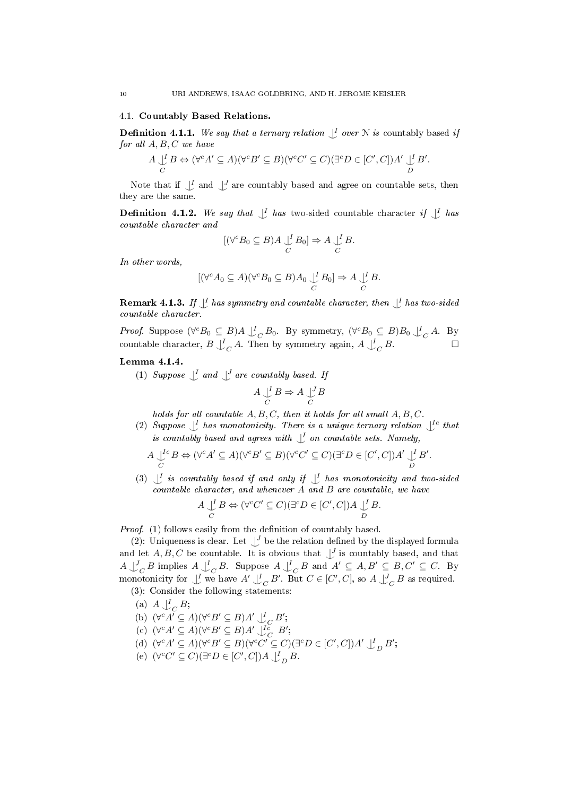### 4.1. Countably Based Relations.

**Definition 4.1.1.** We say that a ternary relation  $\bigcup_{i=1}^{n}$  over N is countably based if for all  $A, B, C$  we have

$$
A \underset{C}{\cup} B \Leftrightarrow (\forall^c A' \subseteq A)(\forall^c B' \subseteq B)(\forall^c C' \subseteq C)(\exists^c D \in [C', C]) A' \underset{D}{\cup} B'.
$$

Note that if  $\bigcup_{i=1}^{L}$  and  $\bigcup_{i=1}^{L}$  are countably based and agree on countable sets, then they are the same.

**Definition 4.1.2.** We say that  $\bigcup_{i=1}^{L}$  has two-sided countable character if  $\bigcup_{i=1}^{L}$  has countable character and

$$
[(\forall^c B_0 \subseteq B)A \bigcup_C^I B_0] \Rightarrow A \bigcup_C^I B.
$$

In other words,

$$
[(\forall^c A_0 \subseteq A)(\forall^c B_0 \subseteq B)A_0 \bigcup_C B_0] \Rightarrow A \bigcup_C B.
$$

**Remark 4.1.3.** If  $\bigcup^{I}$  has symmetry and countable character, then  $\bigcup^{I}$  has two-sided countable character.

*Proof.* Suppose  $(\forall^c B_0 \subseteq B) A \bigcup_C B_0$ . By symmetry,  $(\forall^c B_0 \subseteq B) B_0 \bigcup_C A$ . By countable character,  $B \downarrow_C^I A$ . Then by symmetry again,  $A \downarrow_C^I B$ .

## Lemma 4.1.4.

(1) Suppose  $\bigcup$  and  $\bigcup$  are countably based. If

$$
A \bigcup_C B \Rightarrow A \bigcup_C B
$$

holds for all countable  $A, B, C$ , then it holds for all small  $A, B, C$ .

(2) Suppose  $\bigcup_{i=1}^{n}$  has monotonicity. There is a unique ternary relation  $\bigcup_{i=1}^{n}$  that is countably based and agrees with  $\bigcup^I$  on countable sets. Namely,

$$
A \bigcup_{C}^{I_{C}} B \Leftrightarrow (\forall^{c} A' \subseteq A)(\forall^{c} B' \subseteq B)(\forall^{c} C' \subseteq C)(\exists^{c} D \in [C', C]) A' \bigcup_{D}^{I} B'.
$$

(3)  $\bigcup$  is countably based if and only if  $\bigcup$  has monotonicity and two-sided countable character, and whenever A and B are countable, we have

$$
A \underset{C}{\downarrow} B \Leftrightarrow (\forall^c C' \subseteq C)(\exists^c D \in [C', C]) A \underset{D}{\downarrow} B.
$$

Proof. (1) follows easily from the definition of countably based.

(2): Uniqueness is clear. Let  $\bigcup^J$  be the relation defined by the displayed formula and let  $A, B, C$  be countable. It is obvious that  $\bigcup_{i=1}^{J}$  is countably based, and that  $A \bigcup_{C}^{J} B$  implies  $A \bigcup_{C}^{I} B$ . Suppose  $A \bigcup_{C}^{I} B$  and  $A' \subseteq A, B' \subseteq B, C' \subseteq C$ . By monotonicity for  $\bigcup^I$  we have  $A' \bigcup^I_C B'$ . But  $C \in [C', C]$ , so  $A \bigcup^J_C B$  as required. (3): Consider the following statements:

- (a)  $A \downarrow_{C}^{I} B;$  $\mathcal{L}_C$
- (b)  $(\forall^c A' \subseteq A)(\forall^c B' \subseteq B)A' \bigcup_{C}^{I} B';$
- (c)  $(\forall^c A' \subseteq A)(\forall^c B' \subseteq B)A' \downarrow_{C}^{Ic} B';$
- (d)  $(\forall^c A' \subseteq A)(\forall^c B' \subseteq B)(\forall^c C' \subseteq C)(\exists^c D \in [C', C]) A' \downarrow_D^L B';$
- (e)  $(\forall^c C' \subseteq C)(\exists^c D \in [C', C]) A \bigcup_D^I B$ .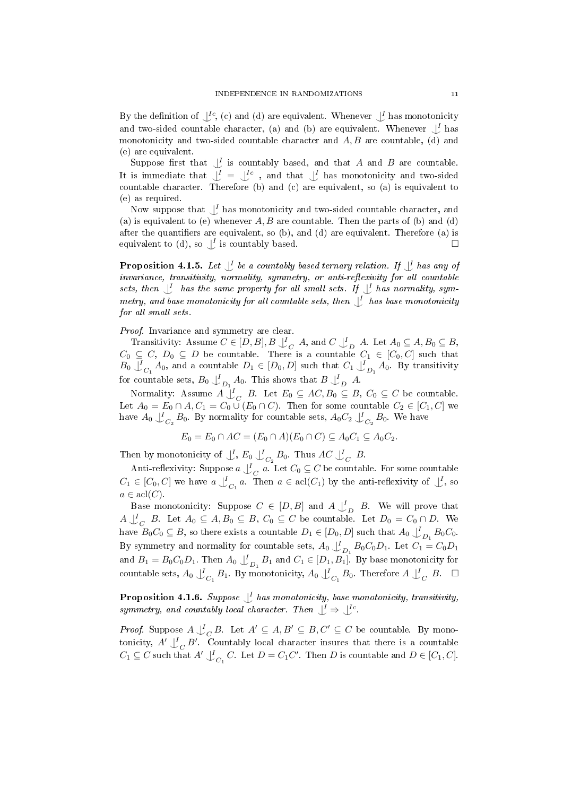By the definition of  $\bigcup^{Ic}$ , (c) and (d) are equivalent. Whenever  $\bigcup^{I}$  has monotonicity and two-sided countable character, (a) and (b) are equivalent. Whenever  $\bigcup_{i=1}^{l}$  has monotonicity and two-sided countable character and  $A, B$  are countable, (d) and (e) are equivalent.

Suppose first that  $\bigcup_{i=1}^{I}$  is countably based, and that A and B are countable. It is immediate that  $\bigcup_{i=1}^{L}$  =  $\bigcup_{i=1}^{L}$  and that  $\bigcup_{i=1}^{L}$  has monotonicity and two-sided countable character. Therefore (b) and (c) are equivalent, so (a) is equivalent to (e) as required.

Now suppose that  $\bigcup_{\alpha} I$  has monotonicity and two-sided countable character, and (a) is equivalent to (e) whenever  $A, B$  are countable. Then the parts of (b) and (d) after the quantifiers are equivalent, so  $(b)$ , and  $(d)$  are equivalent. Therefore  $(a)$  is equivalent to (d), so  $\bigcup$  is countably based.

**Proposition 4.1.5.** Let  $\bigcup^{I}$  be a countably based ternary relation. If  $\bigcup^{I}$  has any of  $invariance,$  transitivity, normality, symmetry, or anti-reflexivity for all countable sets, then  $\bigcup_{I}$  has the same property for all small sets. If  $\bigcup_{I} I$  has normality, symmetry, and base monotonicity for all countable sets, then  $\bigcup_{I}$  has base monotonicity for all small sets.

Proof. Invariance and symmetry are clear.

Transitivity: Assume  $C \in [D, B], B \downarrow_C^I A$ , and  $C \downarrow_D^I A$ . Let  $A_0 \subseteq A, B_0 \subseteq B$ ,  $C_0 \subseteq C, D_0 \subseteq D$  be countable. There is a countable  $C_1 \in [C_0, C]$  such that  $B_0 \bigcup_{C_1}^I A_0$ , and a countable  $D_1 \in [D_0, D]$  such that  $C_1 \bigcup_{D_1}^I A_0$ . By transitivity for countable sets,  $B_0 \bigcup_{D_1}^I A_0$ . This shows that  $B \bigcup_{D}^I A$ .

Normality: Assume  $A \bigcup_{C}^{\infty} B$ . Let  $E_0 \subseteq AC, B_0 \subseteq B, C_0 \subseteq C$  be countable. Let  $A_0 = E_0 \cap A, C_1 = C_0 \cup (E_0 \cap C)$ . Then for some countable  $C_2 \in [C_1, C]$  we have  $A_0 \downarrow_{C_2}^l B_0$ . By normality for countable sets,  $A_0C_2 \downarrow_{C_2}^l B_0$ . We have

$$
E_0 = E_0 \cap AC = (E_0 \cap A)(E_0 \cap C) \subseteq A_0C_1 \subseteq A_0C_2.
$$

Then by monotonicity of  $\bigcup_{\alpha=0}^{\infty}$ ,  $E_0$   $\bigcup_{C_2}^{\infty}$   $B_0$ . Thus  $AC$   $\bigcup_{\alpha=0}^{\infty}$   $B$ .

Anti-reflexivity: Suppose  $a \downarrow_C^I a$ . Let  $C_0 \subseteq C$  be countable. For some countable  $C_1 \in [C_0, C]$  we have  $a \bigcup_{C_1}^I a$ . Then  $a \in \text{acl}(C_1)$  by the anti-reflexivity of  $\bigcup_{C_1}^I$ , so  $a \in \text{acl}(C)$ .

Base monotonicity: Suppose  $C \in [D, B]$  and  $A \downarrow_D^I B$ . We will prove that  $A\bigcup_{C}^{I}B$ . Let  $A_0\subseteq A, B_0\subseteq B, C_0\subseteq C$  be countable. Let  $D_0=C_0\cap D$ . We have  $B_0C_0 \subseteq B$ , so there exists a countable  $D_1 \in [D_0, D]$  such that  $A_0 \bigcup_{D_1}^I B_0C_0$ . By symmetry and normality for countable sets,  $A_0 \int_{D_1}^{I} B_0 C_0 D_1$ . Let  $C_1 = C_0 D_1$ and  $B_1 = B_0 C_0 D_1$ . Then  $A_0 \bigcup_{D_1}^I B_1$  and  $C_1 \in [D_1, B_1]$ . By base monotonicity for countable sets, A<sup>0</sup> | I ^<sup>C</sup><sup>1</sup> B1. By monotonicity, A<sup>0</sup> | I ^<sup>C</sup><sup>1</sup> B0. Therefore A | I ^<sup>C</sup> B.

**Proposition 4.1.6.** Suppose  $\bigcup_{i=1}^{L}$  has monotonicity, base monotonicity, transitivity, symmetry, and countably local character. Then  $\bigcup^I \Rightarrow \bigcup^{Ic}$ .

*Proof.* Suppose  $A \bigcup_{C} B$ . Let  $A' \subseteq A, B' \subseteq B, C' \subseteq C$  be countable. By monotonicity,  $A' \bigcup_C' B'$ . Countably local character insures that there is a countable  $C_1 \subseteq C$  such that  $A' \downarrow_{C_1}^{\text{I}} C$ . Let  $D = C_1 C'$ . Then D is countable and  $D \in [C_1, C]$ .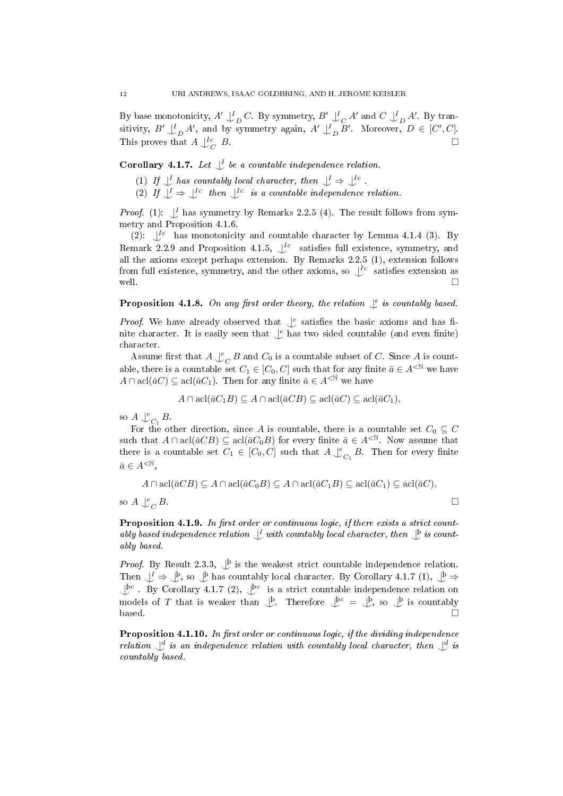By base monotonicity,  $A' \downarrow_D^I C$ . By symmetry,  $B' \downarrow_C^I A'$  and  $C \downarrow_D^I A'$ . By transitivity,  $B' \perp_D^{\mathcal{I}} A'$ , and by symmetry again,  $A' \perp_D^{\mathcal{I}} B'$ . Moreover,  $D \in [C', C]$ . This proves that  $A\smash{\bigcup\limits_{C}^{Ic}}$  $B$ .

**Corollary 4.1.7.** Let  $\mathcal{L}$  be a countable independence relation.

- (1) If  $\bigcup_{i=1}^{l}$  has countably local character, then  $\bigcup_{i=1}^{l} \Rightarrow \bigcup_{i=1}^{l}$ .
- (2) If  $\bigcup^{I} \Rightarrow \bigcup^{I}^{c}$  then  $\bigcup^{I}^{c}$  is a countable independence relation.

*Proof.* (1):  $\bigcup_{i=1}^{n}$  has symmetry by Remarks 2.2.5 (4). The result follows from symmetry and Proposition 4.1.6.

(2):  $\bigcup^{Ic}$  has monotonicity and countable character by Lemma 4.1.4 (3). By Remark 2.2.9 and Proposition 4.1.5,  $\int_{0}^{Ic}$  satisfies full existence, symmetry, and all the axioms except perhaps extension. By Remarks 2.2.5 (1), extension follows from full existence, symmetry, and the other axioms, so  $\bigcup^{Ic}$  satisfies extension as well.  $\Box$ 

**Proposition 4.1.8.** On any first order theory, the relation  $\int_e^e$  is countably based.

*Proof.* We have already observed that  $\int_{\epsilon}^{\epsilon}$  satisfies the basic axioms and has finite character. It is easily seen that  $\int_{\epsilon}^{\epsilon}$  has two sided countable (and even finite) character.

Assume first that  $A \bigcup_{C}^{e} B$  and  $C_0$  is a countable subset of C. Since A is countable, there is a countable set  $C_1 \in [C_0, C]$  such that for any finite  $\bar{a} \in A^{\leq \mathbb{N}}$  we have  $A \cap \text{acl}(\bar{a}C) \subseteq \text{acl}(\bar{a}C_1)$ . Then for any finite  $\bar{a} \in A^{< \mathbb{N}}$  we have

$$
A \cap \operatorname{acl}(\bar{a}C_1B) \subseteq A \cap \operatorname{acl}(\bar{a}CB) \subseteq \operatorname{acl}(\bar{a}C) \subseteq \operatorname{acl}(\bar{a}C_1),
$$

so  $A \bigcup_{C_1}^e B$ .

For the other direction, since A is countable, there is a countable set  $C_0 \subseteq C$ such that  $A \cap \text{acl}(\bar{a}CB) \subseteq \text{acl}(\bar{a}C_0B)$  for every finite  $\bar{a} \in A^{. Now assume that$ there is a countable set  $C_1 \in [C_0, C]$  such that  $A \downarrow^e_{C_1} B$ . Then for every finite  $\bar{a} \in A^{\leq \mathbb{N}}.$ 

$$
A \cap \operatorname{acl}(\bar{a}CB) \subseteq A \cap \operatorname{acl}(\bar{a}C_0B) \subseteq A \cap \operatorname{acl}(\bar{a}C_1B) \subseteq \operatorname{acl}(\bar{a}C_1) \subseteq \operatorname{acl}(\bar{a}C),
$$

so  $A \bigcup_{C}^{e}$  $B$ .

Proposition 4.1.9. In first order or continuous logic, if there exists a strict countably based independence relation  $\perp^I$  with countably local character, then  $\perp^b$  is countably based.

*Proof.* By Result 2.3.3,  $\bigcup_{i=1}^{p}$  is the weakest strict countable independence relation. Then  $\bigcup^I \Rightarrow \bigcup^b$ , so  $\bigcup^b$  has countably local character. By Corollary 4.1.7 (1),  $\bigcup^b \Rightarrow$  $\perp^{\mathbf{b}c}$ . By Corollary 4.1.7 (2),  $\perp^{\mathbf{b}c}$  is a strict countable independence relation on models of T that is weaker than  $\bigcup_{\alpha=0}^{\infty}$ . Therefore  $\bigcup_{\alpha=0}^{\infty}$  =  $\bigcup_{\alpha=0}^{\infty}$ , so  $\bigcup_{\alpha=0}^{\infty}$  is countably  $base$ d.  $\Box$ 

**Proposition 4.1.10.** In first order or continuous logic, if the dividing independence relation  $\bigcup_{\alpha=1}^d$  is an independence relation with countably local character, then  $\bigcup_{\alpha=1}^d$  is countably based.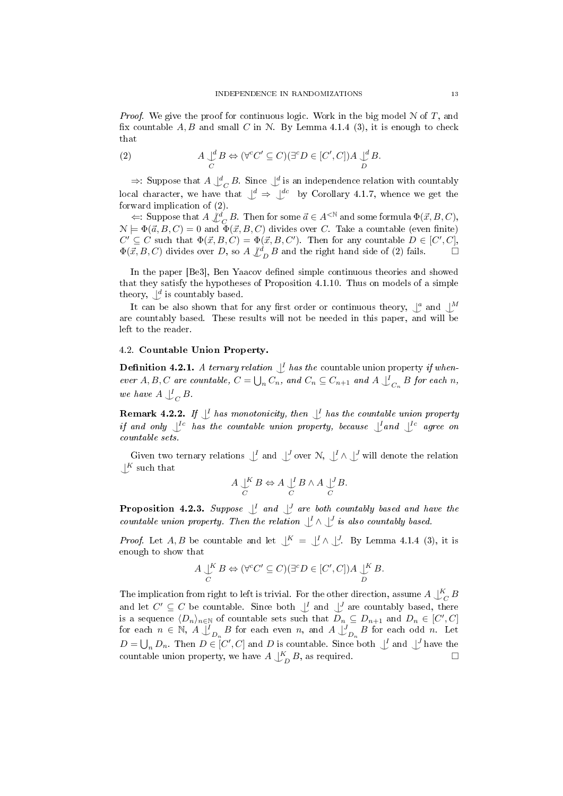*Proof.* We give the proof for continuous logic. Work in the big model  $\mathcal N$  of  $T$ , and fix countable  $A, B$  and small C in N. By Lemma 4.1.4 (3), it is enough to check that

(2) 
$$
A \underset{C}{\cup}^d B \Leftrightarrow (\forall^c C' \subseteq C)(\exists^c D \in [C', C]) A \underset{D}{\cup}^d B.
$$

 $\Rightarrow$ : Suppose that  $A \bigcup_{C}^{d} B$ . Since  $\bigcup_{C}^{d}$  is an independence relation with countably local character, we have that  $\bigcup^d \Rightarrow \bigcup^{dc}$  by Corollary 4.1.7, whence we get the forward implication of (2).

 $\Leftarrow: \text{ Suppose that } A \nsubseteq^d_C B. \text{ Then for some } \vec{a} \in A^{<\mathbb{N}} \text{ and some formula } \Phi(\vec{x}, B, C),$  $\mathcal{N} \models \Phi(\vec{a}, B, C) = 0$  and  $\Phi(\vec{x}, B, C)$  divides over C. Take a countable (even finite)  $C' \subseteq C$  such that  $\Phi(\vec{x}, B, C) = \Phi(\vec{x}, B, C')$ . Then for any countable  $D \in [C', C]$ ,  $\Phi(\vec{x}, B, C)$  divides over D, so  $A \nvert \nvert_A^d B$  and the right hand side of (2) fails.

In the paper [Be3], Ben Yaacov defined simple continuous theories and showed that they satisfy the hypotheses of Proposition 4.1.10. Thus on models of a simple theory,  $\bigcup^{d}$  is countably based.

It can be also shown that for any first order or continuous theory,  $\int_a^a$  and  $\int_a^M$ are countably based. These results will not be needed in this paper, and will be left to the reader.

## 4.2. Countable Union Property.

**Definition 4.2.1.** A ternary relation  $\bigcup_{i=1}^{n}$  has the countable union property if whenever A, B, C are countable,  $C = \bigcup_n C_n$ , and  $C_n \subseteq C_{n+1}$  and  $A \bigcup_{C_n} B$  for each n, we have  $A \bigcup_C^I B$ .

**Remark 4.2.2.** If  $\bigcup_{I}$  has monotonicity, then  $\bigcup_{I}$  has the countable union property if and only  $\bigcup^{\text{lc}}$  has the countable union property, because  $\bigcup^{\text{L}}$  and  $\bigcup^{\text{lc}}$  agree on countable sets.

Given two ternary relations  $\bigcup^I$  and  $\bigcup^J$  over  $\mathcal{N}, \bigcup^I \wedge \bigcup^J$  will denote the relation  $\bigcup^K$  such that

$$
A \underset{C}{\bigcup}^{K} B \Leftrightarrow A \underset{C}{\bigcup}^{I} B \wedge A \underset{C}{\bigcup}^{J} B.
$$

**Proposition 4.2.3.** Suppose  $\bigcup_{i=1}^{I}$  and  $\bigcup_{i=1}^{J}$  are both countably based and have the countable union property. Then the relation  $\bigcup^{I} \wedge \bigcup^{J}$  is also countably based.

*Proof.* Let A, B be countable and let  $\bigcup^{K} = \bigcup^{I} \wedge \bigcup^{J}$ . By Lemma 4.1.4 (3), it is enough to show that

$$
A \underset{C}{\cup}^K B \Leftrightarrow (\forall^c C' \subseteq C)(\exists^c D \in [C', C]) A \underset{D}{\cup}^K B.
$$

The implication from right to left is trivial. For the other direction, assume  $A\bigcup_{C}^{K}B$ and let  $C' \subseteq C$  be countable. Since both  $\bigcup_{\alpha}^I$  and  $\bigcup_{\alpha}^J$  are countably based, there is a sequence  $\langle D_n \rangle_{n \in \mathbb{N}}$  of countable sets such that  $D_n \subseteq D_{n+1}$  and  $D_n \in [C', C]$ for each  $n \in \mathbb{N}$ ,  $A \bigcup_{D_n}^I B$  for each even n, and  $A \bigcup_{D_n}^I B$  for each odd n. Let  $D = \bigcup_n D_n$ . Then  $D \in [C', C]$  and D is countable. Since both  $\bigcup_{L}$  and  $\bigcup_{L}$  have the countable union property, we have  $A \downarrow_D^K B$ , as required.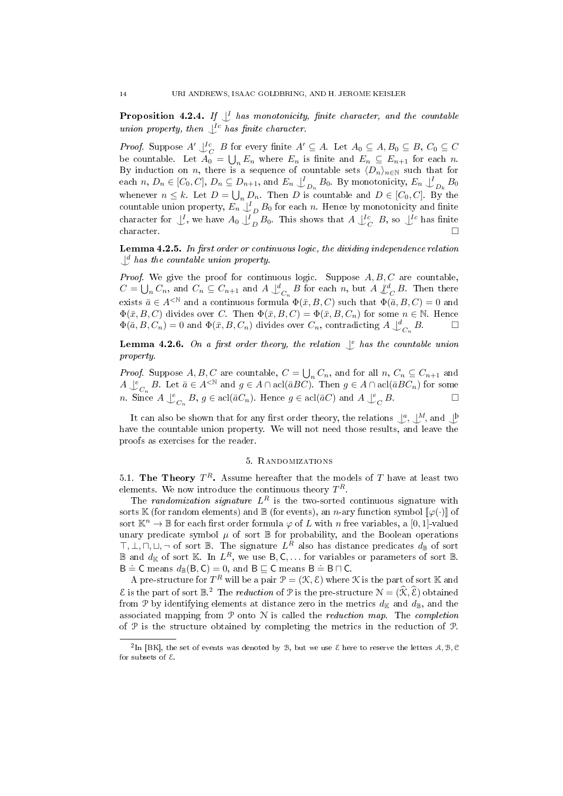**Proposition 4.2.4.** If  $\bigcup_{i=1}^{n}$  has monotonicity, finite character, and the countable union property, then  $\bigcup^{\infty}$  has finite character.

*Proof.* Suppose  $A' \bigcup_C^{\text{Ic}} B$  for every finite  $A' \subseteq A$ . Let  $A_0 \subseteq A$ ,  $B_0 \subseteq B$ ,  $C_0 \subseteq C$ be countable. Let  $A_0 = \bigcup_n E_n$  where  $E_n$  is finite and  $E_n \subseteq E_{n+1}$  for each n. By induction on n, there is a sequence of countable sets  $\langle D_n\rangle_{n\in\mathbb{N}}$  such that for each  $n, D_n \in [C_0, C], D_n \subseteq D_{n+1}$ , and  $E_n \downarrow_{D_n}^l B_0$ . By monotonicity,  $E_n \downarrow_{D_k}^l B_0$ whenever  $n \leq k$ . Let  $D = \bigcup_n D_n$ . Then D is countable and  $D \in [C_0, C]$ . By the countable union property,  $E_n \bigcup_{D}^{\infty} B_0$  for each n. Hence by monotonicity and finite character for  $\bigcup_L$ , we have  $A_0 \bigcup_L B_0$ . This shows that  $A \bigcup_C^L B$ , so  $\bigcup^L c$  has finite character.  $\square$ 

**Lemma 4.2.5.** In first order or continuous logic, the dividing independence relation  $\bigcup^d$  has the countable union property.

Proof. We give the proof for continuous logic. Suppose  $A, B, C$  are countable,  $C = \bigcup_n C_n$ , and  $C_n \subseteq C_{n+1}$  and  $A \bigcup_{C_n}^d B$  for each n, but  $A \bigcup_{C}^d B$ . Then there exists  $\overline{a} \in A^{<\mathbb{N}}$  and a continuous formula  $\Phi(\overline{x}, B, C)$  such that  $\Phi(\overline{a}, B, C) = 0$  and  $\Phi(\bar{x}, B, C)$  divides over C. Then  $\Phi(\bar{x}, B, C) = \Phi(\bar{x}, B, C_n)$  for some  $n \in \mathbb{N}$ . Hence  $\Phi(\bar{a}, B, C_n) = 0$  and  $\Phi(\bar{x}, B, C_n)$  divides over  $C_n$ , contradicting  $A \bigcup_{C_n}^d B$ .

**Lemma 4.2.6.** On a first order theory, the relation  $\int_c^e$  has the countable union property.

*Proof.* Suppose  $A, B, C$  are countable,  $C = \bigcup_n C_n$ , and for all  $n, C_n \subseteq C_{n+1}$  and  $A\bigcup_{C_n}^e B$ . Let  $\bar{a}\in A^{<\mathbb{N}}$  and  $g\in A\cap \text{acl}(\bar{a}BC)$ . Then  $g\in A\cap \text{acl}(\bar{a}BC_n)$  for some *n*. Since  $A \bigcup_{C_n}^e B$ ,  $g \in \text{acl}(\bar{a}C_n)$ . Hence  $g \in \text{acl}(\bar{a}C)$  and  $A \bigcup_{C}^e C_n$  $B$ 

It can also be shown that for any first order theory, the relations  $\bigcup_{\alpha}^{\alpha}$ ,  $\bigcup_{\alpha}^M$ , and  $\bigcup_{\alpha}^{\beta}$ have the countable union property. We will not need those results, and leave the proofs as exercises for the reader.

### 5. Randomizations

5.1. The Theory  $T^R$ . Assume hereafter that the models of T have at least two elements. We now introduce the continuous theory  $T^R$ .

The randomization signature  $L^R$  is the two-sorted continuous signature with sorts K (for random elements) and B (for events), an n-ary function symbol  $\llbracket \varphi(\cdot) \rrbracket$  of sort  $\mathbb{K}^n \to \mathbb{B}$  for each first order formula  $\varphi$  of L with n free variables, a [0, 1]-valued unary predicate symbol  $\mu$  of sort  $\mathbb B$  for probability, and the Boolean operations  $\top, \bot, \sqcap, \sqcup, \neg$  of sort  $\mathbb{B}$ . The signature  $L^R$  also has distance predicates  $d_{\mathbb{B}}$  of sort **B** and  $d_{\mathbb{K}}$  of sort  $\mathbb{K}$ . In  $L^R$ , we use  $B, C, \ldots$  for variables or parameters of sort  $\mathbb{B}$ .  $B \doteq C$  means  $d_{\mathbb{B}}(B, C) = 0$ , and  $B \sqsubseteq C$  means  $B \doteq B \sqcap C$ .

A pre-structure for  $T^R$  will be a pair  $\mathcal{P}=(\mathfrak{K}, \mathcal{E})$  where  $\mathfrak K$  is the part of sort  $\mathbb K$  and  $\mathcal{E}$  is the part of sort  $\mathbb{R}^2$ . The *reduction* of  $\mathcal{P}$  is the pre-structure  $\mathcal{N} = (\widehat{\mathcal{K}}, \widehat{\mathcal{E}})$  obtained from P by identifying elements at distance zero in the metrics  $d_K$  and  $d_B$ , and the associated mapping from  $P$  onto  $N$  is called the *reduction map*. The *completion* of P is the structure obtained by completing the metrics in the reduction of P.

 $^2$ In [BK], the set of events was denoted by B, but we use E here to reserve the letters A, B, C for subsets of E.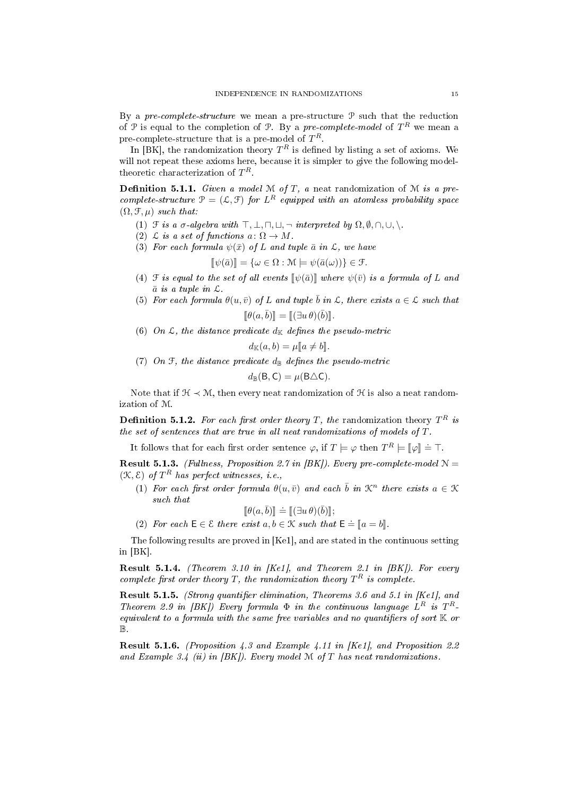By a pre-complete-structure we mean a pre-structure  $P$  such that the reduction of P is equal to the completion of P. By a pre-complete-model of  $T^R$  we mean a pre-complete-structure that is a pre-model of  $T^R$ .

In [BK], the randomization theory  $T^R$  is defined by listing a set of axioms. We will not repeat these axioms here, because it is simpler to give the following modeltheoretic characterization of  $T^R$ .

**Definition 5.1.1.** Given a model M of T, a neat randomization of M is a precomplete-structure  $\mathcal{P} = (\mathcal{L}, \mathcal{F})$  for  $L^R$  equipped with an atomless probability space  $(\Omega, \mathcal{F}, \mu)$  such that:

- (1)  $\mathcal F$  is a  $\sigma$ -algebra with  $\top, \bot, \sqcap, \sqcup, \neg$  interpreted by  $\Omega, \emptyset, \sqcap, \cup, \setminus$ .
- (2)  $\mathcal L$  is a set of functions  $a\colon \Omega\to M$ .
- (3) For each formula  $\psi(\bar{x})$  of L and tuple  $\bar{a}$  in  $\mathcal{L}$ , we have

$$
[\![\psi(\bar{a})]\!] = {\omega \in \Omega : \mathcal{M} \models \psi(\bar{a}(\omega)) \in \mathcal{F}}.
$$

- (4)  $\mathcal F$  is equal to the set of all events  $\llbracket \psi(\bar a) \rrbracket$  where  $\psi(\bar v)$  is a formula of L and  $\bar a$  is a tunle in  $\zeta$  $\bar{a}$  is a tuple in  $\mathcal{L}$ .
- (5) For each formula  $\theta(u, \bar{v})$  of L and tuple  $\bar{b}$  in  $\mathcal{L}$ , there exists  $a \in \mathcal{L}$  such that  $\llbracket \theta(a, \bar{b}) \rrbracket = \llbracket (\exists u \, \theta)(\bar{b}) \rrbracket.$
- (6) On  $\mathcal{L}$ , the distance predicate  $d_{\mathbb{K}}$  defines the pseudo-metric

$$
d_{\mathbb{K}}(a,b) = \mu[\![a \neq b]\!].
$$

(7) On  $\mathfrak{F}$ , the distance predicate  $d_{\mathbb{B}}$  defines the pseudo-metric

$$
d_{\mathbb{B}}(\mathsf{B},\mathsf{C})=\mu(\mathsf{B}\triangle\mathsf{C}).
$$

Note that if  $\mathcal{H} \prec \mathcal{M}$ , then every neat randomization of  $\mathcal{H}$  is also a neat randomization of M.

**Definition 5.1.2.** For each first order theory T, the randomization theory  $T^R$  is the set of sentences that are true in all neat randomizations of models of T.

It follows that for each first order sentence  $\varphi$ , if  $T \models \varphi$  then  $T^R \models [\![\varphi]\!] \doteq \top$ .

**Result 5.1.3.** (Fullness, Proposition 2.7 in [BK]). Every pre-complete-model  $N =$  $(\mathcal{K}, \mathcal{E})$  of  $T^R$  has perfect witnesses, i.e.,

(1) For each first order formula  $\theta(u, \bar{v})$  and each  $\bar{b}$  in  $\mathcal{K}^n$  there exists  $a \in \mathcal{K}$ such that

$$
[\![\theta(a,\bar{b})]\!] \doteq [[(\exists u \,\theta)(\bar{b})]\!];
$$

 $[\![\theta(a,\bar{b})]\!] \doteq [[\exists u \theta)(\bar{b})]\!];$ <br>(2) For each  $\mathsf{E} \in \mathcal{E}$  there exist  $a, b \in \mathcal{K}$  such that  $\mathsf{E} \doteq [a = b]\!]$ .

The following results are proved in [Ke1], and are stated in the continuous setting in [BK].

**Result 5.1.4.** (Theorem 3.10 in [Ke1], and Theorem 2.1 in [BK]). For every complete first order theory T, the randomization theory  $T^R$  is complete.

Result 5.1.5. (Strong quantifier elimination, Theorems 3.6 and 5.1 in [Ke1], and Theorem 2.9 in [BK]) Every formula  $\Phi$  in the continuous language  $L^R$  is  $T^R$ equivalent to a formula with the same free variables and no quantifiers of sort  $K$  or B.

Result 5.1.6. (Proposition 4.3 and Example 4.11 in [Ke1], and Proposition 2.2 and Example 3.4 (ii) in  $|BK|$ ). Every model M of T has neat randomizations.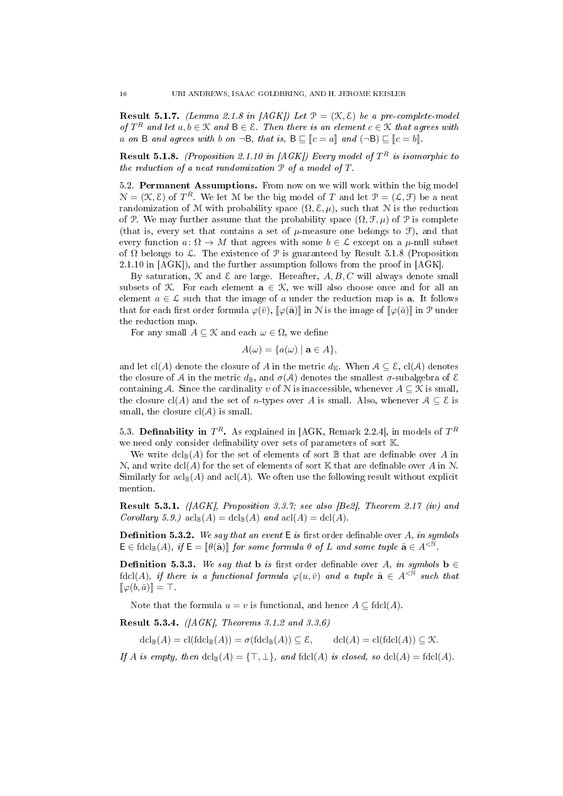**Result 5.1.7.** (Lemma 2.1.8 in [AGK]) Let  $\mathcal{P} = (\mathcal{K}, \mathcal{E})$  be a pre-complete-model of  $T^R$  and let  $a, b \in \mathcal{K}$  and  $B \in \mathcal{E}$ . Then there is an element  $c \in \mathcal{K}$  that agrees with a on B and agrees with b on  $\neg B$ , that is,  $B \sqsubseteq [c = a]$  and  $(\neg B) \sqsubseteq [c = b]$ .

**Result 5.1.8.** (Proposition 2.1.10 in [AGK]) Every model of  $T^R$  is isomorphic to the reduction of a neat randomization P of a model of T.

5.2. Permanent Assumptions. From now on we will work within the big model  $\mathcal{N} = (\mathcal{K}, \mathcal{E})$  of  $T^R$ . We let M be the big model of T and let  $\mathcal{P} = (\mathcal{L}, \mathcal{F})$  be a neat randomization of M with probability space  $(\Omega, \mathcal{E}, \mu)$ , such that N is the reduction of P. We may further assume that the probability space  $(\Omega, \mathcal{F}, \mu)$  of P is complete (that is, every set that contains a set of  $\mu$ -measure one belongs to  $\mathcal{F}$ ), and that every function  $a: \Omega \to M$  that agrees with some  $b \in \mathcal{L}$  except on a  $\mu$ -null subset of  $\Omega$  belongs to  $\mathcal{L}$ . The existence of  $\mathcal{P}$  is guaranteed by Result 5.1.8 (Proposition 2.1.10 in [AGK]), and the further assumption follows from the proof in [AGK].

By saturation,  $K$  and  $\mathcal E$  are large. Hereafter,  $A, B, C$  will always denote small subsets of  $K$ . For each element  $a \in K$ , we will also choose once and for all an element  $a \in \mathcal{L}$  such that the image of a under the reduction map is **a**. It follows that for each first order formula  $\varphi(\bar{v}), \llbracket \varphi(\bar{a}) \rrbracket$  in N is the image of  $\llbracket \varphi(\bar{a}) \rrbracket$  in P under the reduction map.

For any small  $A \subseteq \mathcal{K}$  and each  $\omega \in \Omega$ , we define

$$
A(\omega) = \{a(\omega) \mid \mathbf{a} \in A\},\
$$

and let cl(A) denote the closure of A in the metric  $d_{\mathbb{K}}$ . When  $A \subseteq \mathcal{E}$ , cl(A) denotes the closure of A in the metric  $d_{\mathbb{B}}$ , and  $\sigma(\mathcal{A})$  denotes the smallest  $\sigma$ -subalgebra of E containing A. Since the cardinality  $v$  of  $N$  is inaccessible, whenever  $A \subseteq \mathcal{K}$  is small, the closure cl(A) and the set of n-types over A is small. Also, whenever  $A \subseteq \mathcal{E}$  is small, the closure  $cl(A)$  is small.

5.3. Definability in  $T^R$ . As explained in [AGK, Remark 2.2.4], in models of  $T^R$ we need only consider definability over sets of parameters of sort K.

We write  $dcl_{\mathbb{B}}(A)$  for the set of elements of sort  $\mathbb B$  that are definable over A in N, and write  $\text{dcl}(A)$  for the set of elements of sort K that are definable over A in N. Similarly for  $\operatorname{acl}_{\mathbb{R}}(A)$  and  $\operatorname{acl}(A)$ . We often use the following result without explicit mention.

Result 5.3.1. ([AGK], Proposition 3.3.7; see also [Be2], Theorem 2.17 (iv) and Corollary 5.9.)  $\operatorname{acl}_{\mathbb{B}}(A) = \operatorname{dcl}_{\mathbb{B}}(A)$  and  $\operatorname{acl}(A) = \operatorname{dcl}(A)$ .

**Definition 5.3.2.** We say that an event  $E$  is first order definable over A, in symbols  $\mathsf{E} \in \text{fdcl}_{\mathbb{B}}(A), \text{ if } \mathsf{E} = \llbracket \theta(\bar{\mathbf{a}}) \rrbracket \text{ for some formula } \theta \text{ of } L \text{ and some tuple } \bar{\mathbf{a}} \in A^{< \mathbb{N}}.$ 

**Definition 5.3.3.** We say that **b** is first order definable over A, in symbols **b**  $\in$ fdcl(A), if there is a functional formula  $\varphi(u, \bar{v})$  and a tuple  $\bar{\mathbf{a}} \in A^{\leq \mathbb{N}}$  such that  $[\![\varphi(b,\bar a)]\!] = \top.$ 

Note that the formula  $u = v$  is functional, and hence  $A \subseteq \text{fdcl}(A)$ .

Result 5.3.4. ([AGK], Theorems 3.1.2 and 3.3.6)

 $dcl_{\mathbb{R}}(A) = cl(fdcl_{\mathbb{R}}(A)) = \sigma(fdcl_{\mathbb{R}}(A)) \subseteq \mathcal{E}, \qquad dcl(A) = cl(fdcl(A)) \subseteq \mathcal{K}.$ 

If A is empty, then  $dcl_{\mathbb{B}}(A) = {\top, \bot}$ , and  $f dcl(A)$  is closed, so  $dcl(A) = f dcl(A)$ .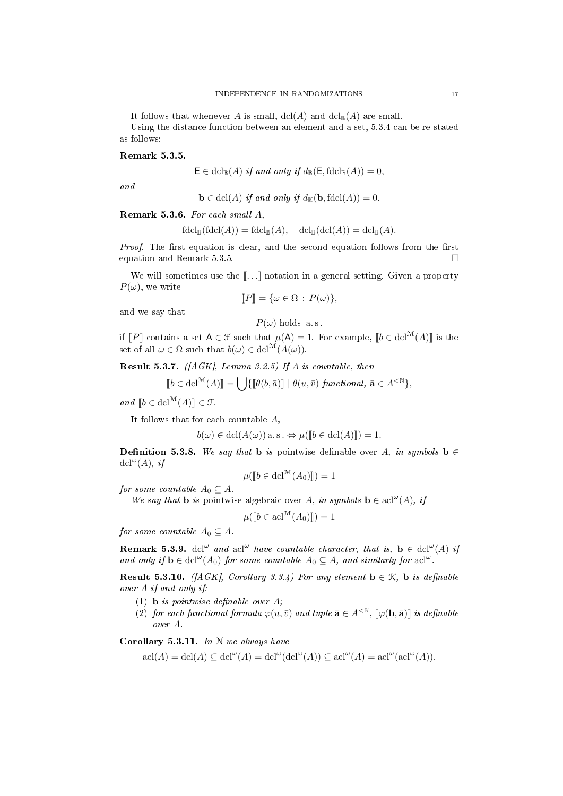It follows that whenever A is small,  $\text{dcl}(A)$  and  $\text{dcl}_{\mathbb{B}}(A)$  are small. Using the distance function between an element and a set, 5.3.4 can be re-stated as follows:

#### Remark 5.3.5.

$$
\mathsf{E} \in \mathrm{dcl}_{\mathbb{B}}(A) \text{ if and only if } d_{\mathbb{B}}(\mathsf{E}, \mathrm{fdcl}_{\mathbb{B}}(A)) = 0,
$$

and

$$
\mathbf{b} \in \text{dcl}(A) \text{ if and only if } d_{\mathbb{K}}(\mathbf{b}, \text{fdcl}(A)) = 0.
$$

Remark 5.3.6. For each small A,

$$
\mathrm{fdcl}_{\mathbb{B}}(\mathrm{fdcl}(A)) = \mathrm{fdcl}_{\mathbb{B}}(A), \quad \mathrm{dcl}_{\mathbb{B}}(\mathrm{dcl}(A)) = \mathrm{dcl}_{\mathbb{B}}(A).
$$

*Proof.* The first equation is clear, and the second equation follows from the first equation and Remark 5.3.5.

We will sometimes use the  $\llbracket \ldots \rrbracket$  notation in a general setting. Given a property  $P(\omega)$ , we write

$$
[\![P]\!] = \{\omega \in \Omega : P(\omega)\},\
$$

and we say that

$$
P(\omega) \text{ holds a.s.}
$$
  
if  $[P]$  contains a set  $A \in \mathcal{F}$  such that  $\mu(A) = 1$ . For example,  $[b \in \text{dcl}^{\mathcal{M}}(A)]$  is the  
set of all  $\omega \in \Omega$  such that  $b(\omega) \in \text{dcl}^{\mathcal{M}}(A(\omega))$ .

**Result 5.3.7.** ([AGK], Lemma 3.2.5) If A is countable, then

$$
\llbracket b \in \text{dcl}^{\mathcal{M}}(A) \rrbracket = \bigcup \{ \llbracket \theta(b, \bar{a}) \rrbracket \mid \theta(u, \bar{v}) \text{ } functional, \, \bar{\mathbf{a}} \in A^{<\mathbb{N}} \},
$$

and  $[b \in \text{dcl}^{\mathcal{M}}(A)] \in \mathcal{F}.$ 

It follows that for each countable A,

$$
b(\omega) \in \operatorname{dcl}(A(\omega)) \text{ a.s.} \Leftrightarrow \mu([\![b \in \operatorname{dcl}(A)]\!]) = 1.
$$

**Definition 5.3.8.** We say that **b** is pointwise definable over A, in symbols **b**  $\in$  $\text{dcl}^{\omega}(A)$ , if

$$
\mu([\![b \in \mathbf{dcl}^{\mathcal{M}}(A_0)]\!]) = 1
$$

for some countable  $A_0 \subseteq A$ .

We say that **b** is pointwise algebraic over A, in symbols  $\mathbf{b} \in \text{acl}^{\omega}(A)$ , if

$$
\mu([\![b \in \mathrm{acl}^{\mathcal{M}}(A_0)]\!]) = 1
$$

for some countable  $A_0 \subseteq A$ .

**Remark 5.3.9.** dcl<sup>ω</sup> and acl<sup>ω</sup> have countable character, that is,  $\mathbf{b} \in \text{dcl}^{\omega}(A)$  if and only if  $\mathbf{b} \in \text{dcl}^{\omega}(A_0)$  for some countable  $A_0 \subseteq A$ , and similarly for  $\text{acl}^{\omega}$ .

**Result 5.3.10.** ([AGK], Corollary 3.3.4) For any element  $\mathbf{b} \in \mathcal{K}$ ,  $\mathbf{b}$  is definable over A if and only if:

- (1) **b** is pointwise definable over  $A$ ;
- (2) for each functional formula  $\varphi(u, \bar{v})$  and tuple  $\bar{\mathbf{a}} \in A^{\leq \mathbb{N}}$ ,  $[\varphi(\mathbf{b}, \bar{\mathbf{a}})]$  is definable over A.

Corollary 5.3.11. In  $N$  we always have

$$
\operatorname{acl}(A) = \operatorname{dcl}(A) \subseteq \operatorname{dcl}^{\omega}(A) = \operatorname{dcl}^{\omega}(\operatorname{dcl}^{\omega}(A)) \subseteq \operatorname{acl}^{\omega}(A) = \operatorname{acl}^{\omega}(\operatorname{acl}^{\omega}(A)).
$$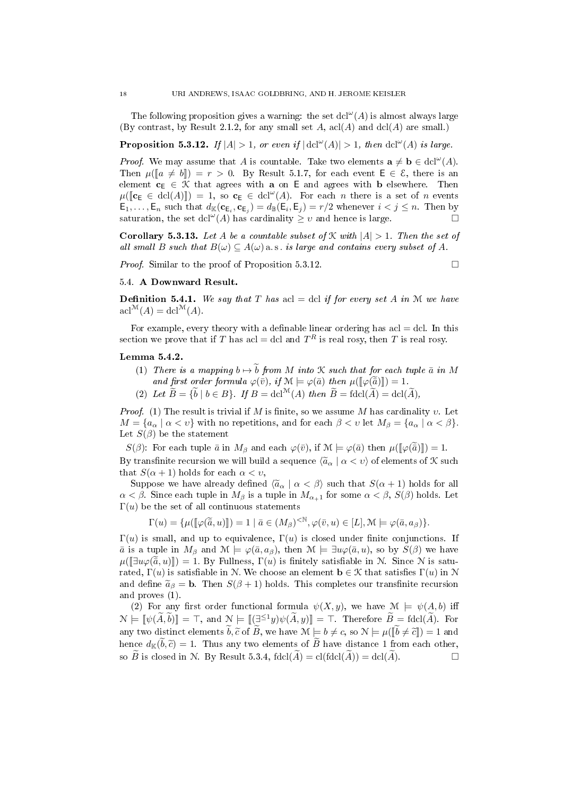The following proposition gives a warning: the set  $dcl^{\omega}(A)$  is almost always large (By contrast, by Result 2.1.2, for any small set A,  $\operatorname{acl}(A)$  and  $\operatorname{dcl}(A)$  are small.)

**Proposition 5.3.12.** If  $|A| > 1$ , or even if  $|\text{dcl}^{\omega}(A)| > 1$ , then  $\text{dcl}^{\omega}(A)$  is large.

*Proof.* We may assume that A is countable. Take two elements  $\mathbf{a} \neq \mathbf{b} \in \text{dcl}^{\omega}(A)$ . Then  $\mu(\llbracket a \neq b \rrbracket) = r > 0$ . By Result 5.1.7, for each event  $\mathsf{E} \in \mathcal{E}$ , there is an element  $c_E \in \mathcal{K}$  that agrees with a on E and agrees with b elsewhere. Then  $\mu([\mathbf{c}_E \in \text{dcl}(A)]) = 1$ , so  $\mathbf{c}_E \in \text{dcl}^{\omega}(A)$ . For each *n* there is a set of *n* events  $\mathsf{E}_1,\ldots,\mathsf{E}_n$  such that  $d_{\mathbb{K}}(\mathbf{c}_{\mathsf{E}_i},\mathbf{c}_{\mathsf{E}_j})=d_{\mathbb{B}}(\mathsf{E}_i,\mathsf{E}_j)=r/2$  whenever  $i < j \leq n$ . Then by saturation, the set dcl<sup>ω</sup>(A) has cardinality  $\geq v$  and hence is large.

**Corollary 5.3.13.** Let A be a countable subset of  $\mathcal K$  with  $|A| > 1$ . Then the set of all small B such that  $B(\omega) \subseteq A(\omega)$  a.s. is large and contains every subset of A.

Proof. Similar to the proof of Proposition 5.3.12.

$$
\qquad \qquad \Box
$$

# 5.4. A Downward Result.

**Definition 5.4.1.** We say that T has acl  $=$  dcl if for every set A in M we have  $\operatorname{acl}^{\mathcal{M}}(A) = \operatorname{dcl}^{\mathcal{M}}(A).$ 

For example, every theory with a definable linear ordering has  $\text{acl} = \text{dcl}$ . In this section we prove that if T has acl = dcl and  $T^R$  is real rosy, then T is real rosy.

## Lemma 5.4.2.

- (1) There is a mapping  $b \mapsto \tilde{b}$  from M into K such that for each tuple  $\bar{a}$  in M and first order formula  $\varphi(\bar{v})$ , if  $\mathcal{M} \models \varphi(\bar{a})$  then  $\mu([\varphi(\bar{\tilde{a}})]) = 1$ .
- (2) Let  $\widetilde{B} = {\widetilde{b} \mid b \in B}$ . If  $B = \text{dcl}^{\mathcal{M}}(A)$  then  $\widetilde{B} = \text{fdcl}(\widetilde{A}) = \text{dcl}(\widetilde{A})$ ,

Proof. (1) The result is trivial if M is finite, so we assume M has cardinality v. Let  $M = \{a_{\alpha} \mid \alpha < v\}$  with no repetitions, and for each  $\beta < v$  let  $M_{\beta} = \{a_{\alpha} \mid \alpha < \beta\}.$ Let  $S(\beta)$  be the statement

 $S(\beta)$ : For each tuple  $\bar{a}$  in  $M_{\beta}$  and each  $\varphi(\bar{v})$ , if  $\mathcal{M} \models \varphi(\bar{a})$  then  $\mu(\llbracket \varphi(\bar{a}) \rrbracket) = 1$ . By transfinite recursion we will build a sequence  $\langle \tilde{a}_{\alpha} | \alpha < v \rangle$  of elements of K such that  $S(\alpha + 1)$  holds for each  $\alpha < v$ ,

Suppose we have already defined  $\langle \tilde{a}_{\alpha} | \alpha \langle \beta \rangle$  such that  $S(\alpha + 1)$  holds for all  $\alpha < \beta$ . Since each tuple in  $M_{\beta}$  is a tuple in  $M_{\alpha+1}$  for some  $\alpha < \beta$ ,  $S(\beta)$  holds. Let Γ(u) be the set of all continuous statements

$$
\Gamma(u) = \{\mu([\![\varphi(\overline{\tilde{a}},u)]\!]) = 1 \mid \overline{a} \in (M_{\beta})^{< \mathbb{N}}, \varphi(\overline{v},u) \in [L], \mathcal{M} \models \varphi(\overline{a},a_{\beta})\}.
$$

Γ(u) is small, and up to equivalence, Γ(u) is closed under finite conjunctions. If  $\bar{a}$  is a tuple in  $M_{\beta}$  and  $\mathcal{M} \models \varphi(\bar{a}, a_{\beta})$ , then  $\mathcal{M} \models \exists u \varphi(\bar{a}, u)$ , so by  $S(\beta)$  we have  $\mu([\exists u\varphi(\tilde{\bar{a}}, u)]) = 1$ . By Fullness,  $\Gamma(u)$  is finitely satisfiable in N. Since N is saturated,  $\Gamma(u)$  is satisfiable in N. We choose an element  $\mathbf{b} \in \mathcal{K}$  that satisfies  $\Gamma(u)$  in N and define  $\tilde{a}_{\beta} = \mathbf{b}$ . Then  $S(\beta + 1)$  holds. This completes our transfinite recursion and proves (1).

(2) For any first order functional formula  $\psi(X, y)$ , we have  $\mathcal{M} \models \psi(A, b)$  iff  $\mathcal{N} \models \llbracket \psi(\widetilde{A}, \widetilde{b}) \rrbracket = \top$ , and  $\mathcal{N} \models \llbracket (\exists^{\leq 1} y) \psi(\widetilde{A}, y) \rrbracket = \top$ . Therefore  $\widetilde{B} = \text{fdcl}(\widetilde{A})$ . For any two distinct elements  $\widetilde{b}, \widetilde{c}$  of  $\widetilde{B}$ , we have  $\mathcal{M} \models b \neq c$ , so  $\mathcal{N} \models \mu([\widetilde{b} \neq \widetilde{c}]) = 1$  and hence  $d_{\mathbb{K}}(\tilde{b}, \tilde{c}) = 1$ . Thus any two elements of  $\tilde{B}$  have distance 1 from each other, so  $\tilde{B}$  is closed in N. By Result 5.3.4, fdcl( $\tilde{A}$ ) = cl(fdcl( $\tilde{A}$ )) = dcl( $\tilde{A}$ ). so  $\widetilde{B}$  is closed in N. By Result 5.3.4,  $\text{fdcl}(\widetilde{A}) = \text{cl}(\text{fdcl}(\widetilde{A})) = \text{dcl}(\widetilde{A})$ .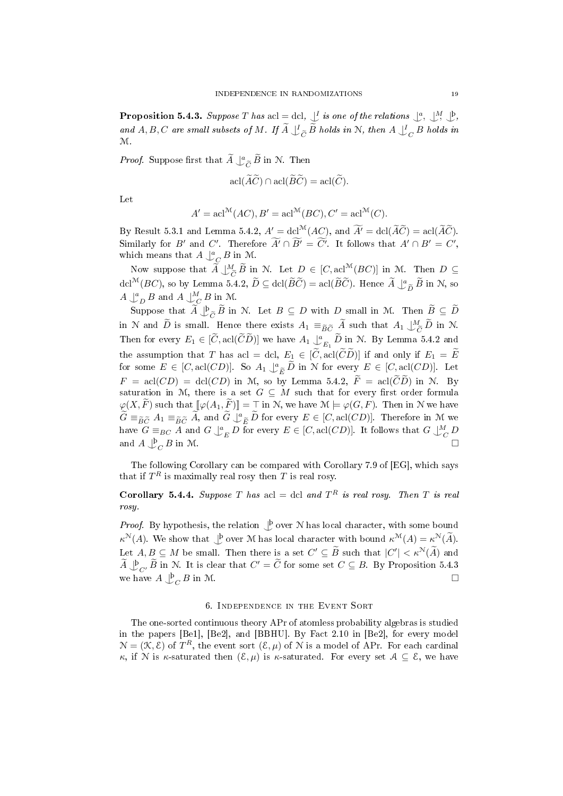**Proposition 5.4.3.** Suppose T has acl  $=$  dcl,  $\bigcup_{\alpha=1}^{\infty}$  is one of the relations  $\bigcup_{\alpha=1}^{\infty}$ ,  $\bigcup_{\alpha=1}^{\infty}$ ,  $\bigcup_{\alpha=1}^{\infty}$ and A, B, C are small subsets of M. If  $\overline{A} \bigcup_{\overline{C}}^{\overline{C}} \overline{B}$  holds in N, then  $A \bigcup_{\overline{C}}^{\overline{C}} B$  holds in M.

*Proof.* Suppose first that  $\widetilde{A} \bigcup_{\widetilde{C}}^{\alpha} \widetilde{B}$  in N. Then

$$
\operatorname{acl}(\widetilde{A}\widetilde{C}) \cap \operatorname{acl}(\widetilde{B}\widetilde{C}) = \operatorname{acl}(\widetilde{C}).
$$

Let

$$
A' = \operatorname{acl}^{\mathcal{M}}(AC), B' = \operatorname{acl}^{\mathcal{M}}(BC), C' = \operatorname{acl}^{\mathcal{M}}(C).
$$

By Result 5.3.1 and Lemma 5.4.2,  $A' = \text{dcl}^{\mathcal{M}}(AC)$ , and  $\widetilde{A'} = \text{dcl}(\widetilde{A}\widetilde{C}) = \text{acl}(\widetilde{A}\widetilde{C})$ . Similarly for B' and C'. Therefore  $\overline{A'} \cap \overline{B'} = \overline{C'}$ . It follows that  $A' \cap B' = C'$ , which means that  $A \downarrow^a_C B$  in M.

Now suppose that  $\widetilde{A} \downarrow^M_{\widetilde{C}} \widetilde{B}$  in N. Let  $D \in [C, \text{acl}^{\mathcal{M}}(BC)]$  in M. Then  $D \subseteq$ <br> $M(\pi, \mathbb{C})$ dcl<sup>M</sup>(*BC*), so by Lemma 5.4.2,  $\widetilde{D} \subseteq \text{dcl}(\widetilde{B}\widetilde{C}) = \text{acl}(\widetilde{B}\widetilde{C})$ . Hence  $\widetilde{A} \downarrow_{\widetilde{D}}^a \widetilde{B}$  in N, so  $A \bigcup_{D}^{a} B$  and  $A \bigcup_{C}^{M} B$  in M.

Suppose that  $\widetilde{A} \bigcup_{\substack{c \subset \widetilde{C}}} \widetilde{B}$  in N. Let  $B \subseteq D$  with D small in M. Then  $\widetilde{B} \subseteq \widetilde{D}$ in N and  $\widetilde{D}$  is small. Hence there exists  $A_1 \equiv_{\widetilde{B}\widetilde{C}} \widetilde{A}$  such that  $A_1 \downarrow^M_{\widetilde{C}} \widetilde{D}$  in N. Then for every  $E_1 \in [\widetilde{C}, \text{acl}(\widetilde{C}\widetilde{D})]$  we have  $A_1 \downarrow_{E_1}^a \widetilde{D}$  in N. By Lemma 5.4.2 and the assumption that T has acl = dcl,  $E_1 \in [\widetilde{C}, \text{acl}(\widetilde{C}\widetilde{D})]$  if and only if  $E_1 = \widetilde{E}$ for some  $E \in [C, \text{acl}(CD)]$ . So  $A_1 \downarrow^a_{\tilde{E}} \tilde{D}$  in N for every  $E \in [C, \text{acl}(CD)]$ . Let  $F = \text{acl}(CD) = \text{dcl}(CD)$  in M, so by Lemma 5.4.2,  $F = \text{acl}(CD)$  in N. By saturation in M, there is a set  $G \subseteq M$  such that for every first order formula  $\varphi(X,\widetilde{F})$  such that  $[\![\varphi(A_1,\widetilde{F})]\!] = \top$  in N, we have  $\mathcal{M} \models \varphi(G,F)$ . Then in N we have  $\widetilde{G} \equiv_{\widetilde{B}\widetilde{C}} A_1 \equiv_{\widetilde{B}\widetilde{C}} \widetilde{A}$ , and  $\widetilde{G} \downarrow_{\widetilde{E}}^a \widetilde{D}$  for every  $E \in [C, \text{acl}(CD)]$ . Therefore in M we have  $G \equiv_{BC} A$  and  $G \bigcup_{E}^{a} D$  for every  $E \in [C, \text{acl}(CD)]$ . It follows that  $G \bigcup_{C}^{M} D$ and  $A \bigcup_C^{\mathfrak{b}} B$  in M.

The following Corollary can be compared with Corollary 7.9 of [EG], which says that if  $T^R$  is maximally real rosy then  $T$  is real rosy.

**Corollary 5.4.4.** Suppose T has acl = dcl and  $T<sup>R</sup>$  is real rosy. Then T is real rosy.

*Proof.* By hypothesis, the relation  $\bigcup_{\alpha=0}^{\infty}$  over N has local character, with some bound  $\kappa^{\mathcal{N}}(A)$ . We show that  $\bigcup_{\alpha=1}^{\infty}$  over M has local character with bound  $\kappa^{\mathcal{M}}(A)=\kappa^{\mathcal{N}}(\tilde{A})$ . Let  $A, B \subseteq M$  be small. Then there is a set  $C' \subseteq \tilde{B}$  such that  $|C'| < \kappa^N(\tilde{A})$  and  $\widetilde{A} \bigcup_{C'} \widetilde{B}$  in N. It is clear that  $C' = \widetilde{C}$  for some set  $C \subseteq B$ . By Proposition 5.4.3 we have  $A \bigcup_C^{\mathfrak{b}} B$  in M.

## 6. Independence in the Event Sort

The one-sorted continuous theory APr of atomless probability algebras is studied in the papers [Be1], [Be2], and [BBHU]. By Fact 2.10 in [Be2], for every model  $\mathcal{N} = (\mathcal{K}, \mathcal{E})$  of  $T^R$ , the event sort  $(\mathcal{E}, \mu)$  of  $\mathcal{N}$  is a model of APr. For each cardinal κ, if N is κ-saturated then  $(\mathcal{E}, \mu)$  is κ-saturated. For every set  $\mathcal{A} \subseteq \mathcal{E}$ , we have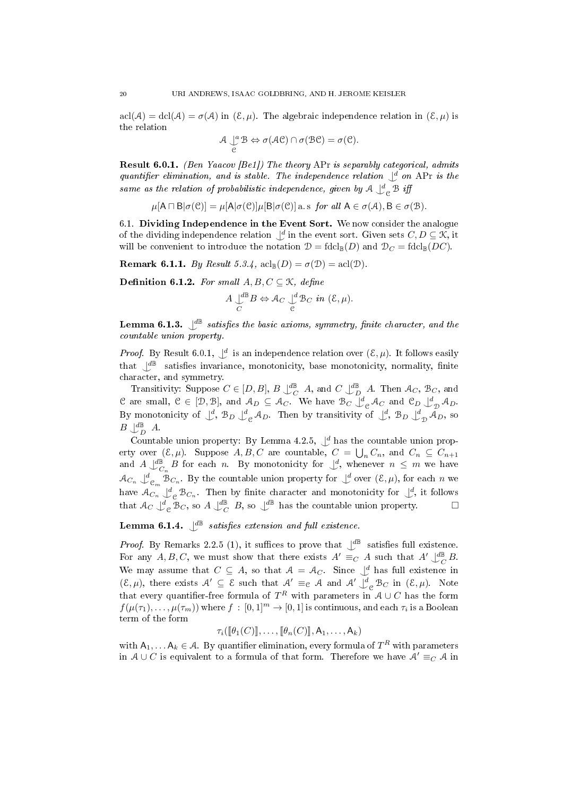$\text{acl}(\mathcal{A}) = \text{dcl}(\mathcal{A}) = \sigma(\mathcal{A})$  in  $(\mathcal{E}, \mu)$ . The algebraic independence relation in  $(\mathcal{E}, \mu)$  is the relation

$$
\mathcal{A} \underset{\mathcal{C}}{\cup} \mathcal{B} \Leftrightarrow \sigma(\mathcal{AC}) \cap \sigma(\mathcal{BC}) = \sigma(\mathcal{C}).
$$

Result 6.0.1. (Ben Yaacov [Be1]) The theory APr is separably categorical, admits quantifier elimination, and is stable. The independence relation  $\bigcup_{i=1}^{d}$  on APr is the same as the relation of probabilistic independence, given by  $\mathcal{A}\bigcup^d_{\mathcal{C}}\mathcal{B}$  iff

 $\mu[A \sqcap B | \sigma(\mathcal{C})] = \mu[A | \sigma(\mathcal{C})] \mu[B | \sigma(\mathcal{C})]$  a.s for all  $A \in \sigma(A), B \in \sigma(\mathcal{B})$ .

6.1. Dividing Independence in the Event Sort. We now consider the analogue of the dividing independence relation  $\bigcup^d$  in the event sort. Given sets  $C, D \subseteq \mathcal{K}$ , it will be convenient to introduce the notation  $\mathcal{D} = \text{fdcl}_{\mathbb{B}}(D)$  and  $\mathcal{D}_C = \text{fdcl}_{\mathbb{B}}(DC)$ .

**Remark 6.1.1.** By Result 5.3.4,  $\mathrm{acl}_{\mathbb{B}}(D) = \sigma(\mathcal{D}) = \mathrm{acl}(\mathcal{D}).$ 

Definition 6.1.2. For small  $A, B, C \subseteq \mathcal{K}$ , define

$$
A\mathop{\cup}_{C}^{d\mathbb{B}}B \Leftrightarrow \mathcal{A}_{C}\mathop{\cup}_{\mathcal{C}}^{d}\mathcal{B}_{C} \ in \ (\mathcal{E},\mu).
$$

**Lemma 6.1.3.**  $\mathcal{L}^{\mathbb{B}}$  satisfies the basic axioms, symmetry, finite character, and the countable union property.

*Proof.* By Result 6.0.1,  $\bigcup^d$  is an independence relation over  $(\mathcal{E}, \mu)$ . It follows easily that  $\mathcal{L}^{\text{dB}}$  satisfies invariance, monotonicity, base monotonicity, normality, finite character, and symmetry.

Transitivity: Suppose  $C \in [D, B], B \cup_{C}^{\text{dB}} A$ , and  $C \cup_{D}^{\text{dB}} A$ . Then  $A_C$ ,  $B_C$ , and C are small,  $C \in [D, \mathcal{B}]$ , and  $\mathcal{A}_D \subseteq \mathcal{A}_C$ . We have  $\mathcal{B}_C \downarrow_{C}^d \mathcal{A}_C$  and  $\mathcal{C}_D \downarrow_{D}^d \mathcal{A}_D$ . By monotonicity of  $\bigcup_{\alpha}^d$ ,  $\mathcal{B}_D \bigcup_{\alpha}^d \mathcal{A}_D$ . Then by transitivity of  $\bigcup_{\alpha}^d$ ,  $\mathcal{B}_D \bigcup_{\alpha}^d \mathcal{A}_D$ , so  $B\bigcup_{D}^{d\mathbb{B}} A$ .

Countable union property: By Lemma 4.2.5,  $\mathcal{J}^d$  has the countable union property over  $(\mathcal{E}, \mu)$ . Suppose  $A, B, C$  are countable,  $C = \bigcup_n C_n$ , and  $C_n \subseteq C_{n+1}$ and  $A\bigcup_{C_n}^{\mathbb{d}^{\mathbb{B}}} B$  for each n. By monotonicity for  $\bigcup_{\alpha}^{\mathbb{d}}$ , whenever  $n \leq m$  we have  $\mathcal{A}_{C_n} \bigcup_{\mathfrak{C}_m}^d \mathfrak{B}_{C_n}$ . By the countable union property for  $\bigcup^d$  over  $(\mathcal{E}, \mu)$ , for each  $n$  we have  $\mathcal{A}_{C_n} \bigcup_{c=0}^d \mathcal{B}_{C_n}$ . Then by finite character and monotonicity for  $\bigcup_{c=0}^d$ , it follows that  $\mathcal{A}_C \bigcup_{c}^d \mathcal{B}_C$ , so  $A \bigcup_{C}^{d\mathbb{B}} B$ , so  $\bigcup_{c}^{d\mathbb{B}}$  has the countable union property.

**Lemma 6.1.4.**  $\bigcup^{\text{dB}}$  satisfies extension and full existence.

*Proof.* By Remarks 2.2.5 (1), it suffices to prove that  $\int_{-\infty}^{\infty}$  satisfies full existence. For any A, B, C, we must show that there exists  $A' \equiv_C A$  such that  $A' \downarrow^{\text{dB}}_C B$ . We may assume that  $C \subseteq A$ , so that  $A = A_C$ . Since  $\bigcup_{i=1}^{d}$  has full existence in  $(\mathcal{E}, \mu)$ , there exists  $\mathcal{A}' \subseteq \mathcal{E}$  such that  $\mathcal{A}' \equiv_{\mathcal{C}} \mathcal{A}$  and  $\mathcal{A}' \bigcup_{\mathcal{C}}^d \mathcal{B}_C$  in  $(\mathcal{E}, \mu)$ . Note that every quantifier-free formula of  $T^R$  with parameters in  $\mathcal{A} \cup C$  has the form  $f(\mu(\tau_1), \ldots, \mu(\tau_m))$  where  $f : [0,1]^m \to [0,1]$  is continuous, and each  $\tau_i$  is a Boolean term of the form

$$
\tau_i(\llbracket \theta_1(C) \rrbracket, \ldots, \llbracket \theta_n(C) \rrbracket, \mathsf{A}_1, \ldots, \mathsf{A}_k)
$$

with  $A_1, \ldots, A_k \in \mathcal{A}$ . By quantifier elimination, every formula of  $T^R$  with parameters in  $A \cup C$  is equivalent to a formula of that form. Therefore we have  $A' \equiv_C A$  in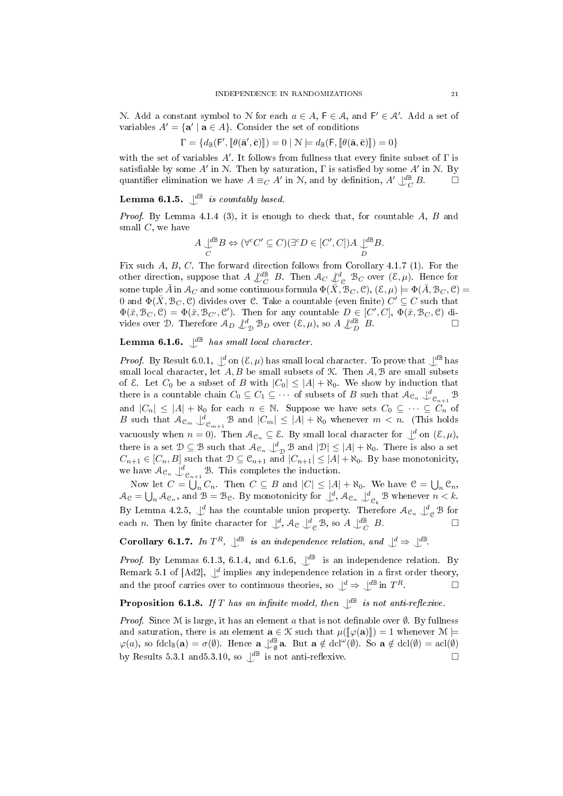N. Add a constant symbol to N for each  $a \in A$ ,  $\mathsf{F} \in \mathcal{A}$ , and  $\mathsf{F}' \in \mathcal{A}'$ . Add a set of variables  $A' = \{a' \mid a \in A\}$ . Consider the set of conditions

$$
\Gamma = \{ d_{\mathbb{B}}(\mathsf{F}', [\![\theta(\bar{\mathbf{a}}', \bar{\mathbf{c}})]\!]) = 0 \mid \mathcal{N} \models d_{\mathbb{B}}(\mathsf{F}, [\![\theta(\bar{\mathbf{a}}, \bar{\mathbf{c}})\!]]) = 0 \}
$$

with the set of variables  $A'$ . It follows from fullness that every finite subset of  $\Gamma$  is satisfiable by some  $A'$  in N. Then by saturation,  $\Gamma$  is satisfied by some  $A'$  in N. By quantifier elimination we have  $A \equiv_C A'$  in N, and by definition,  $A' \bigcup_C^{\text{dB}} B$ .

# **Lemma 6.1.5.**  $\bigcup_{\alpha} \mathbb{B}$  is countably based.

*Proof.* By Lemma 4.1.4 (3), it is enough to check that, for countable  $A$ ,  $B$  and small  $C$ , we have

$$
A \underset{C}{\downarrow^{d\mathbb{B}}} B \Leftrightarrow (\forall^c C' \subseteq C)(\exists^c D \in [C', C]) A \underset{D}{\downarrow^{d\mathbb{B}}} B.
$$

Fix such A, B, C. The forward direction follows from Corollary 4.1.7 (1). For the other direction, suppose that  $A \not\perp^{\text{dB}}_{C} B$ . Then  $A_C \not\perp^d_{C} B_C$  over  $(\mathcal{E}, \mu)$ . Hence for some tuple  $\bar{A}$  in  $\mathcal{A}_C$  and some continuous formula  $\Phi(\bar{X},\mathcal{B}_C,\mathcal{C}),\,(\mathcal{E},\mu)\models \Phi(\bar{A},\mathcal{B}_C,\mathcal{C})=$ 0 and  $\Phi(\bar X, \mathcal{B}_C, \mathcal{C})$  divides over  $\mathcal{C}$ . Take a countable (even finite)  $C' \subseteq C$  such that  $\Phi(\bar{x}, \mathcal{B}_C, \mathcal{C}) = \Phi(\bar{x}, \mathcal{B}_{C'}, \mathcal{C'})$ . Then for any countable  $D \in [C', C], \Phi(\bar{x}, \mathcal{B}_C, \mathcal{C})$  divides over D. Therefore  $A_D \nsubseteq_{\mathcal{D}}^d B_D$  over  $(\mathcal{E}, \mu)$ , so  $A \nsubseteq_{D}^{\mathcal{d}} B$ .

# **Lemma 6.1.6.**  $\downarrow^{\text{dB}}$  has small local character.

*Proof.* By Result 6.0.1,  $\int_a^d$  on  $(\mathcal{E}, \mu)$  has small local character. To prove that  $\int_a^d \mathbb{B}$  has small local character, let  $A, B$  be small subsets of  $K$ . Then  $A, B$  are small subsets of  $\mathcal{E}$ . Let  $C_0$  be a subset of B with  $|C_0| \leq |A| + \aleph_0$ . We show by induction that there is a countable chain  $C_0 \subseteq C_1 \subseteq \cdots$  of subsets of B such that  $\mathcal{A}_{\mathcal{C}_n} \cup_{\mathcal{C}_{n+1}}^d \mathcal{B}$ and  $|C_n| \leq |A| + \aleph_0$  for each  $n \in \mathbb{N}$ . Suppose we have sets  $C_0 \subseteq \cdots \subseteq C_n$  of B such that  $\mathcal{A}_{\mathcal{C}_m} \downarrow_{\mathcal{C}_{m+1}}^d \mathcal{B}$  and  $|C_m| \leq |A| + \aleph_0$  whenever  $m < n$ . (This holds vacuously when  $n = 0$ ). Then  $\mathcal{A}_{\mathcal{C}_n} \subseteq \mathcal{E}$ . By small local character for  $\bigcup^d$  on  $(\mathcal{E}, \mu)$ , there is a set  $\mathcal{D} \subseteq \mathcal{B}$  such that  $\mathcal{A}_{\mathcal{C}_n} \downarrow_{\mathcal{D}}^d \mathcal{B}$  and  $|\mathcal{D}| \leq |A| + \aleph_0$ . There is also a set  $C_{n+1} \in [C_n, B]$  such that  $D \subseteq \mathcal{C}_{n+1}$  and  $|C_{n+1}| \leq |A| + \aleph_0$ . By base monotonicity, we have  $A_{\mathcal{C}_n} \bigcup_{\mathcal{C}_{n+1}}^d \mathcal{B}$ . This completes the induction.

Now let  $C = \bigcup_n C_n$ . Then  $C \subseteq B$  and  $|C| \leq |A| + \aleph_0$ . We have  $\mathcal{C} = \bigcup_n \mathcal{C}_n$ ,  $\mathcal{A}_{\mathcal{C}} = \bigcup_n \mathcal{A}_{\mathcal{C}_n}$ , and  $\mathcal{B} = \mathcal{B}_{\mathcal{C}}$ . By monotonicity for  $\bigcup_{i=1}^d \mathcal{A}_{\mathcal{C}_n} \bigcup_{i=1}^d \mathcal{B}_{\mathcal{C}_k}$  whenever  $n < k$ . By Lemma 4.2.5,  $\underline{\downarrow}^d$  has the countable union property. Therefore  $\mathcal{A}_{\mathcal{C}_n}$   $\underline{\downarrow}^d_{\mathcal{C}}$  B for each *n*. Then by finite character for  $\bigcup_{\alpha}^d$ ,  $\mathcal{A}_{\alpha} \bigcup_{\alpha}^d \mathcal{B}$ , so  $A \bigcup_{\alpha}^d \mathcal{B}$ .

**Corollary 6.1.7.** In  $T^R$ ,  $\downarrow^{\text{dB}}$  is an independence relation, and  $\downarrow^{\text{d}} \Rightarrow \downarrow^{\text{dB}}$ .

*Proof.* By Lemmas 6.1.3, 6.1.4, and 6.1.6,  $\mathcal{L}^{\mathbb{B}}$  is an independence relation. By Remark 5.1 of [Ad2],  $\underline{\mathcal{A}}$  implies any independence relation in a first order theory, and the proof carries over to continuous theories, so  $\bigcup^d \Rightarrow \bigcup^{d\mathbb{B}}$  in  $T^R$ .

# **Proposition 6.1.8.** If T has an infinite model, then  $\bigcup^{\text{dB}}$  is not anti-reflexive.

*Proof.* Since M is large, it has an element a that is not definable over  $\emptyset$ . By fullness and saturation, there is an element  $\mathbf{a} \in \mathcal{K}$  such that  $\mu([\varphi(\mathbf{a})]) = 1$  whenever  $\mathcal{M} \models$  $\varphi(a)$ , so fdcl<sub>B</sub>(a) =  $\sigma(\emptyset)$ . Hence a  $\bigcup^{\text{dB}}_{\emptyset}$ a. But a  $\notin$  dcl<sup>ω</sup>( $\emptyset$ ). So a  $\notin$  dcl $(\emptyset)$  = acl $(\emptyset)$ by Results 5.3.1 and 5.3.10, so  $\mathcal{L}^{\mathbb{B}}$  is not anti-reflexive.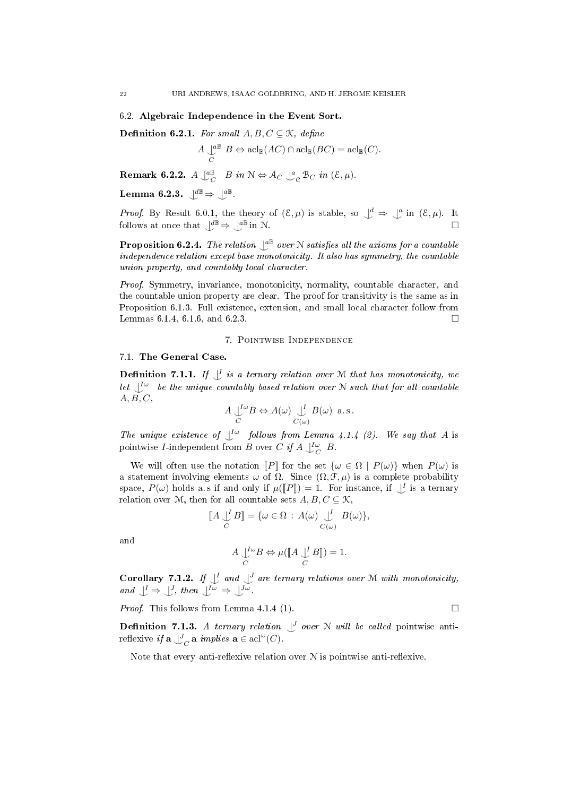#### 6.2. Algebraic Independence in the Event Sort.

Definition 6.2.1. For small  $A, B, C \subseteq \mathcal{K}$ , define

$$
A \underset{C}{\downarrow^{a\mathbb{B}}} B \Leftrightarrow \operatorname{acl}_{\mathbb{B}}(AC) \cap \operatorname{acl}_{\mathbb{B}}(BC) = \operatorname{acl}_{\mathbb{B}}(C).
$$

**Remark 6.2.2.**  $A \downarrow^{\alpha\mathbb{B}}_{C} B$  in  $\mathbb{N} \Leftrightarrow \mathcal{A}_{C} \downarrow^{\alpha}_{\mathbb{C}} \mathcal{B}_{C}$  in  $(\mathcal{E}, \mu)$ .

Lemma 6.2.3.  $\bigcup^{d\mathbb{B}} \Rightarrow \bigcup^{a\mathbb{B}}$ .

*Proof.* By Result 6.0.1, the theory of  $(\mathcal{E}, \mu)$  is stable, so  $\bigcup^d \Rightarrow \bigcup^a$  in  $(\mathcal{E}, \mu)$ . It follows at once that  $\mathcal{L}^{\mathbb{B}} \Rightarrow \mathcal{L}^{\mathbb{B}}$  in N.

**Proposition 6.2.4.** The relation  $\mathcal{L}^{\text{aB}}$  over N satisfies all the axioms for a countable independence relation except base monotonicity. It also has symmetry, the countable union property, and countably local character.

Proof. Symmetry, invariance, monotonicity, normality, countable character, and the countable union property are clear. The proof for transitivity is the same as in Proposition 6.1.3. Full existence, extension, and small local character follow from Lemmas 6.1.4, 6.1.6, and 6.2.3.

## 7. Pointwise Independence

# 7.1. The General Case.

**Definition 7.1.1.** If  $\bigcup_{i=1}^{n}$  is a ternary relation over M that has monotonicity, we let  $\bigcup^{\infty}$  be the unique countably based relation over N such that for all countable  $A, B, C,$ 

$$
A \bigcup_C^{I\omega} B \Leftrightarrow A(\omega) \bigcup_{C(\omega)}^{I} B(\omega) \text{ a.s.}
$$

The unique existence of  $\bigcup^{\mathcal{L}\omega}$  follows from Lemma 4.1.4 (2). We say that A is pointwise *I*-independent from *B* over *C* if  $A \bigcup_{C}^{L_{\omega}} B$ .

We will often use the notation  $\llbracket P \rrbracket$  for the set  $\{\omega \in \Omega \mid P(\omega)\}\$  when  $P(\omega)$  is a statement involving elements  $\omega$  of  $\Omega$ . Since  $(\Omega, \mathcal{F}, \mu)$  is a complete probability space,  $P(\omega)$  holds a.s if and only if  $\mu(\llbracket P \rrbracket) = 1$ . For instance, if  $\perp^I$  is a ternary<br>relation over M, then for all countable sets  $\Lambda$ ,  $B$ ,  $C \subset \mathcal{K}$ relation over M, then for all countable sets  $A, B, C \subseteq \mathcal{K}$ ,

$$
\llbracket A \bigcup_C^I B \rrbracket = \{ \omega \in \Omega : A(\omega) \bigcup_{C(\omega)}^I B(\omega) \},\
$$

and

$$
A \underset{C}{\bigcup^{I\omega}} B \Leftrightarrow \mu([\![A \underset{C}{\bigcup^{I}} B]\!]) = 1.
$$

**Corollary 7.1.2.** If  $\bigcup_{i=1}^{l}$  and  $\bigcup_{i=1}^{l}$  are ternary relations over M with monotonicity, and  $\bigcup^{I} \Rightarrow \bigcup^{J}$ , then  $\bigcup^{I\omega} \Rightarrow \bigcup^{J\omega}$ .

*Proof.* This follows from Lemma 4.1.4 (1).

**Definition 7.1.3.** A ternary relation  $\bigcup J$  over N will be called pointwise antireflexive if  $\mathbf{a} \bigcup_{C}^{J} \mathbf{a}$  implies  $\mathbf{a} \in \operatorname{acl}(\omega(C))$ .

Note that every anti-reflexive relation over  $N$  is pointwise anti-reflexive.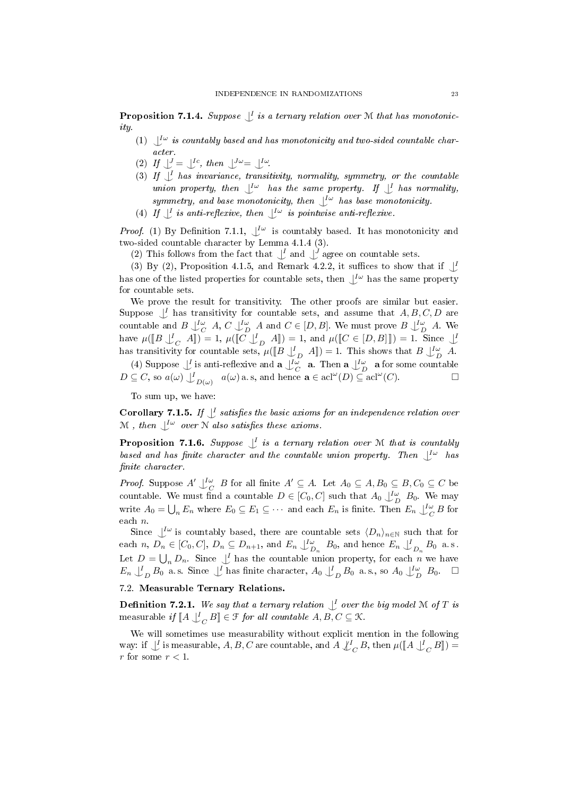**Proposition 7.1.4.** Suppose  $\bigcup_{i=1}^{n}$  is a ternary relation over M that has monotonicity.

- (1)  $\bigcup^{\mathcal{L}\omega}$  is countably based and has monotonicity and two-sided countable character.
- (2) If  $\bigcup_{i=1}^{J} = \bigcup_{i=1}^{J} c_i$ , then  $\bigcup_{i=1}^{J} \omega = \bigcup_{i=1}^{J} \omega_i$ .
- (3) If  $\bigcup$  has invariance, transitivity, normality, symmetry, or the countable union property, then  $\bigcup^{I\omega}$  has the same property. If  $\bigcup^{I}$  has normality, symmetry, and base monotonicity, then  $\bigcup^{\mathrm{I}\omega}$  has base monotonicity.
- (4) If  $\bigcup^{\mathcal{I}}$  is anti-reflexive, then  $\bigcup^{\mathcal{I}\omega}$  is pointwise anti-reflexive.

*Proof.* (1) By Definition 7.1.1,  $\bigcup_{\alpha}^{\infty}$  is countably based. It has monotonicity and two-sided countable character by Lemma 4.1.4 (3).

(2) This follows from the fact that  $\bigcup$  and  $\bigcup$  agree on countable sets.

(3) By (2), Proposition 4.1.5, and Remark 4.2.2, it suffices to show that if  $\perp$ has one of the listed properties for countable sets, then  $\bigcup^{\mathcal{L}\omega}$  has the same property for countable sets.

We prove the result for transitivity. The other proofs are similar but easier. Suppose  $\bigcup_{I}$  has transitivity for countable sets, and assume that  $A, B, C, D$  are countable and  $B\bigcup^{\infty}_{C} A, C\bigcup^{\infty}_{D} A$  and  $C \in [D, B]$ . We must prove  $B\bigcup^{\infty}_{D} A$ . We have  $\mu(\llbracket B \downarrow_C^I A \rrbracket) = 1$ ,  $\mu(\llbracket C \downarrow_D^I A \rrbracket) = 1$ , and  $\mu(\llbracket C \in [D, B] \rrbracket) = 1$ . Since  $\llbracket A \rrbracket$ has transitivity for countable sets,  $\mu([\![B \bigcup_{D}^{L} A]\!]) = 1$ . This shows that  $B \bigcup_{D}^{L} A$ .

(4) Suppose  $\bigcup_{i=1}^{L}$  is anti-reflexive and  $\mathbf{a} \bigcup_{i=1}^{L} \mathbf{a}$ . Then  $\mathbf{a} \bigcup_{i=1}^{L} \mathbf{a}$  for some countable  $D \subseteq C$ , so  $a(\omega) \bigcup_{D(\omega)}^I a(\omega)$  a.s, and hence  $\mathbf{a} \in \operatorname{acl}^\omega(D) \subseteq \operatorname{acl}^\omega$  $(C)$ 

To sum up, we have:

**Corollary 7.1.5.** If  $\bigcup$  satisfies the basic axioms for an independence relation over  $\mathcal M$  , then  $\bigcup^{\mathcal L \omega}$  over  $\mathcal N$  also satisfies these axioms.

**Proposition 7.1.6.** Suppose  $\bigcup_{i=1}^{n}$  is a ternary relation over M that is countably based and has finite character and the countable union property. Then  $\bigcup^{\text{L}\omega}$  has finite character.

*Proof.* Suppose  $A' \rightharpoonup_C^{\mathcal{I}\omega} B$  for all finite  $A' \subseteq A$ . Let  $A_0 \subseteq A, B_0 \subseteq B, C_0 \subseteq C$  be countable. We must find a countable  $D \in [C_0, C]$  such that  $A_0 \bigcup_{D}^{L_{\omega}} B_0$ . We may write  $A_0 = \bigcup_n E_n$  where  $E_0 \subseteq E_1 \subseteq \cdots$  and each  $E_n$  is finite. Then  $E_n \bigcup_{C}^{\infty} B$  for each n.

Since  $\bigcup^{\infty}$  is countably based, there are countable sets  $\langle D_n \rangle_{n \in \mathbb{N}}$  such that for each  $n, D_n \in [C_0, C], D_n \subseteq D_{n+1}$ , and  $E_n \downarrow_{D_n}^{L_\omega} B_0$ , and hence  $E_n \downarrow_{D_n}^{L} B_0$  a.s. Let  $D = \bigcup_n D_n$ . Since  $\bigcup_i$  has the countable union property, for each n we have  $E_n \downarrow_D^I B_0$  a.s. Since  $\downarrow^I$  has finite character,  $A_0 \downarrow_D^I B_0$  a.s., so  $A_0 \downarrow_D^I \omega_B$   $B_0$ .

# 7.2. Measurable Ternary Relations.

**Definition 7.2.1.** We say that a ternary relation  $\bigcup_{i=1}^{n}$  over the big model M of T is measurable if  $\llbracket A \bigcup_{C}^{I} B \rrbracket \in \mathcal{F}$  for all countable  $A, B, C \subseteq \mathcal{K}$ .

We will sometimes use measurability without explicit mention in the following way: if  $\bigcup_{C}$  is measurable, A, B, C are countable, and A  $\bigcup_{C}^{I} B$ , then  $\mu(\llbracket A \bigcup_{C}^{I} B \rrbracket) =$ r for some  $r < 1$ .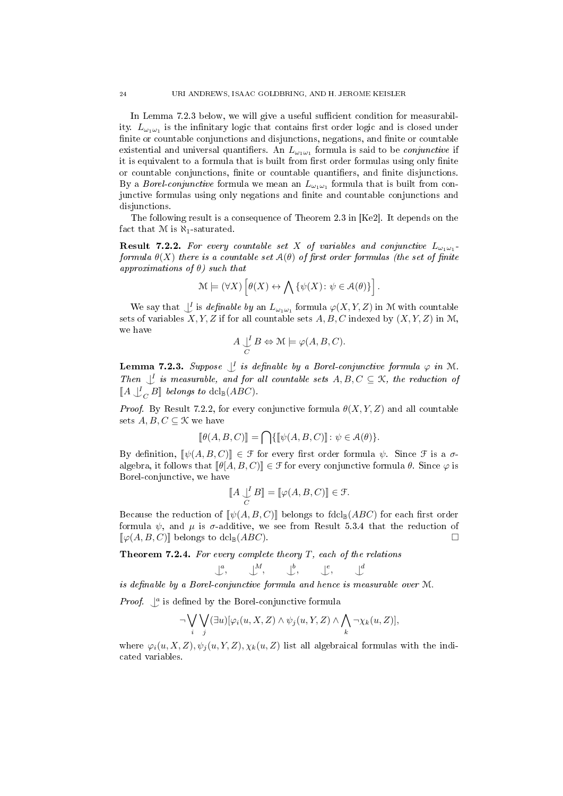In Lemma 7.2.3 below, we will give a useful sufficient condition for measurability.  $L_{\omega_1\omega_1}$  is the infinitary logic that contains first order logic and is closed under finite or countable conjunctions and disjunctions, negations, and finite or countable existential and universal quantifiers. An  $L_{\omega_1\omega_1}$  formula is said to be *conjunctive* if it is equivalent to a formula that is built from first order formulas using only finite or countable conjunctions, finite or countable quantifiers, and finite disjunctions. By a *Borel-conjunctive* formula we mean an  $L_{\omega_1\omega_1}$  formula that is built from conjunctive formulas using only negations and finite and countable conjunctions and disjunctions.

The following result is a consequence of Theorem 2.3 in [Ke2]. It depends on the fact that  $M$  is  $\aleph_1$ -saturated.

**Result 7.2.2.** For every countable set X of variables and conjunctive  $L_{\omega_1\omega_1}$ . formula  $\theta(X)$  there is a countable set  $\mathcal{A}(\theta)$  of first order formulas (the set of finite approximations of  $\theta$ ) such that

$$
\mathcal{M} \models (\forall X) \left[\theta(X) \leftrightarrow \bigwedge \left\{\psi(X) \colon \psi \in \mathcal{A}(\theta)\right\}\right].
$$

We say that  $\bigcup_{i=1}^{I}$  is definable by an  $L_{\omega_1\omega_1}$  formula  $\varphi(X, Y, Z)$  in M with countable sets of variables  $X, Y, Z$  if for all countable sets  $A, B, C$  indexed by  $(X, Y, Z)$  in M, we have

$$
A \bigcup_C^I B \Leftrightarrow \mathcal{M} \models \varphi(A, B, C).
$$

**Lemma 7.2.3.** Suppose  $\bigcup_{i=1}^{n}$  is definable by a Borel-conjunctive formula  $\varphi$  in M. Then  $\bigcup_{\alpha} I$  is measurable, and for all countable sets  $A, B, C \subseteq \mathcal{K}$ , the reduction of  $\llbracket A \bigcup_C B \rrbracket$  belongs to dcl $\mathbb{B}(ABC)$ .

*Proof.* By Result 7.2.2, for every conjunctive formula  $\theta(X, Y, Z)$  and all countable sets  $A, B, C \subseteq \mathcal{K}$  we have

$$
[\![\theta(A,B,C)]\!]=\bigcap\{\llbracket\psi(A,B,C)\rrbracket\colon\psi\in\mathcal{A}(\theta)\}.
$$

By definition,  $[\psi(A, B, C)] \in \mathcal{F}$  for every first order formula  $\psi$ . Since  $\mathcal{F}$  is a  $\sigma$ algebra, it follows that  $\llbracket \theta[A, B, C] \rrbracket \in \mathcal{F}$  for every conjunctive formula  $\theta$ . Since  $\varphi$  is Borel-conjunctive, we have

$$
\llbracket A \bigcup_C^I B \rrbracket = \llbracket \varphi(A, B, C) \rrbracket \in \mathcal{F}.
$$

Because the reduction of  $[\![\psi(A, B, C)]\!]$  belongs to fdcl<sub>B</sub>(ABC) for each first order formula  $\psi$ , and  $\mu$  is  $\sigma$ -additive, we see from Result 5.3.4 that the reduction of  $\llbracket \varphi(A, B, C) \rrbracket$  belongs to dcl $\llbracket (ABC)$ .

**Theorem 7.2.4.** For every complete theory  $T$ , each of the relations

$$
\bigcup_{i=1}^{a} A_{i}, \qquad \bigcup_{i=1}^{b} A_{i}, \qquad \bigcup_{i=1}^{e} A_{i}
$$

is definable by a Borel-conjunctive formula and hence is measurable over  $M$ .

*Proof.*  $\int_a^a$  is defined by the Borel-conjunctive formula

$$
\neg \bigvee_i \bigvee_j (\exists u)[\varphi_i(u, X, Z) \land \psi_j(u, Y, Z) \land \bigwedge_k \neg \chi_k(u, Z)],
$$

where  $\varphi_i(u, X, Z), \psi_i(u, Y, Z), \chi_k(u, Z)$  list all algebraical formulas with the indicated variables.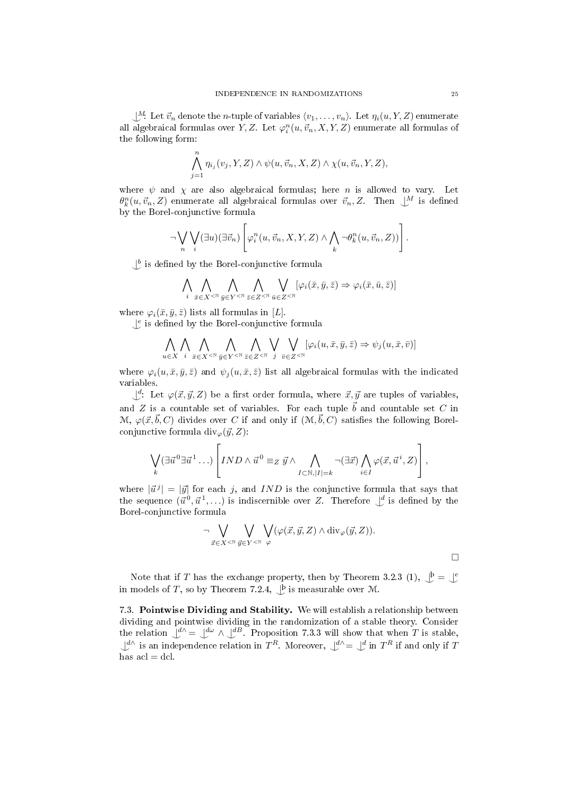$\bigcup_{i=1}^{M}$ . Let  $\vec{v}_n$  denote the *n*-tuple of variables  $\langle v_1, \ldots, v_n \rangle$ . Let  $\eta_i(u, Y, Z)$  enumerate all algebraical formulas over Y, Z. Let  $\varphi_i^n(u, \vec{v}_n, X, Y, Z)$  enumerate all formulas of the following form:

$$
\bigwedge_{j=1}^n \eta_{i_j}(v_j, Y, Z) \wedge \psi(u, \vec{v}_n, X, Z) \wedge \chi(u, \vec{v}_n, Y, Z),
$$

where  $\psi$  and  $\chi$  are also algebraical formulas; here *n* is allowed to vary. Let  $\theta_k^n(u, \vec{v}_n, Z)$  enumerate all algebraical formulas over  $\vec{v}_n, Z$ . Then  $\bigcup^M$  is defined by the Borel-conjunctive formula

$$
\neg \bigvee_n \bigvee_i (\exists u)(\exists \vec{v}_n) \left[ \varphi_i^n(u, \vec{v}_n, X, Y, Z) \wedge \bigwedge_k \neg \theta_k^n(u, \vec{v}_n, Z) \right].
$$

 $\bigcup^b$  is defined by the Borel-conjunctive formula

$$
\bigwedge_i \bigwedge_{\bar{x} \in X^{<\mathbb{N}}} \bigwedge_{\bar{y} \in Y^{<\mathbb{N}}} \bigwedge_{\bar{z} \in Z^{<\mathbb{N}}} \bigvee_{\bar{u} \in Z^{<\mathbb{N}}} [\varphi_i(\bar{x}, \bar{y}, \bar{z}) \Rightarrow \varphi_i(\bar{x}, \bar{u}, \bar{z})]
$$

where  $\varphi_i(\bar{x}, \bar{y}, \bar{z})$  lists all formulas in [L].

 $\mathcal{L}^e$  is defined by the Borel-conjunctive formula

$$
\bigwedge_{u\in X}\bigwedge_{i}\bigwedge_{\bar{x}\in X^{<\mathbb{N}}}\bigwedge_{\bar{y}\in Y^{<\mathbb{N}}}\bigwedge_{\bar{z}\in Z^{<\mathbb{N}}}\bigvee_{j}\bigvee_{\bar{v}\in Z^{<\mathbb{N}}}[\varphi_i(u,\bar{x},\bar{y},\bar{z})\Rightarrow\psi_j(u,\bar{x},\bar{v})]
$$

where  $\varphi_i(u, \bar{x}, \bar{y}, \bar{z})$  and  $\psi_j(u, \bar{x}, \bar{z})$  list all algebraical formulas with the indicated variables.

 $\bigcup^{d}$ : Let  $\varphi(\vec{x}, \vec{y}, Z)$  be a first order formula, where  $\vec{x}, \vec{y}$  are tuples of variables, and Z is a countable set of variables. For each tuple  $\vec{b}$  and countable set C in  $\mathcal{M}, \varphi(\vec{x}, \vec{b}, C)$  divides over C if and only if  $(\mathcal{M}, \vec{b}, C)$  satisfies the following Borelconjunctive formula div $_{\varphi}(\vec{y}, Z)$ :

$$
\bigvee_{k} (\exists \vec{u}^{0} \exists \vec{u}^{1} \dots) \left[ IND \wedge \vec{u}^{0} \equiv_{Z} \vec{y} \wedge \bigwedge_{I \subset \mathbb{N}, |I| = k} \neg (\exists \vec{x}) \bigwedge_{i \in I} \varphi(\vec{x}, \vec{u}^{i}, Z) \right],
$$

where  $|\vec{u}^j| = |\vec{y}|$  for each j, and IND is the conjunctive formula that says that the sequence  $(\vec{u}^0, \vec{u}^1, \ldots)$  is indiscernible over Z. Therefore  $\bigcup^d$  is defined by the Borel-conjunctive formula

$$
\neg \bigvee_{\vec{x} \in X^{<\mathbb{N}}} \bigvee_{\vec{y} \in Y^{<\mathbb{N}}} \bigvee_{\varphi} (\varphi(\vec{x}, \vec{y}, Z) \wedge \text{div}_{\varphi}(\vec{y}, Z)).
$$

Note that if T has the exchange property, then by Theorem 3.2.3 (1),  $\mathcal{L}^{\mathbf{b}} = \mathcal{L}^{\mathbf{c}}$ in models of T, so by Theorem 7.2.4,  $\bigcup^b$  is measurable over M.

7.3. Pointwise Dividing and Stability. We will establish a relationship between dividing and pointwise dividing in the randomization of a stable theory. Consider the relation  $\underline{\bigcup}^{d\wedge} = \underline{\bigcup}^{d\omega} \wedge \underline{\bigcup}^{dB}$ . Proposition 7.3.3 will show that when T is stable,  $\bigcup_{\alpha} d^{\wedge}$  is an independence relation in  $T^R$ . Moreover,  $\bigcup_{\alpha} d^{\wedge} = \bigcup_{\alpha} d$  in  $T^R$  if and only if T has  $acl = dcl$ .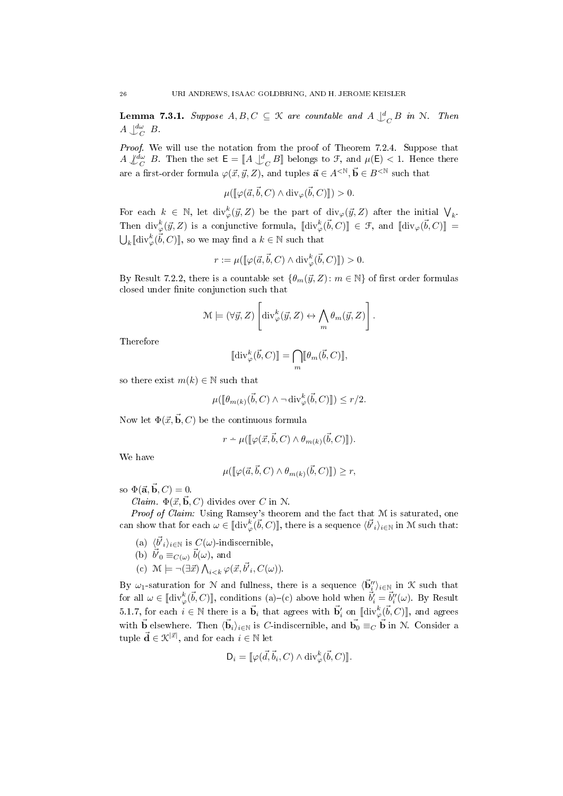**Lemma 7.3.1.** Suppose  $A, B, C \subseteq \mathcal{K}$  are countable and  $A \bigcup_{C}^{d} B$  in  $\mathcal{N}$ . Then  $A \downarrow_{C}^{d\omega} B$ .

Proof. We will use the notation from the proof of Theorem 7.2.4. Suppose that  $A \nsubseteq^{\text{d}\omega}$  B. Then the set  $\mathsf{E} = [A \downarrow^{\text{d}}_{C} B]$  belongs to F, and  $\mu(\mathsf{E}) < 1$ . Hence there are a first-order formula  $\varphi(\vec{x},\vec{y},Z)$ , and tuples  $\vec{a} \in A^{<\mathbb{N}}, \vec{b} \in B^{<\mathbb{N}}$  such that

$$
\mu([\![\varphi(\vec{a}, \vec{b}, C) \wedge \text{div}_{\varphi}(\vec{b}, C)]\!]) > 0.
$$

For each  $k \in \mathbb{N}$ , let  $\text{div}_{\varphi}^k(\vec{y}, Z)$  be the part of  $\text{div}_{\varphi}(\vec{y}, Z)$  after the initial  $\bigvee_k$ . Then  $\text{div}_{\varphi}^k(\vec{y}, Z)$  is a conjunctive formula,  $[\text{div}_{\varphi}^k(\vec{b}, C)] \in \mathcal{F}$ , and  $[\text{div}_{\varphi}(\vec{b}, C)] =$  $\bigcup_k \llbracket \text{div}_{\varphi}^k(\vec{b}, C) \rrbracket$ , so we may find a  $k \in \mathbb{N}$  such that

$$
r := \mu([\![\varphi(\vec{a}, \vec{b}, C) \wedge \text{div}^k_{\varphi}(\vec{b}, C)]\!]) > 0.
$$

By Result 7.2.2, there is a countable set  $\{\theta_m(\vec{y}, Z): m \in \mathbb{N}\}\$  of first order formulas closed under finite conjunction such that

$$
\mathcal{M} \models (\forall \vec{y}, Z) \left[\mathrm{div}^k_\varphi(\vec{y}, Z) \leftrightarrow \bigwedge_m \theta_m(\vec{y}, Z)\right].
$$

Therefore

$$
[\![\mathop{\mathrm{div}}\nolimits^{k}_{\varphi}(\vec{b},C)]\!]=\bigcap_{m}[\![\theta_{m}(\vec{b},C)]\!],
$$

so there exist  $m(k) \in \mathbb{N}$  such that

$$
\mu([\![\theta_{m(k)}(\vec{b},C)\wedge \neg \operatorname{div}^k_{\varphi}(\vec{b},C)]\!]) \leq r/2.
$$

Now let  $\Phi(\vec{x}, \vec{b}, C)$  be the continuous formula

$$
r - \mu([\![\varphi(\vec{x}, \vec{b}, C) \wedge \theta_{m(k)}(\vec{b}, C)]\!]).
$$

We have

$$
\mu([\![\varphi(\vec{a}, \vec{b}, C) \wedge \theta_{m(k)}(\vec{b}, C)]\!]) \geq r,
$$

so  $\Phi(\vec{\mathbf{a}}, \vec{\mathbf{b}}, C) = 0.$ 

*Claim.*  $\Phi(\vec{x}, \vec{b}, C)$  divides over C in N.

Proof of Claim: Using Ramsey's theorem and the fact that M is saturated, one can show that for each  $\omega \in [\![\text{div}^k_{\varphi}(\vec{b}, C)]\!]$ , there is a sequence  $\langle \vec{b'}_i \rangle_{i \in \mathbb{N}}$  in M such that:

- (a)  $\langle \vec{b'}_i \rangle_{i \in \mathbb{N}}$  is  $C(\omega)$ -indiscernible,
- (b)  $\vec{b'}_0 \equiv_{C(\omega)} \vec{b}(\omega)$ , and
- (c)  $\mathcal{M} \models \neg (\exists \vec{x}) \bigwedge_{i \leq k} \varphi(\vec{x}, \vec{b'}_i, C(\omega)).$

By  $\omega_1$ -saturation for N and fullness, there is a sequence  $\langle \vec{b}''_i \rangle_{i \in \mathbb{N}}$  in K such that for all  $\omega \in [\text{div}_{\varphi}^k(\vec{b}, C)]$ , conditions (a)–(c) above hold when  $\vec{b}'_i = \vec{b}''_i(\omega)$ . By Result 5.1.7, for each  $i \in \mathbb{N}$  there is a  $\vec{b}_i$  that agrees with  $\vec{b}'_i$  on  $[\n\vec{dv}^k_{\varphi}(\vec{b}, C)]$ , and agrees with  $\vec{b}$  elsewhere. Then  $\langle \vec{b}_i \rangle_{i \in \mathbb{N}}$  is C-indiscernible, and  $\vec{b_0} \equiv_C \vec{b}$  in N. Consider a tuple  $\vec{\mathbf{d}} \in \mathcal{K}^{|\vec{x}|}$ , and for each  $i \in \mathbb{N}$  let

$$
\mathsf{D}_i = [\![\varphi(\vec{d}, \vec{b}_i, C) \wedge \text{div}^k_{\varphi}(\vec{b}, C)]\!].
$$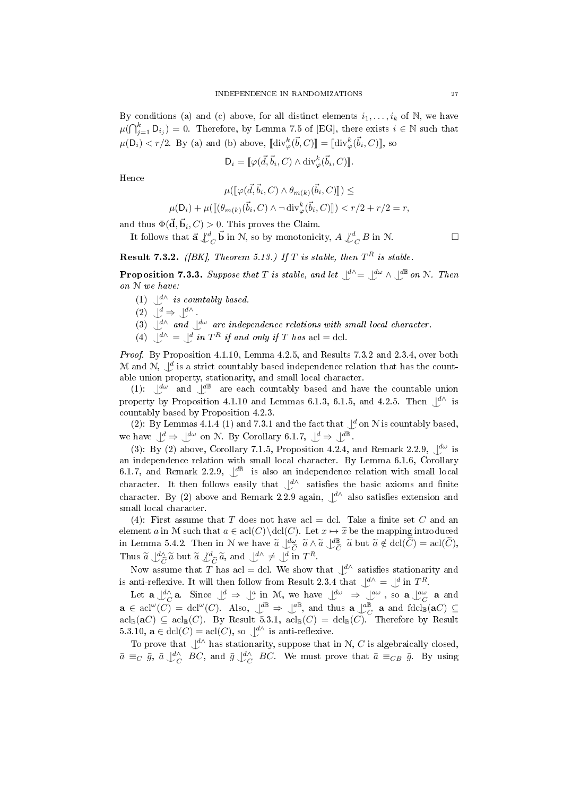By conditions (a) and (c) above, for all distinct elements  $i_1, \ldots, i_k$  of N, we have  $\mu(\bigcap_{j=1}^k \mathsf{D}_{i_j}) = 0.$  Therefore, by Lemma 7.5 of [EG], there exists  $i \in \mathbb{N}$  such that  $\mu(\mathsf{D}_i) < r/2$ . By (a) and (b) above,  $[\mathbf{div}_{\varphi}^k(\vec{b}, C)] = [\mathbf{div}_{\varphi}^k(\vec{b}_i, C)]$ , so

$$
\mathsf{D}_i = [\![\varphi(\vec{d}, \vec{b}_i, C) \wedge \text{div}^k_{\varphi}(\vec{b}_i, C)]\!].
$$

Hence

$$
\mu([\![\varphi(\vec{d}, \vec{b}_i, C) \wedge \theta_{m(k)}(\vec{b}_i, C)]\!]) \le
$$
  

$$
\mu(\mathsf{D}_i) + \mu([\![(\theta_{m(k)}(\vec{b}_i, C) \wedge \neg \operatorname{div}^k_{\varphi}(\vec{b}_i, C)]\!]) < r/2 + r/2 = r,
$$

and thus  $\Phi(\vec{\mathbf{d}}, \vec{\mathbf{b}}_i, C) > 0$ . This proves the Claim.

It follows that  $\vec{a} \nightharpoonup^d_C \vec{b}$  in N, so by monotonicity,  $A \nightharpoonup^d_C B$  in N.

**Result 7.3.2.** ([BK], Theorem 5.13.) If T is stable, then  $T^R$  is stable.

**Proposition 7.3.3.** Suppose that T is stable, and let  $\mathcal{L}^{\Lambda} = \mathcal{L}^{\mathcal{L}} \wedge \mathcal{L}^{\mathcal{L}}$  on N. Then on N we have:

- (1)  $\bigcup_{i=1}^{d} K$  is countably based.
- $(2)$   $\bigcup^{d} \Rightarrow \bigcup^{d} \wedge$ .
- (3)  $\bigcup_{\alpha}^{d} \wedge$  and  $\bigcup_{\alpha}^{d} \omega$  are independence relations with small local character.
- (4)  $\bigcup^{\mathcal{d}} \bigcup^{\mathcal{d}}$  in  $T^R$  if and only if T has acl = dcl.

Proof. By Proposition 4.1.10, Lemma 4.2.5, and Results 7.3.2 and 2.3.4, over both M and N,  $\bigcup^d$  is a strict countably based independence relation that has the countable union property, stationarity, and small local character.

(1):  $\int d\omega$  and  $\int d\mathbb{B}$  are each countably based and have the countable union property by Proposition 4.1.10 and Lemmas 6.1.3, 6.1.5, and 4.2.5. Then  $\bigcup^{d}$  is countably based by Proposition 4.2.3.

(2): By Lemmas 4.1.4 (1) and 7.3.1 and the fact that  $\mathcal{A}$  on N is countably based, we have  $\bigcup^d \Rightarrow \bigcup^{d\omega}$  on N. By Corollary 6.1.7,  $\bigcup^d \Rightarrow \bigcup^{d\mathbb{B}}$ .

(3): By (2) above, Corollary 7.1.5, Proposition 4.2.4, and Remark 2.2.9,  $\bigcup_{\omega}^{\infty}$  is an independence relation with small local character. By Lemma 6.1.6, Corollary 6.1.7, and Remark 2.2.9,  $\mathcal{L}^{\text{dB}}$  is also an independence relation with small local character. It then follows easily that  $\mathcal{L}^{\Lambda}$  satisfies the basic axioms and finite character. By (2) above and Remark 2.2.9 again,  $\bigcup^{d}$  also satisfies extension and small local character.

(4): First assume that T does not have acl = dcl. Take a finite set C and an element a in M such that  $a \in \text{acl}(C) \cdot \text{Let } x \mapsto \tilde{x}$  be the mapping introduced in Lemma 5.4.2. Then in N we have  $\tilde{a} \downarrow^{\text{d}\omega}_{\tilde{C}} \tilde{a} \wedge \tilde{a} \downarrow^{\text{d}\mathbb{B}}_{\tilde{C}} \tilde{a}$  but  $\tilde{a} \notin \text{dcl}(\tilde{C}) = \text{acl}(\tilde{C}),$ Thus  $\tilde{a} \perp^d_{\tilde{C}} \tilde{a}$  but  $\tilde{a} \perp^d_{\tilde{C}} \tilde{a}$ , and  $\perp^d \perp^d_{\tilde{C}} \perp^d_{\tilde{C}} \ln T^R$ .

Now assume that T has acl = dcl. We show that  $\bigcup^{d}$  satisfies stationarity and is anti-reflexive. It will then follow from Result 2.3.4 that  $\bigcup^{d} \Lambda = \bigcup^{d}$  in  $T^R$ .

Let  $\mathbf{a} \perp_{C}^{d\wedge} \mathbf{a}$ . Since  $\perp^{d} \Rightarrow \perp^{a}$  in M, we have  $\perp^{d\omega} \Rightarrow \perp^{a\omega}$ , so  $\mathbf{a} \perp_{C}^{a\omega}$  a and  $\mathbf{a} \in \operatorname{acl}(\omega) = \operatorname{dcl}(\omega)$ . Also,  $\downarrow^{\text{dB}} \Rightarrow \downarrow^{\text{dB}}$ , and thus  $\mathbf{a} \downarrow^{\text{dB}}_{C}$  a and  $\operatorname{fdcl}_{\mathbb{B}}(\mathbf{a}C) \subseteq$  $\text{acl}_{\mathbb{B}}(\mathbf{a}C) \subseteq \text{acl}_{\mathbb{B}}(C)$ . By Result 5.3.1,  $\text{acl}_{\mathbb{B}}(C) = \text{dcl}_{\mathbb{B}}(C)$ . Therefore by Result 5.3.10,  $\mathbf{a} \in \text{dcl}(C) = \text{acl}(C)$ , so  $\bigcup^{d}$  is anti-reflexive.

To prove that  $\bigcup^{\mathcal{d}}$  has stationarity, suppose that in N, C is algebraically closed,  $\bar{a} \equiv_C \bar{g}, \bar{a} \bigcup_{C}^{d} E$ C, and  $\bar{g} \bigcup_{C}^{d} BC$ . We must prove that  $\bar{a} \equiv_{CB} \bar{g}$ . By using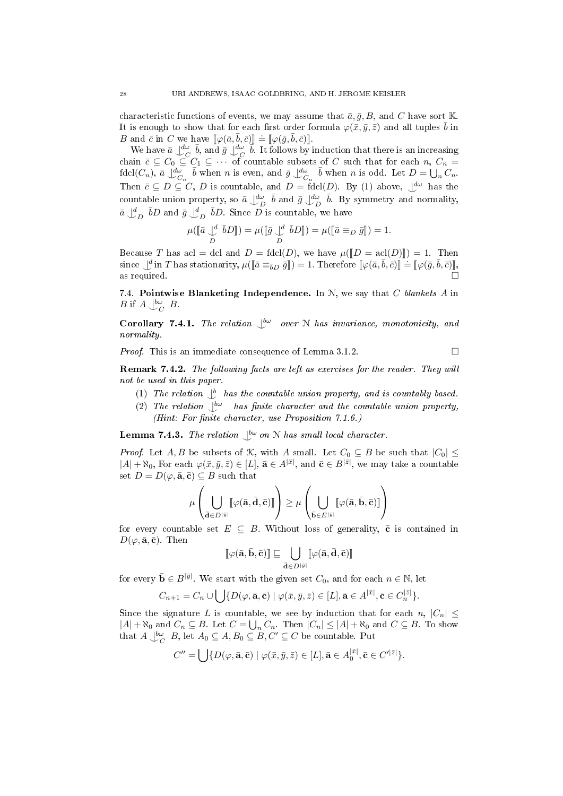characteristic functions of events, we may assume that  $\bar{a}, \bar{g}, B$ , and C have sort K. It is enough to show that for each first order formula  $\varphi(\bar{x}, \bar{y}, \bar{z})$  and all tuples  $\bar{b}$  in B and  $\bar{c}$  in C we have  $[\varphi(\bar{a}, \bar{b}, \bar{c})] \doteq [ \varphi(\bar{g}, \bar{b}, \bar{c}) ]$ .<br>We have  $\bar{a}$ ,  $\frac{d\omega}{b}$ , and  $\bar{a}$ ,  $\frac{d\omega}{b}$ ,  $\bar{b}$ , it follows by

We have  $\bar{a} \perp^{\text{d}\omega}_{C} \bar{b}$ , and  $\bar{g} \perp^{\text{d}\omega}_{C} \bar{b}$ . It follows by induction that there is an increasing chain  $\bar{c} \subseteq C_0 \subseteq C_1 \subseteq \cdots$  of countable subsets of C such that for each  $n, C_n =$  $\text{fdcl}(C_n)$ ,  $\bar{a} \downarrow^{\text{d}\omega}_{C_n} \bar{b}$  when n is even, and  $\bar{g} \downarrow^{\text{d}\omega}_{C_n} \bar{b}$  when n is odd. Let  $D = \bigcup_n C_n$ . Then  $\bar{c} \subseteq D \subseteq C$ , D is countable, and  $D = \text{fdcl}(D)$ . By (1) above,  $\bigcup^{d\omega}$  has the countable union property, so  $\bar{a} \perp_D^{\ell \omega} \bar{b}$  and  $\bar{g} \perp_D^{\ell \omega} \bar{b}$ . By symmetry and normality,  $\bar{a}\, \downarrow_D^d\, \bar{b}D$  and  $\bar{g}\, \downarrow_D^d\, \bar{b}D.$  Since  $\bar{D}$  is countable, we have

$$
\mu([\bar{a} \bigcup_{D}^d \bar{b}D]) = \mu([\bar{g} \bigcup_{D}^d \bar{b}D]) = \mu([\bar{a} \equiv_D \bar{g}]) = 1.
$$

Because T has acl = dcl and  $D = \text{fdcl}(D)$ , we have  $\mu(\llbracket D = \text{acl}(D) \rrbracket) = 1$ . Then Secaluse 1 has def = def and  $B = \text{Act}(B)$ , we have  $\mu(\llbracket B = \text{act}(D) \rrbracket) = 1$ . Therefore  $[\varphi(\bar{a}, \bar{b}, \bar{c})] \doteq [\varphi(\bar{g}, \bar{b}, \bar{c})]$ , as required as required.  $\square$ 

7.4. Pointwise Blanketing Independence. In  $N$ , we say that  $C$  blankets  $A$  in *B* if  $A \bigcup_{C}^{b\omega} B$ .

**Corollary 7.4.1.** The relation  $\bigcup^{\text{bw}}$  over N has invariance, monotonicity, and normality.

*Proof.* This is an immediate consequence of Lemma 3.1.2.  $\Box$ 

Remark 7.4.2. The following facts are left as exercises for the reader. They will not be used in this paper.

- (1) The relation  $\bigcup_{i=1}^b$  has the countable union property, and is countably based.
- (2) The relation  $\bigcup^{\text{bw}}$  has finite character and the countable union property, (Hint: For finite character, use Proposition  $7.1.6$ .)

**Lemma 7.4.3.** The relation  $\bigcup^{\text{bw}}$  on N has small local character.

*Proof.* Let A, B be subsets of K, with A small. Let  $C_0 \subseteq B$  be such that  $|C_0| \leq$  $|A| + \aleph_0$ , For each  $\varphi(\bar{x}, \bar{y}, \bar{z}) \in [L]$ ,  $\bar{\mathbf{a}} \in A^{|\bar{x}|}$ , and  $\bar{\mathbf{c}} \in B^{|\bar{z}|}$ , we may take a countable set  $D = D(\varphi, \bar{\mathbf{a}}, \bar{\mathbf{c}}) \subseteq B$  such that

$$
\mu\left(\bigcup_{\bar{\mathbf{d}}\in D^{\lfloor\tilde{y}\rfloor}}\llbracket\varphi(\bar{\mathbf{a}},\bar{\mathbf{d}},\bar{\mathbf{c}})\rrbracket\right)\geq\mu\left(\bigcup_{\bar{\mathbf{b}}\in E^{\lfloor\tilde{y}\rfloor}}\llbracket\varphi(\bar{\mathbf{a}},\bar{\mathbf{b}},\bar{\mathbf{c}})\rrbracket\right)
$$

for every countable set  $E \subseteq B$ . Without loss of generality,  $\bar{c}$  is contained in  $D(\varphi, \bar{\mathbf{a}}, \bar{\mathbf{c}})$ . Then

$$
[\![\varphi(\bar a, \bar b, \bar c)]\!] \sqsubseteq \bigcup_{\bar d \in D^{|\bar y|}} [\![\varphi(\bar a, \bar d, \bar c)]\!]
$$

for every  $\bar{\mathbf{b}} \in B^{|\bar{y}|}$ . We start with the given set  $C_0$ , and for each  $n \in \mathbb{N}$ , let

$$
C_{n+1} = C_n \cup \bigcup \{ D(\varphi, \bar{\mathbf{a}}, \bar{\mathbf{c}}) \mid \varphi(\bar{x}, \bar{y}, \bar{z}) \in [L], \bar{\mathbf{a}} \in A^{|\bar{x}|}, \bar{\mathbf{c}} \in C_n^{|\bar{z}|} \}.
$$

Since the signature L is countable, we see by induction that for each  $n, |C_n|$  $|A| + \aleph_0$  and  $C_n \subseteq B$ . Let  $C = \bigcup_n C_n$ . Then  $|C_n| \leq |A| + \aleph_0$  and  $C \subseteq B$ . To show that  $A \bigcup^{\mathsf{bw}}_{C} B$ , let  $A_0 \subseteq A$ ,  $B_0 \subseteq B$ ,  $C' \subseteq C$  be countable. Put

$$
C'' = \bigcup \{ D(\varphi, \bar{\mathbf{a}}, \bar{\mathbf{c}}) \mid \varphi(\bar{x}, \bar{y}, \bar{z}) \in [L], \bar{\mathbf{a}} \in A_0^{|\bar{x}|}, \bar{\mathbf{c}} \in C'^{|\bar{z}|} \}.
$$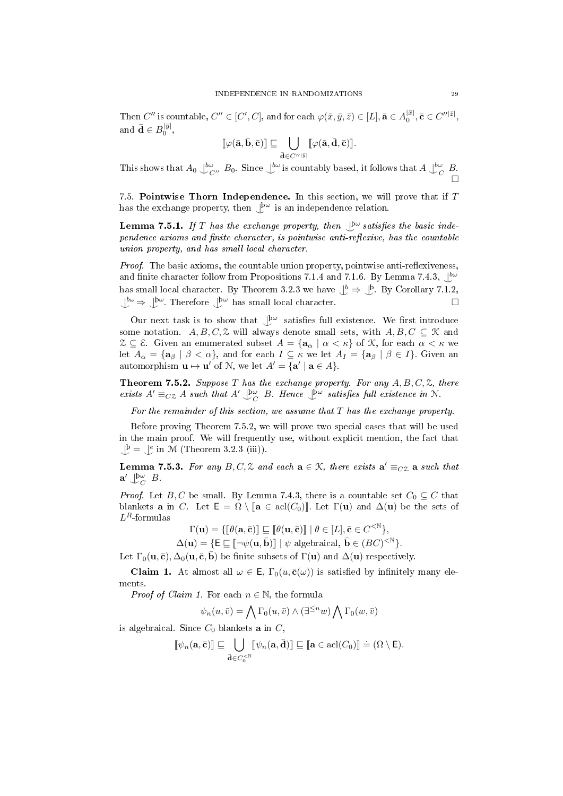Then  $C''$  is countable,  $C'' \in [C', C]$ , and for each  $\varphi(\bar{x}, \bar{y}, \bar{z}) \in [L]$ ,  $\bar{\mathbf{a}} \in A_0^{|\bar{x}|}$ ,  $\bar{\mathbf{c}} \in C''^{|\bar{z}|}$ , and  $\bar{\mathbf{d}} \in B_0^{|\bar{y}|},$ 

$$
[\![\varphi(\bar a, \bar b, \bar c)]\!] \sqsubseteq \bigcup_{\bar d \in C''^{|\bar y|}} [\![\varphi(\bar a, \bar d, \bar c)]\!].
$$

This shows that  $A_0 \bigcup_{C}^{\infty} B_0$ . Since  $\bigcup_{C}^{\infty}$  is countably based, it follows that  $A \bigcup_{C}^{\infty} B$ .  $\Box$ 

7.5. Pointwise Thorn Independence. In this section, we will prove that if  $T$ has the exchange property, then  $\bigcup^{\mathsf{bw}}$  is an independence relation.

**Lemma 7.5.1.** If T has the exchange property, then  $\mathbb{P}^{\omega}$  satisfies the basic inde $pendence axioms and finite character, is pointwise anti-reflexive, has the countable$ union property, and has small local character.

*Proof.* The basic axioms, the countable union property, pointwise anti-reflexiveness, and finite character follow from Propositions 7.1.4 and 7.1.6. By Lemma 7.4.3,  $\bigcup^{b\omega}$ has small local character. By Theorem 3.2.3 we have  $\bigcup^b \Rightarrow \bigcup^b$ . By Corollary 7.1.2,  $\bigcup^{\mathsf{bw}} \Rightarrow \bigcup^{\mathsf{bw}}$ . Therefore  $\bigcup^{\mathsf{bw}}$  has small local character.

Our next task is to show that  $\bigcup^{\mathsf{bw}}$  satisfies full existence. We first introduce some notation.  $A, B, C, \mathcal{Z}$  will always denote small sets, with  $A, B, C \subseteq \mathcal{K}$  and  $\mathcal{Z} \subseteq \mathcal{E}$ . Given an enumerated subset  $A = {\mathbf{a}_{\alpha} \mid \alpha < \kappa}$  of  $\mathcal{K}$ , for each  $\alpha < \kappa$  we let  $A_{\alpha} = {\mathbf{a}_{\beta} \mid \beta < \alpha}$ , and for each  $I \subseteq \kappa$  we let  $A_{I} = {\mathbf{a}_{\beta} \mid \beta \in I}$ . Given an automorphism  $\mathbf{u} \mapsto \mathbf{u}'$  of N, we let  $A' = {\mathbf{a}' \mid \mathbf{a} \in A}$ .

**Theorem 7.5.2.** Suppose T has the exchange property. For any  $A, B, C, \mathcal{Z}$ , there exists  $A' \equiv_{CZ} A$  such that  $A' \bigcup_{C}^{\text{b}\omega} B$ . Hence  $\bigcup_{C}^{\text{b}\omega}$  satisfies full existence in N.

For the remainder of this section, we assume that  $T$  has the exchange property.

Before proving Theorem 7.5.2, we will prove two special cases that will be used in the main proof. We will frequently use, without explicit mention, the fact that  $\bigcup^{\beta} = \bigcup^e$  in M (Theorem 3.2.3 (iii)).

**Lemma 7.5.3.** For any  $B, C, \mathcal{Z}$  and each  $\mathbf{a} \in \mathcal{K}$ , there exists  $\mathbf{a}' \equiv_{C\mathcal{Z}} \mathbf{a}$  such that  $\mathbf{a}' \bigcup_C^{\mathsf{b}\omega} B$ .

*Proof.* Let B, C be small. By Lemma 7.4.3, there is a countable set  $C_0 \subseteq C$  that blankets **a** in C. Let  $E = \Omega \setminus [a \in \text{acl}(C_0)]$ . Let  $\Gamma(\mathbf{u})$  and  $\Delta(\mathbf{u})$  be the sets of  $L^R$ -formulas

$$
\Gamma(\mathbf{u})=\{\llbracket \theta(\mathbf{a},\bar{\mathbf{c}})\rrbracket\sqsubseteq \llbracket \theta(\mathbf{u},\bar{\mathbf{c}})\rrbracket~|~\theta\in [L], \bar{\mathbf{c}}\in C^{<\mathbb{N}}\},
$$

$$
\Delta(\mathbf{u}) = \{ \mathsf{E} \sqsubseteq [\! [\! [\neg \psi(\mathbf{u}, \bar{\mathbf{b}})] \! ] \mid \psi \text{ algebraical, } \bar{\mathbf{b}} \in (BC)^{< \mathbb{N}} \}.
$$

Let  $\Gamma_0(\mathbf{u},\bar{\mathbf{c}}), \Delta_0(\mathbf{u},\bar{\mathbf{c}},\bar{\mathbf{b}})$  be finite subsets of  $\Gamma(\mathbf{u})$  and  $\Delta(\mathbf{u})$  respectively.

**Claim 1.** At almost all  $\omega \in \mathsf{E}$ ,  $\Gamma_0(u, \bar{\mathbf{c}}(\omega))$  is satisfied by infinitely many elements.

*Proof of Claim 1.* For each  $n \in \mathbb{N}$ , the formula

$$
\psi_n(u, \bar{v}) = \bigwedge \Gamma_0(u, \bar{v}) \wedge (\exists^{\leq n} w) \bigwedge \Gamma_0(w, \bar{v})
$$

is algebraical. Since  $C_0$  blankets **a** in  $C$ ,

$$
[\![\psi_n(\mathbf{a},\bar{\mathbf{c}})]\!]\sqsubseteq \bigcup_{\bar{\mathbf{d}}\in C^{\leq \mathbb{N}}_0} [\![\psi_n(\mathbf{a},\bar{\mathbf{d}})]\!]\sqsubseteq [\![\mathbf{a}\in \operatorname{acl}(C_0)]\!] \doteq (\Omega\setminus \mathsf{E}).
$$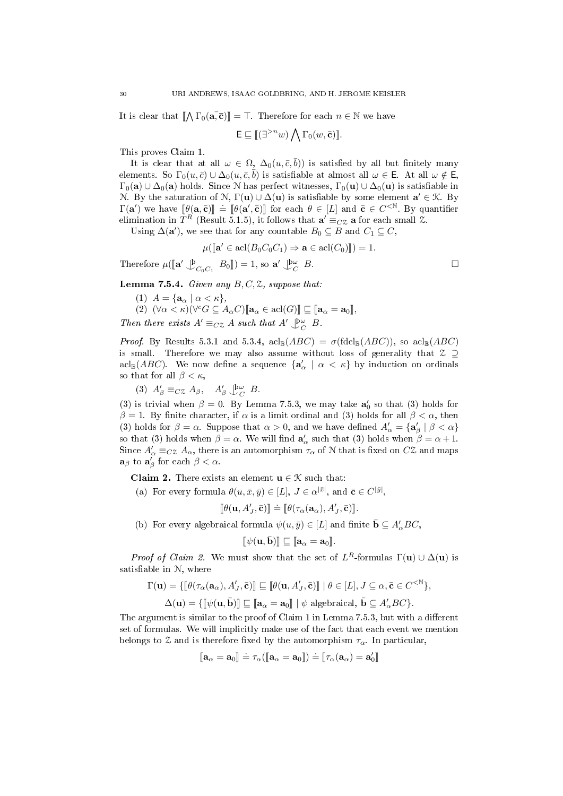It is clear that  $[\![ \bigwedge \Gamma_0(\mathbf{a}, \overline{\mathbf{c}}) ]\!] = \top$ . Therefore for each  $n \in \mathbb{N}$  we have

$$
\mathsf{E} \sqsubseteq [(\exists^{>n} w) \bigwedge \Gamma_0(w, \bar{\mathbf{c}})].
$$

This proves Claim 1.

It is clear that at all  $\omega \in \Omega$ ,  $\Delta_0(u,\bar{c},\bar{b})$  is satisfied by all but finitely many elements. So  $\Gamma_0(u,\bar{c})\cup\Delta_0(u,\bar{c},\bar{b})$  is satisfiable at almost all  $\omega\in\mathsf{E}$ . At all  $\omega\notin\mathsf{E}$ ,  $\Gamma_0(\mathbf{a}) \cup \Delta_0(\mathbf{a})$  holds. Since N has perfect witnesses,  $\Gamma_0(\mathbf{u}) \cup \Delta_0(\mathbf{u})$  is satisfiable in N. By the saturation of N,  $\Gamma(\mathbf{u}) \cup \Delta(\mathbf{u})$  is satisfiable by some element  $\mathbf{a}' \in \mathcal{K}$ . By  $\Gamma(\mathbf{a}')$  we have  $[\![\theta(\mathbf{a}, \bar{\mathbf{c}})]\!] = [\![\theta(\mathbf{a}', \bar{\mathbf{c}})]\!]$  for each θ ∈ [L] and  $\bar{\mathbf{c}} \in C^{. By quantifier elimination in  $TR$  (Besult 5.1.5) it follows that  $\mathbf{a}' = \infty$ , a for each small  $\alpha$$ elimination in  $T^R$  (Result 5.1.5), it follows that  $\mathbf{a}' \equiv_{C} \mathbf{z}$  a for each small  $\mathbf{z}$ .

Using  $\Delta(\mathbf{a}')$ , we see that for any countable  $B_0 \subseteq B$  and  $C_1 \subseteq C$ ,

 $\mu([\mathbf{a}' \in \text{acl}(B_0 C_0 C_1) \Rightarrow \mathbf{a} \in \text{acl}(C_0)]) = 1.$ 

Therefore  $\mu(\llbracket \mathbf{a}' \perp^{\mathbf{b}}_{C_0C_1} B_0 \rrbracket) = 1$ , so  $\mathbf{a}' \perp^{\mathbf{b}\omega}_{C_0C_1}$  $B.$ 

Lemma 7.5.4. Given any  $B, C, \mathcal{Z}$ , suppose that.

- (1)  $A = {\mathbf{a}_{\alpha} \mid \alpha < \kappa},$
- (2)  $(\forall \alpha < \kappa)(\forall^c G \subseteq A_\alpha C)[\![\mathbf{a}_\alpha \in \text{acl}(G)]\!] \sqsubseteq [\![\mathbf{a}_\alpha = \mathbf{a}_0]\!]$

Then there exists  $A' \equiv_{CZ} A$  such that  $A' \bigcup_{C}^{\infty} B$ .

*Proof.* By Results 5.3.1 and 5.3.4,  $\mathrm{acl}_{\mathbb{B}}(ABC) = \sigma(\mathrm{fdcl}_{\mathbb{B}}(ABC))$ , so  $\mathrm{acl}_{\mathbb{B}}(ABC)$ is small. Therefore we may also assume without loss of generality that  $\mathcal Z \supset$  $\text{acl}_{\mathbb{B}}(ABC)$ . We now define a sequence  $\{\mathbf{a}'_{\alpha} \mid \alpha < \kappa\}$  by induction on ordinals so that for all  $\beta < \kappa$ ,

(3)  $A'_\beta \equiv_{C} \mathcal{Z} A_\beta, \quad A'_\beta \bigcup_{C}^{\beta \omega} B.$ 

(3) is trivial when  $\beta = 0$ . By Lemma 7.5.3, we may take  $a'_0$  so that (3) holds for  $β = 1$ . By finite character, if  $α$  is a limit ordinal and (3) holds for all  $β < α$ , then (3) holds for  $\beta = \alpha$ . Suppose that  $\alpha > 0$ , and we have defined  $A'_\alpha = {\mathbf{a}'_\beta | \beta < \alpha}$ so that (3) holds when  $\beta = \alpha$ . We will find  $a'_\alpha$  such that (3) holds when  $\beta = \alpha + 1$ . Since  $A'_\alpha \equiv_{C} Z A_\alpha$ , there is an automorphism  $\tau_\alpha$  of N that is fixed on  $C\mathcal{Z}$  and maps  $\mathbf{a}_{\beta}$  to  $\mathbf{a}'_{\beta}$  for each  $\beta < \alpha$ .

**Claim 2.** There exists an element  $\mathbf{u} \in \mathcal{K}$  such that:

(a) For every formula  $\theta(u, \bar{x}, \bar{y}) \in [L], J \in \alpha^{|\bar{x}|}, \text{ and } \bar{\mathbf{c}} \in C^{|\bar{y}|},$ 

$$
[\![\theta(\mathbf{u},A'_J,\bar{\mathbf{c}})]\!] \doteq [\![\theta(\tau_{\alpha}(\mathbf{a}_{\alpha}),A'_J,\bar{\mathbf{c}})]\!].
$$

(b) For every algebraical formula  $\psi(u, \bar{y}) \in [L]$  and finite  $\bar{\mathbf{b}} \subseteq A_{\alpha}'BC$ ,

$$
[\![\psi(\mathbf{u},\bar{\mathbf{b}})]\!] \sqsubseteq [\![\mathbf{a}_{\alpha}=\mathbf{a}_0]\!].
$$

*Proof of Claim 2.* We must show that the set of  $L^R$ -formulas  $\Gamma(\mathbf{u}) \cup \Delta(\mathbf{u})$  is satisfiable in  $N$ , where

$$
\Gamma(\mathbf{u}) = \{ [\![\theta(\tau_{\alpha}(\mathbf{a}_{\alpha}), A'_{J}, \bar{\mathbf{c}})] \!] \sqsubseteq [\![\theta(\mathbf{u}, A'_{J}, \bar{\mathbf{c}})] \!] \mid \theta \in [L], J \subseteq \alpha, \bar{\mathbf{c}} \in C^{<\mathbb{N}} \},
$$
  

$$
\Delta(\mathbf{u}) = \{ [\![\psi(\mathbf{u}, \bar{\mathbf{b}})] \!] \sqsubseteq [\![\mathbf{a}_{\alpha} = \mathbf{a}_{0}]\!] \mid \psi \text{ algebraical, } \bar{\mathbf{b}} \subseteq A'_{\alpha} BC \}.
$$

The argument is similar to the proof of Claim 1 in Lemma 7.5.3, but with a different set of formulas. We will implicitly make use of the fact that each event we mention belongs to  $\mathfrak X$  and is therefore fixed by the automorphism  $\tau_{\alpha}$ . In particular,

$$
[\![\mathbf{a}_\alpha=\mathbf{a}_0]\!]\doteq\tau_\alpha([\![\mathbf{a}_\alpha=\mathbf{a}_0]\!])\doteq[\![\tau_\alpha(\mathbf{a}_\alpha)=\mathbf{a}_0']\!]
$$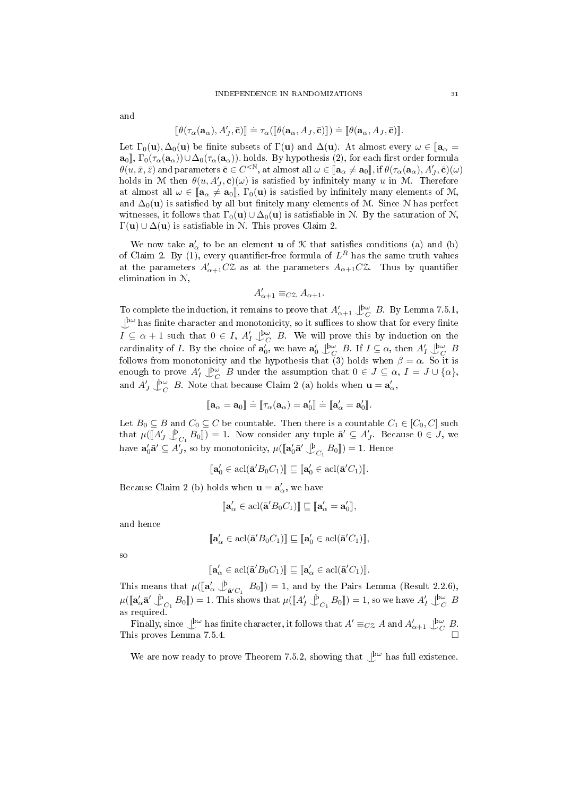and

$$
[\![\theta(\tau_\alpha(\mathbf{a}_\alpha), A'_J, \bar{\mathbf{c}})]\!] \doteq \tau_\alpha([\![\theta(\mathbf{a}_\alpha, A_J, \bar{\mathbf{c}})]\!]) \doteq [\![\theta(\mathbf{a}_\alpha, A_J, \bar{\mathbf{c}})]\!].
$$

Let  $\Gamma_0(\mathbf{u}), \Delta_0(\mathbf{u})$  be finite subsets of  $\Gamma(\mathbf{u})$  and  $\Delta(\mathbf{u})$ . At almost every  $\omega \in [\mathbf{a}_\alpha =$  $\mathbf{a}_0$ ,  $\Gamma_0(\tau_\alpha(\mathbf{a}_\alpha))\cup\Delta_0(\tau_\alpha(\mathbf{a}_\alpha))$ . holds. By hypothesis (2), for each first order formula  $\theta(u,\bar{x},\bar{z})$  and parameters  $\bar{\mathbf{c}} \in C^{<\mathbb{N}}$ , at almost all  $\omega \in [\mathbf{a}_{\alpha} \neq \mathbf{a}_{0}]$ , if  $\theta(\tau_{\alpha}(\mathbf{a}_{\alpha}), A'_{J}, \bar{\mathbf{c}})(\omega)$ holds in M then  $\theta(u, A'_J, \bar{\mathbf{c}})(\omega)$  is satisfied by infinitely many u in M. Therefore at almost all  $\omega \in [\mathbf{a}_{\alpha} \neq \mathbf{a}_0]$ ,  $\Gamma_0(\mathbf{u})$  is satisfied by infinitely many elements of M, and  $\Delta_0(\mathbf{u})$  is satisfied by all but finitely many elements of M. Since N has perfect witnesses, it follows that  $\Gamma_0(\mathbf{u}) \cup \Delta_0(\mathbf{u})$  is satisfiable in N. By the saturation of N,  $\Gamma(\mathbf{u}) \cup \Delta(\mathbf{u})$  is satisfiable in N. This proves Claim 2.

We now take  $a'_\alpha$  to be an element **u** of  $\mathcal K$  that satisfies conditions (a) and (b) of Claim 2. By (1), every quantifier-free formula of  $L^R$  has the same truth values at the parameters  $A'_{\alpha+1}C\mathcal{Z}$  as at the parameters  $A_{\alpha+1}C\mathcal{Z}$ . Thus by quantifier elimination in N,

$$
A'_{\alpha+1} \equiv_{C} \alpha A_{\alpha+1}.
$$

To complete the induction, it remains to prove that  $A'_{\alpha+1} \bigcup_{C}^{\infty} B$ . By Lemma 7.5.1,  $\perp^{\mathbf{b}\omega}$  has finite character and monotonicity, so it suffices to show that for every finite  $I \subseteq \alpha + 1$  such that  $0 \in I$ ,  $A'_I \bigcup_{C}^{\beta \omega} B$ . We will prove this by induction on the cardinality of *I*. By the choice of  $\mathbf{a}'_0$ , we have  $\mathbf{a}'_0 \downarrow_{C}^{\mathsf{bw}} B$ . If  $I \subseteq \alpha$ , then  $A'_I \downarrow_{C}^{\mathsf{bw}} B$ follows from monotonicity and the hypothesis that (3) holds when  $\beta = \alpha$ . So it is enough to prove  $A'_I \bigcup^{\mathsf{bw}}_{C} B$  under the assumption that  $0 \in J \subseteq \alpha, I = J \cup \{\alpha\},\$ and  $A'_{J} \bigcup_{C}^{\infty} B$ . Note that because Claim 2 (a) holds when  $\mathbf{u} = \mathbf{a}'_{\alpha}$ ,

$$
[\![\mathbf{a}_\alpha=\mathbf{a}_0]\!]\doteq[\![\tau_\alpha(\mathbf{a}_\alpha)=\mathbf{a}_0']\!]=[\![\mathbf{a}_\alpha'=\mathbf{a}_0']\!].
$$

Let  $B_0 \subseteq B$  and  $C_0 \subseteq C$  be countable. Then there is a countable  $C_1 \in [C_0, C]$  such that  $\mu([\![A'] \!\] \bigcup_{C_1}^{\mathfrak{b}} B_0 \rrbracket) = 1$ . Now consider any tuple  $\bar{\mathbf{a}}' \subseteq A'_J$ . Because  $0 \in J$ , we have  $\mathbf{a}'_0 \bar{\mathbf{a}}' \subseteq A'_J$ , so by monotonicity,  $\mu(\llbracket \mathbf{a}'_0 \bar{\mathbf{a}}' \perp^{\mathbf{b}}_{C_1} B_0 \rrbracket) = 1$ . Hence

$$
[\![\mathbf{a}'_0 \in \text{acl}(\bar{\mathbf{a}}' B_0 C_1)]\!] \sqsubseteq [\![\mathbf{a}'_0 \in \text{acl}(\bar{\mathbf{a}}' C_1)]\!].
$$

Because Claim 2 (b) holds when  $\mathbf{u} = \mathbf{a}'_{\alpha}$ , we have

$$
[\![\mathbf{a}'_{\alpha} \in \text{acl}(\bar{\mathbf{a}}' B_0 C_1)] \!] \sqsubseteq [\![\mathbf{a}'_{\alpha} = \mathbf{a}'_0 ] \!],
$$

and hence

$$
[\![\mathbf{a}'_{\alpha} \in \operatorname{acl}(\bar{\mathbf{a}}' B_0 C_1)]\!] \sqsubseteq [\![\mathbf{a}'_0 \in \operatorname{acl}(\bar{\mathbf{a}}' C_1)]\!],
$$

sc

$$
[\![\mathbf{a}'_{\alpha}\in \text{acl}(\bar{\mathbf{a}}'B_0C_1)]\!]\sqsubseteq [\![\mathbf{a}'_{\alpha}\in \text{acl}(\bar{\mathbf{a}}'C_1)]\!].
$$

This means that  $\mu([\mathbf{a}'_{\alpha} \bigcup_{\bar{\mathbf{a}}' \in \mathcal{I}}^{\beta} B_0]) = 1$ , and by the Pairs Lemma (Result 2.2.6),  $\mu([\mathbf{a}'_{\alpha}\mathbf{\bar{a}}' \biguplus_{C_1}^{\beta} B_0]) = 1.$  This shows that  $\mu([\![A'_I \biguplus_{C_1}^{\beta} B_0]]) = 1$ , so we have  $A'_I \biguplus_{C}^{\beta} B$ as required.

Finally, since  $\bigcup^{\mathsf{bw}}$  has finite character, it follows that  $A' \equiv_{C\mathcal{Z}} A$  and  $A'_{\alpha+1} \bigcup^{\mathsf{bw}}_{C} B$ . This proves Lemma 7.5.4.

We are now ready to prove Theorem 7.5.2, showing that  $\bigcup^{\omega}$  has full existence.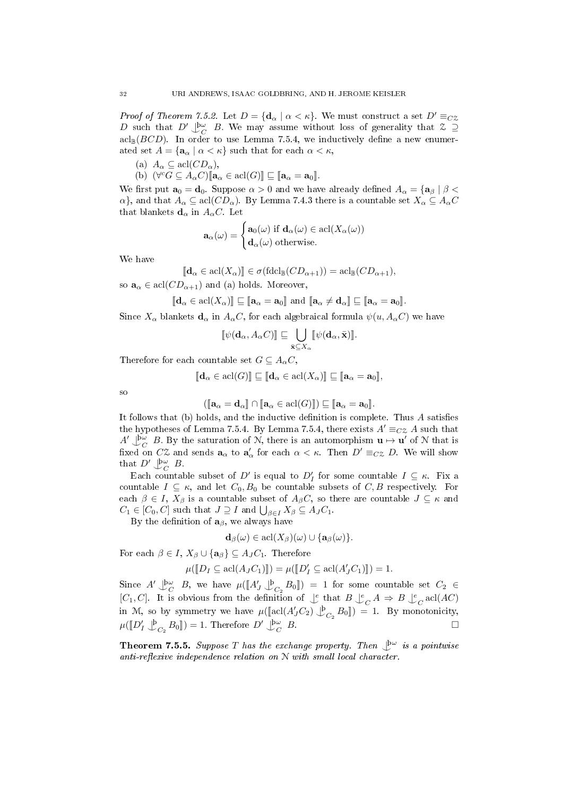*Proof of Theorem 7.5.2.* Let  $D = {\bf{d}_{\alpha} \mid \alpha < \kappa}$ . We must construct a set  $D' \equiv_{CZ}$ D such that  $D' \bigcup_{C}^{\infty} B$ . We may assume without loss of generality that  $\mathcal{Z} \supseteq$  $\operatorname{acl}_{\mathbb{B}}(BCD)$ . In order to use Lemma 7.5.4, we inductively define a new enumerated set  $A = {\mathbf{a}_{\alpha} \mid \alpha < \kappa}$  such that for each  $\alpha < \kappa$ ,

(a)  $A_{\alpha} \subseteq \text{acl}(CD_{\alpha}),$ 

(b)  $(\forall^c G \subseteq A_\alpha C) [\![ \mathbf{a}_\alpha \in \text{acl}(G) ]\!] \sqsubseteq [\![ \mathbf{a}_\alpha = \mathbf{a}_0 ]\!]$ .

We first put  $\mathbf{a}_0 = \mathbf{d}_0$ . Suppose  $\alpha > 0$  and we have already defined  $A_\alpha = {\mathbf{a}_\beta \mid \beta < \alpha}$  $\alpha$ , and that  $A_{\alpha} \subseteq \text{acl}(CD_{\alpha})$ . By Lemma 7.4.3 there is a countable set  $X_{\alpha} \subseteq A_{\alpha}C$ that blankets  $\mathbf{d}_{\alpha}$  in  $A_{\alpha}C$ . Let

$$
\mathbf{a}_{\alpha}(\omega) = \begin{cases} \mathbf{a}_{0}(\omega) \text{ if } \mathbf{d}_{\alpha}(\omega) \in \text{acl}(X_{\alpha}(\omega)) \\ \mathbf{d}_{\alpha}(\omega) \text{ otherwise.} \end{cases}
$$

We have

$$
[\![\mathbf{d}_{\alpha} \in \text{acl}(X_{\alpha})\!] \in \sigma(\text{fdcl}_{\mathbb{B}}(CD_{\alpha+1})) = \text{acl}_{\mathbb{B}}(CD_{\alpha+1}),
$$
 so  $\mathbf{a}_{\alpha} \in \text{acl}(CD_{\alpha+1})$  and (a) holds. Moreover,

 $[\![\mathbf{d}_{\alpha} \in \text{acl}(X_{\alpha})]\!] \sqsubseteq [\![\mathbf{a}_{\alpha} = \mathbf{a}_0]\!]$  and  $[\![\mathbf{a}_{\alpha} \neq \mathbf{d}_{\alpha}]\!] \sqsubseteq [\![\mathbf{a}_{\alpha} = \mathbf{a}_0]\!]$ .

Since  $X_{\alpha}$  blankets  $\mathbf{d}_{\alpha}$  in  $A_{\alpha}C$ , for each algebraical formula  $\psi(u, A_{\alpha}C)$  we have

$$
[\![\psi(\mathbf{d}_\alpha, A_\alpha C)]\!] \sqsubseteq \bigcup_{\bar{\mathbf{x}} \subseteq X_\alpha} [\![\psi(\mathbf{d}_\alpha, \bar{\mathbf{x}})]\!].
$$

Therefore for each countable set  $G \subseteq A_{\alpha}C$ ,

$$
[\![\mathbf{d}_{\alpha} \in \text{acl}(G)]\!] \sqsubseteq [\![\mathbf{d}_{\alpha} \in \text{acl}(X_{\alpha})]\!] \sqsubseteq [\![\mathbf{a}_{\alpha} = \mathbf{a}_0]\!],
$$

so

$$
([\mathbf{a}_{\alpha} = \mathbf{d}_{\alpha} ] \cap [\mathbf{a}_{\alpha} \in \text{acl}(G) ] ) \sqsubseteq [\mathbf{a}_{\alpha} = \mathbf{a}_0 ].
$$

 $([\![\mathbf{a}_{\alpha} = \mathbf{d}_{\alpha}]\!] \cap [\![\mathbf{a}_{\alpha} \in \text{acl}(G)]\!] ) \sqsubseteq [\![\mathbf{a}_{\alpha} = \mathbf{a}_0]\!]$ .<br>It follows that (b) holds, and the inductive definition is complete. Thus A satisfies the hypotheses of Lemma 7.5.4. By Lemma 7.5.4, there exists  $A' \equiv_{C} A$  such that  $A' \bigcup_C^{\infty} B$ . By the saturation of N, there is an automorphism  $\mathbf{u} \mapsto \mathbf{u}'$  of N that is fixed on C<sub>2</sub> and sends  $\mathbf{a}_{\alpha}$  to  $\mathbf{a}'_{\alpha}$  for each  $\alpha < \kappa$ . Then  $D' \equiv_{C\mathcal{Z}} D$ . We will show that  $D' \bigcup_C^{\{ \omega\}} B$ .

Each countable subset of D' is equal to  $D'_I$  for some countable  $I \subseteq \kappa$ . Fix a countable  $I \subseteq \kappa$ , and let  $C_0, B_0$  be countable subsets of C, B respectively. For each  $\beta \in I$ ,  $X_{\beta}$  is a countable subset of  $A_{\beta}C$ , so there are countable  $J \subseteq \kappa$  and  $C_1 \in [C_0, C]$  such that  $J \supseteq I$  and  $\bigcup_{\beta \in I} X_{\beta} \subseteq A_J C_1$ .

By the definition of  $a_{\beta}$ , we always have

$$
\mathbf{d}_{\beta}(\omega) \in \operatorname{acl}(X_{\beta})(\omega) \cup \{\mathbf{a}_{\beta}(\omega)\}.
$$

For each  $\beta \in I$ ,  $X_{\beta} \cup {\{a_{\beta}\}} \subseteq A_{J}C_{1}$ . Therefore

$$
\mu(\llbracket D_I \subseteq \operatorname{acl}(A_J C_1) \rrbracket) = \mu(\llbracket D'_I \subseteq \operatorname{acl}(A'_J C_1) \rrbracket) = 1.
$$

Since  $A' \downarrow^{\mathbf{b}\omega}$   $B$ , we have  $\mu([\![A'] \!\] \downarrow^{\mathbf{b}}_{C_2} B_0]$  = 1 for some countable set  $C_2 \in$ [C<sub>1</sub>, C]. It is obvious from the definition of  $\bigcup_{c=0}^e$  that  $B \bigcup_{c=0}^e A \Rightarrow B \bigcup_{c=0}^e \text{acl}(AC)$ in M, so by symmetry we have  $\mu([\text{acl}(A'_{J}C_{2}) \bigcup_{C_{2}}^{b} B_{0}]) = 1$ . By monotonicity,  $\mu(\llbracket D'_I \bigcup_{C_2}^{\mathfrak{b}} B_0 \rrbracket) = 1$ . Therefore  $D' \bigcup_{C}^{\mathfrak{b}\omega}$  $B$ .

**Theorem 7.5.5.** Suppose T has the exchange property. Then  $\mathcal{L}^{\omega}$  is a pointwise anti-reflexive independence relation on  $N$  with small local character.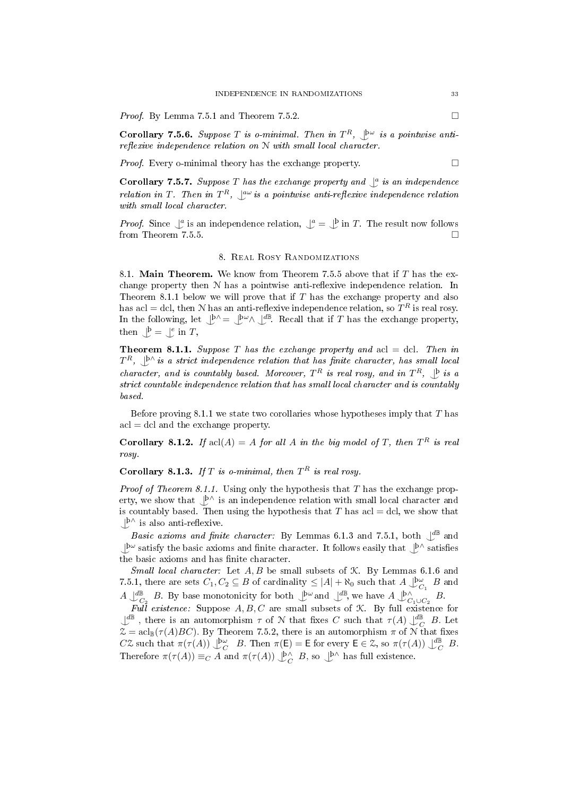*Proof.* By Lemma 7.5.1 and Theorem 7.5.2.

**Corollary 7.5.6.** Suppose T is o-minimal. Then in  $T^R$ ,  $\downarrow^{\text{bw}}$  is a pointwise anti $reflexive\ independence\ relation\ on\ N\ with\ small\ local\ character.$ 

*Proof.* Every o-minimal theory has the exchange property.  $\Box$ 

**Corollary 7.5.7.** Suppose T has the exchange property and  $\int_a^b$  is an independence relation in T. Then in  $T^R$ ,  $\mathcal{L}^{\omega}$  is a pointwise anti-reflexive independence relation with small local character.

*Proof.* Since  $\bigcup_{n=1}^{\infty}$  is an independence relation,  $\bigcup_{n=1}^{\infty}$  =  $\bigcup_{n=1}^{\infty}$  in T. The result now follows from Theorem 7.5.5.  $\Box$ 

#### 8. Real Rosy Randomizations

8.1. Main Theorem. We know from Theorem 7.5.5 above that if  $T$  has the exchange property then  $N$  has a pointwise anti-reflexive independence relation. In Theorem 8.1.1 below we will prove that if  $T$  has the exchange property and also has acl = dcl, then N has an anti-reflexive independence relation, so  $T^R$  is real rosy. In the following, let  $\bigcup^{\beta} \subseteq \bigcup^{\beta} \mathcal{M}$   $\bigcup^{\beta}$ . Recall that if T has the exchange property, then  $\bigcup^{\mathfrak{b}} \equiv \bigcup^e$  in T,

**Theorem 8.1.1.** Suppose T has the exchange property and  $\text{acl} = \text{dcl}$ . Then in  $T^R$ ,  $\bigcup^{\mathbb{N}}$  is a strict independence relation that has finite character, has small local character, and is countably based. Moreover,  $T^R$  is real rosy, and in  $T^R$ ,  $\downarrow^b$  is a strict countable independence relation that has small local character and is countably based.

Before proving 8.1.1 we state two corollaries whose hypotheses imply that  $T$  has  $\text{acl} = \text{dcl}$  and the exchange property.

**Corollary 8.1.2.** If  $\text{acl}(A) = A$  for all A in the big model of T, then  $T^R$  is real rosy.

**Corollary 8.1.3.** If T is o-minimal, then  $T^R$  is real rosy.

*Proof of Theorem 8.1.1.* Using only the hypothesis that T has the exchange property, we show that  $\bigcup_{n=1}^{\infty}$  is an independence relation with small local character and is countably based. Then using the hypothesis that T has acl  $=$  dcl, we show that  $\bigcup^{\mathsf{b}\wedge}$  is also anti-reflexive.

Basic axioms and finite character: By Lemmas 6.1.3 and 7.5.1, both  $\mathcal{L}^{\mathbb{B}}$  and | þω ^ satisfy the basic axioms and nite character. It follows easily that | þ∧ ^ satises the basic axioms and has finite character.

Small local character: Let  $A, B$  be small subsets of  $K$ . By Lemmas 6.1.6 and 7.5.1, there are sets  $C_1, C_2 \subseteq B$  of cardinality  $\leq |A| + \aleph_0$  such that  $A \bigcup_{C_1}^{\infty} B$  and  $A\bigcup^{\text{dB}}_{C_2}$  B. By base monotonicity for both  $\bigcup^{\text{bw}}$  and  $\bigcup^{\text{dB}}$ , we have  $A\bigcup^{\text{DA}}_{C_1\cup C_2}$  B.

Full existence: Suppose  $A, B, C$  are small subsets of  $K$ . By full existence for  $\bigcup_{\alpha}^{\mathbb{d}\mathbb{B}}$ , there is an automorphism  $\tau$  of N that fixes C such that  $\tau(A)$   $\bigcup_{\alpha}^{\mathbb{d}\mathbb{B}}$  B. Let  $\mathfrak{Z} = \operatorname{acl}_{\mathbb{B}}(\tau(A)BC)$ . By Theorem 7.5.2, there is an automorphism  $\pi$  of N that fixes CZ such that  $\pi(\tau(A)) \bigcup_{C}^{\infty} B$ . Then  $\pi(E) = E$  for every  $E \in \mathcal{Z}$ , so  $\pi(\tau(A)) \bigcup_{C}^{\infty} B$ . Therefore  $\pi(\tau(A)) \equiv_C A$  and  $\pi(\tau(A)) \bigcup_C^{\beta} B$ , so  $\bigcup^{\beta} A$  has full existence.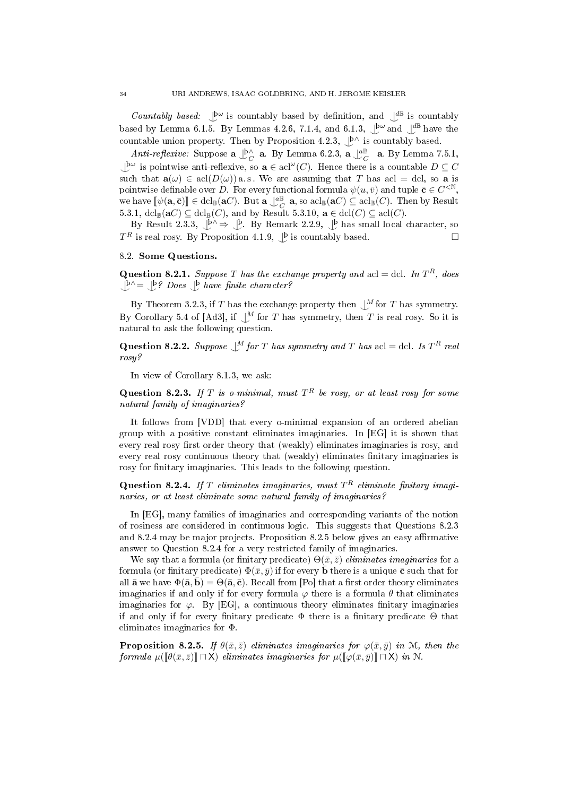Countably based:  $\bigcup^{\omega}$  is countably based by definition, and  $\bigcup^{\text{d}}$  is countably based by Lemma 6.1.5. By Lemmas 4.2.6, 7.1.4, and 6.1.3,  $\mathcal{L}^{\omega}$  and  $\mathcal{L}^{\mathcal{B}}$  have the countable union property. Then by Proposition 4.2.3,  $\bigcup_{n=1}^{\infty}$  is countably based.

Anti-reflexive: Suppose  $\mathbf{a} \bigcup_{C}^{\mathbf{b} \wedge} \mathbf{a}$ . By Lemma 6.2.3,  $\mathbf{a} \bigcup_{C}^{\mathbf{a} \mathbf{B}} \mathbf{a}$ . By Lemma 7.5.1,  $\perp^{\mathsf{b}\omega}$  is pointwise anti-reflexive, so  $\mathbf{a} \in \operatorname{acl}(\omega)$ . Hence there is a countable  $D \subseteq C$ such that  $\mathbf{a}(\omega) \in \text{acl}(D(\omega))$  a.s. We are assuming that T has acl = dcl, so a is pointwise definable over D. For every functional formula  $\psi(u,\bar{v})$  and tuple  $\bar{\mathbf{c}} \in C^{<\mathbb{N}},$ we have  $[\![\psi(\mathbf{a}, \bar{\mathbf{c}})]\!] \in \text{dcl}_{\mathbb{B}}(\mathbf{a}C)$ . But  $\mathbf{a} \bigcup_{C}^{\mathbb{B}} \mathbf{a}$ , so  $\text{acl}_{\mathbb{B}}(\mathbf{a}C) \subseteq \text{acl}_{\mathbb{B}}(C)$ . Then by Result 5.3.1,  $dcl_{\mathbb{B}}(\mathbf{a}C) \subseteq dcl_{\mathbb{B}}(C)$ , and by Result 5.3.10,  $\mathbf{a} \in dcl(C) \subseteq \text{acl}(C)$ .

By Result 2.3.3,  $\downarrow^{\,} \rightarrow \downarrow^{\,}$ . By Remark 2.2.9,  $\downarrow^{\,}$  has small local character, so  $T^R$  is real rosy. By Proposition 4.1.9,  $\bigcup^{\beta}$  is countably based.

## 8.2. Some Questions.

**Question 8.2.1.** Suppose T has the exchange property and acl = dcl. In  $T<sup>R</sup>$ , does  $\bigcup^{\mathsf{b}\wedge}=\bigcup^{\mathsf{b}}$ ? Does  $\bigcup^{\mathsf{b}}$  have finite character?

By Theorem 3.2.3, if T has the exchange property then  $\bigcup^M$  for T has symmetry. By Corollary 5.4 of [Ad3], if  $\bigcup^M$  for T has symmetry, then T is real rosy. So it is natural to ask the following question.

**Question 8.2.2.** Suppose  $\bigcup_{i=1}^{M}$  for T has symmetry and T has acl = dcl. Is  $T^R$  real rosy?

In view of Corollary 8.1.3, we ask:

**Question 8.2.3.** If T is o-minimal, must  $T^R$  be rosy, or at least rosy for some natural family of imaginaries?

It follows from [VDD] that every o-minimal expansion of an ordered abelian group with a positive constant eliminates imaginaries. In [EG] it is shown that every real rosy first order theory that (weakly) eliminates imaginaries is rosy, and every real rosy continuous theory that (weakly) eliminates finitary imaginaries is rosy for finitary imaginaries. This leads to the following question.

Question 8.2.4. If T eliminates imaginaries, must  $T^R$  eliminate finitary imaginaries, or at least eliminate some natural family of imaginaries?

In [EG], many families of imaginaries and corresponding variants of the notion of rosiness are considered in continuous logic. This suggests that Questions 8.2.3 and  $8.2.4$  may be major projects. Proposition  $8.2.5$  below gives an easy affirmative answer to Question 8.2.4 for a very restricted family of imaginaries.

We say that a formula (or finitary predicate)  $\Theta(\bar{x}, \bar{z})$  eliminates imaginaries for a formula (or finitary predicate)  $\Phi(\bar{x}, \bar{y})$  if for every **b** there is a unique **c** such that for all  $\bar{\mathbf{a}}$  we have  $\Phi(\bar{\mathbf{a}}, \bar{\mathbf{b}}) = \Theta(\bar{\mathbf{a}}, \bar{\mathbf{c}})$ . Recall from [Po] that a first order theory eliminates imaginaries if and only if for every formula  $\varphi$  there is a formula  $\theta$  that eliminates imaginaries for  $\varphi$ . By [EG], a continuous theory eliminates finitary imaginaries if and only if for every finitary predicate  $\Phi$  there is a finitary predicate  $\Theta$  that eliminates imaginaries for Φ.

**Proposition 8.2.5.** If  $\theta(\bar{x}, \bar{z})$  eliminates imaginaries for  $\varphi(\bar{x}, \bar{y})$  in M, then the formula  $\mu(\llbracket \theta(\bar{x},\bar{z}) \rrbracket \sqcap X)$  eliminates imaginaries for  $\mu(\llbracket \varphi(\bar{x},\bar{y}) \rrbracket \sqcap X)$  in N.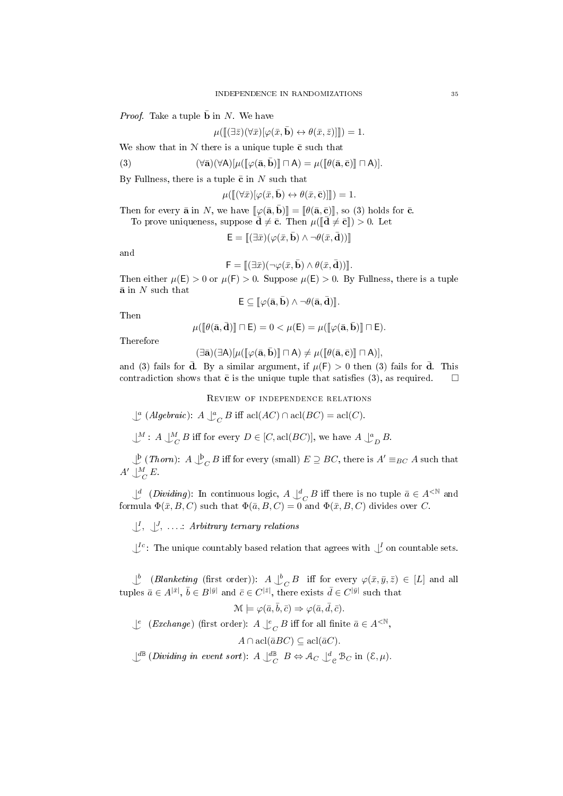*Proof.* Take a tuple **b** in N. We have

$$
\mu([\hspace{-0.06cm}[ (\exists \bar{z})(\forall \bar{x})[\varphi(\bar{x},\bar{\mathbf{b}})\leftrightarrow \theta(\bar{x},\bar{z})]]\hspace{-0.06cm}])=1.
$$

We show that in  $N$  there is a unique tuple  $\bar{c}$  such that

(3) 
$$
(\forall \bar{\mathbf{a}})(\forall A)[\mu([\varphi(\bar{\mathbf{a}}, \bar{\mathbf{b}})] \sqcap A) = \mu([\theta(\bar{\mathbf{a}}, \bar{\mathbf{c}})] \sqcap A)].
$$

By Fullness, there is a tuple  $\bar{c}$  in N such that

$$
\mu([\![ (\forall \bar{x})[\varphi(\bar{x},\bar{\mathbf{b}})\leftrightarrow \theta(\bar{x},\bar{\mathbf{c}})]\!])=1.
$$

Then for every  $\bar{\mathbf{a}}$  in N, we have  $\llbracket \varphi(\bar{\mathbf{a}}, \bar{\mathbf{b}}) \rrbracket = \llbracket \theta(\bar{\mathbf{a}}, \bar{\mathbf{c}}) \rrbracket$ , so (3) holds for  $\bar{\mathbf{c}}$ .

To prove uniqueness, suppose  $\mathbf{\bar{d}} \neq \mathbf{\bar{c}}$ . Then  $\mu(\mathbf{\bar{d}} \neq \mathbf{\bar{c}}\mathbf{r}) > 0$ . Let

$$
\mathsf{E} = [\![(\exists \bar{x})(\varphi(\bar{x}, \bar{\mathbf{b}}) \wedge \neg \theta(\bar{x}, \bar{\mathbf{d}}))]\!]
$$

and

$$
\mathsf{F}=[\!![ (\exists \bar{x})(\neg \varphi(\bar{x},\mathbf{b})\wedge \theta(\bar{x},\mathbf{d}))]\!]
$$

 $\mathsf{F} = [[\exists \bar{x})(\neg \varphi(\bar{x}, \bar{\mathbf{b}}) \wedge \theta(\bar{x}, \bar{\mathbf{d}}))]].$ <br>Then either  $\mu(\mathsf{E}) > 0$  or  $\mu(\mathsf{F}) > 0$ . Suppose  $\mu(\mathsf{E}) > 0$ . By Fullness, there is a tuple  $\bar{\mathbf{a}}$  in  $N$  such that

$$
\mathsf{E}\subseteq[\![\varphi(\bar{\mathbf{a}},\bar{\mathbf{b}})\wedge\neg\theta(\bar{\mathbf{a}},\bar{\mathbf{d}})]\!].
$$

Then

$$
\mu([\![\theta(\bar{\mathbf{a}},\bar{\mathbf{d}})]\!] \sqcap \mathsf{E}) = 0 < \mu(\mathsf{E}) = \mu([\![\varphi(\bar{\mathbf{a}},\bar{\mathbf{b}})]\!] \sqcap \mathsf{E}).
$$

Therefore

$$
(\exists \bar{\mathbf{a}})(\exists A)[\mu([\varphi(\bar{\mathbf{a}}, \bar{\mathbf{b}})] \sqcap A) \neq \mu([\theta(\bar{\mathbf{a}}, \bar{\mathbf{c}})] \sqcap A)],
$$

(∃ā)(∃A)[ $\mu$ ( $[\varphi(\bar{\mathbf{a}}, \bar{\mathbf{b}})] \sqcap A$ )  $\neq \mu$ ( $[\vartheta(\bar{\mathbf{a}}, \bar{\mathbf{c}})] \sqcap A$ )],<br>and (3) fails for  $\bar{\mathbf{d}}$ . By a similar argument, if  $\mu$ (F) > 0 then (3) fails for  $\bar{\mathbf{d}}$ . This contradiction shows that  $\bar{\mathbf{c}}$  is the unique tuple that satisfies (3), as required.  $\Box$ 

Review of independence relations

 $\bigcup^a (Algebraic): A \bigcup^a_C B$  iff  $\operatorname{acl}(AC) \cap \operatorname{acl}(BC) = \operatorname{acl}(C).$ 

 $\bigcup^M$ : A  $\bigcup^M_C B$  iff for every  $D \in [C, \operatorname{acl}(BC)]$ , we have  $A \bigcup^a_D B$ .

 $\bigcup_{\alpha=0}^{\infty} (Thorn): A \bigcup_{\alpha=0}^{\infty} B$  iff for every (small)  $E \supseteq BC$ , there is  $A' \equiv_{BC} A$  such that  $A' \bigcup_C^M E$ .

 $\bigcup^d$  (Dividing): In continuous logic,  $A \bigcup^d_C B$  iff there is no tuple  $\bar{a} \in A^{\leq \mathbb{N}}$  and formula  $\Phi(\bar{x},B,C)$  such that  $\Phi(\bar{a},B,C) = 0$  and  $\Phi(\bar{x},B,C)$  divides over C.

 $\bigcup^{I}, \bigcup^{J}, \ldots$ : Arbitrary ternary relations

 $\bigcup^{\text{Ic}}$ : The unique countably based relation that agrees with  $\bigcup^{\text{I}}$  on countable sets.

 $\bigcup_{c}^{b}$  (Blanketing (first order)):  $A \bigcup_{c}^{b} B$  iff for every  $\varphi(\bar{x}, \bar{y}, \bar{z}) \in [L]$  and all tuples  $\bar{a} \in A^{|\bar{x}|}, \bar{b} \in B^{|\bar{y}|}$  and  $\bar{c} \in C^{|\bar{z}|}$ , there exists  $\bar{d} \in C^{|\bar{y}|}$  such that

$$
\mathcal{M} \models \varphi(\bar{a}, \bar{b}, \bar{c}) \Rightarrow \varphi(\bar{a}, \bar{d}, \bar{c}).
$$

 $\downarrow^e$  (*Exchange*) (first order):  $A \downarrow^e_C B$  iff for all finite  $\bar{a} \in A^{\leq \mathbb{N}}$ ,

$$
A \cap \operatorname{acl}(\bar{a}BC) \subseteq \operatorname{acl}(\bar{a}C).
$$

 $\bigcup^{\text{d}\mathbb{B}}$  (Dividing in event sort):  $A \bigcup^{\text{d}\mathbb{B}}_{C} B \Leftrightarrow \mathcal{A}_{C} \bigcup^{\text{d}}_{C} \mathcal{B}_{C}$  in  $(\mathcal{E}, \mu)$ .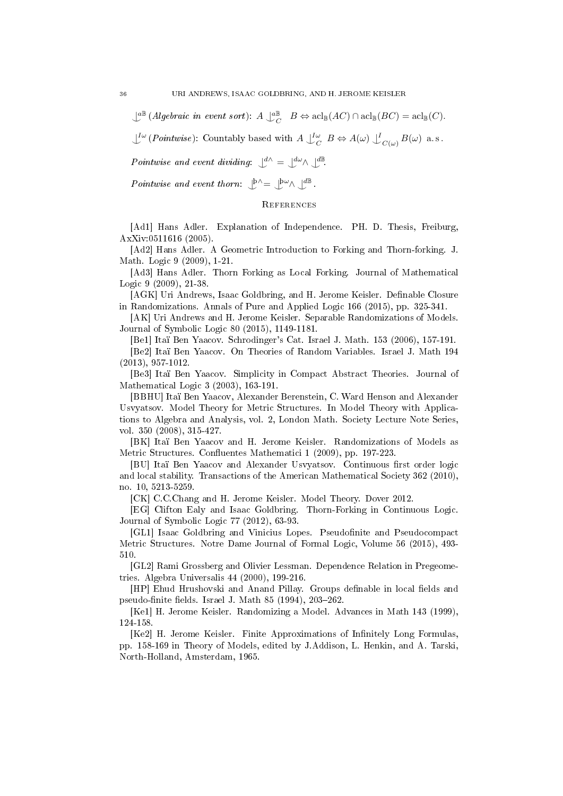$\mathcal{L}^{\mathbb{B}}(Algebraic\text{ in event sort}): A \mathcal{L}_C^{\mathbb{B}} \quad B \Leftrightarrow \mathrm{acl}_{\mathbb{B}}(AC) \cap \mathrm{acl}_{\mathbb{B}}(BC) = \mathrm{acl}_{\mathbb{B}}(C).$ 

 $\perp^{\text{I}\omega}$  (Pointwise): Countably based with  $A \perp^{\text{I}\omega}_{C} B \Leftrightarrow A(\omega) \perp^{\text{I}}_{C(\omega)} B(\omega)$  a.s.

Pointwise and event dividing:  $\bigcup^{d} \Lambda = \bigcup^{d} \omega \Lambda \bigcup^{d} \mathbb{B}$ 

Pointwise and event thorn:  $\mathcal{L}^{\mathbf{b}\wedge} = \mathcal{L}^{\mathbf{b}\omega} \wedge \mathcal{L}^{\mathbf{d}\mathbf{B}}$ .

# **REFERENCES**

[Ad1] Hans Adler. Explanation of Independence. PH. D. Thesis, Freiburg, AxXiv:0511616 (2005).

[Ad2] Hans Adler. A Geometric Introduction to Forking and Thorn-forking. J. Math. Logic 9 (2009), 1-21.

[Ad3] Hans Adler. Thorn Forking as Local Forking. Journal of Mathematical Logic 9 (2009), 21-38.

[AGK] Uri Andrews, Isaac Goldbring, and H. Jerome Keisler. Definable Closure in Randomizations. Annals of Pure and Applied Logic 166 (2015), pp. 325-341.

[AK] Uri Andrews and H. Jerome Keisler. Separable Randomizations of Models. Journal of Symbolic Logic 80 (2015), 1149-1181.

[Be1] Itaï Ben Yaacov. Schrodinger's Cat. Israel J. Math. 153 (2006), 157-191.

[Be2] Itaï Ben Yaacov. On Theories of Random Variables. Israel J. Math 194 (2013), 957-1012.

[Be3] Itaï Ben Yaacov. Simplicity in Compact Abstract Theories. Journal of Mathematical Logic 3 (2003), 163-191.

[BBHU] Itaï Ben Yaacov, Alexander Berenstein, C. Ward Henson and Alexander Usvyatsov. Model Theory for Metric Structures. In Model Theory with Applications to Algebra and Analysis, vol. 2, London Math. Society Lecture Note Series, vol. 350 (2008), 315-427.

[BK] Itaï Ben Yaacov and H. Jerome Keisler. Randomizations of Models as Metric Structures. Confluentes Mathematici 1 (2009), pp. 197-223.

[BU] Itaï Ben Yaacov and Alexander Usvyatsov. Continuous first order logic and local stability. Transactions of the American Mathematical Society 362 (2010), no. 10, 5213-5259.

[CK] C.C.Chang and H. Jerome Keisler. Model Theory. Dover 2012.

[EG] Clifton Ealy and Isaac Goldbring. Thorn-Forking in Continuous Logic. Journal of Symbolic Logic 77 (2012), 63-93.

[GL1] Isaac Goldbring and Vinicius Lopes. Pseudofinite and Pseudocompact Metric Structures. Notre Dame Journal of Formal Logic, Volume 56 (2015), 493- 510.

[GL2] Rami Grossberg and Olivier Lessman. Dependence Relation in Pregeometries. Algebra Universalis 44 (2000), 199-216.

[HP] Ehud Hrushovski and Anand Pillay. Groups definable in local fields and pseudo-finite fields. Israel J. Math 85 (1994),  $203-262$ .

[Ke1] H. Jerome Keisler. Randomizing a Model. Advances in Math 143 (1999), 124-158.

[Ke2] H. Jerome Keisler. Finite Approximations of Infinitely Long Formulas, pp. 158-169 in Theory of Models, edited by J.Addison, L. Henkin, and A. Tarski, North-Holland, Amsterdam, 1965.